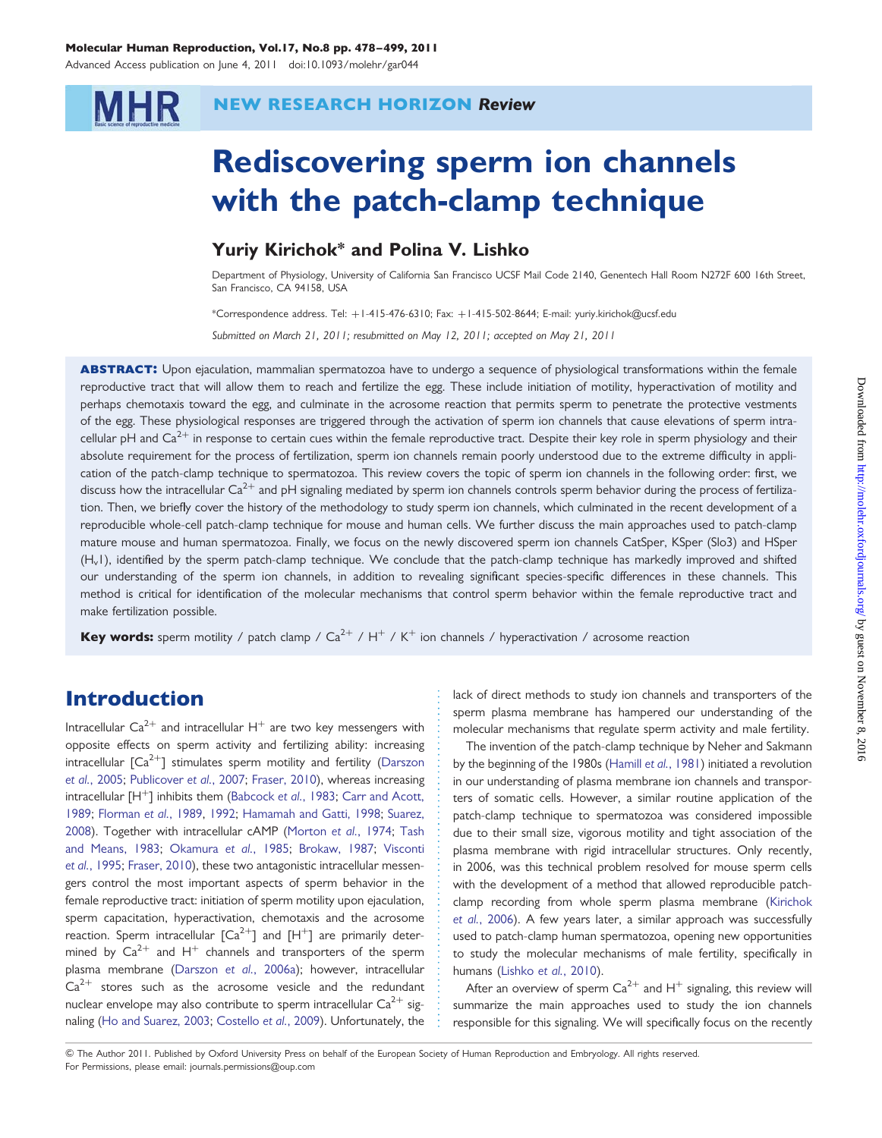#### Molecular Human Reproduction, Vol.17, No.8 pp. 478–499, 2011

Advanced Access publication on June 4, 2011 doi:10.1093/molehr/gar044

#### **MHR** NEW RESEARCH HORIZON Review

# Rediscovering sperm ion channels with the patch-clamp technique

#### Yuriy Kirichok\* and Polina V. Lishko

Department of Physiology, University of California San Francisco UCSF Mail Code 2140, Genentech Hall Room N272F 600 16th Street, San Francisco, CA 94158, USA

\*Correspondence address. Tel: +1-415-476-6310; Fax: +1-415-502-8644; E-mail: yuriy.kirichok@ucsf.edu Submitted on March 21, 2011; resubmitted on May 12, 2011; accepted on May 21, 2011

ABSTRACT: Upon ejaculation, mammalian spermatozoa have to undergo a sequence of physiological transformations within the female reproductive tract that will allow them to reach and fertilize the egg. These include initiation of motility, hyperactivation of motility and perhaps chemotaxis toward the egg, and culminate in the acrosome reaction that permits sperm to penetrate the protective vestments of the egg. These physiological responses are triggered through the activation of sperm ion channels that cause elevations of sperm intracellular pH and  $Ca^{2+}$  in response to certain cues within the female reproductive tract. Despite their key role in sperm physiology and their absolute requirement for the process of fertilization, sperm ion channels remain poorly understood due to the extreme difficulty in application of the patch-clamp technique to spermatozoa. This review covers the topic of sperm ion channels in the following order: first, we discuss how the intracellular  $Ca^{2+}$  and pH signaling mediated by sperm ion channels controls sperm behavior during the process of fertilization. Then, we briefly cover the history of the methodology to study sperm ion channels, which culminated in the recent development of a reproducible whole-cell patch-clamp technique for mouse and human cells. We further discuss the main approaches used to patch-clamp mature mouse and human spermatozoa. Finally, we focus on the newly discovered sperm ion channels CatSper, KSper (Slo3) and HSper  $(H_v)$ , identified by the sperm patch-clamp technique. We conclude that the patch-clamp technique has markedly improved and shifted our understanding of the sperm ion channels, in addition to revealing significant species-specific differences in these channels. This method is critical for identification of the molecular mechanisms that control sperm behavior within the female reproductive tract and make fertilization possible.

**Key words:** sperm motility / patch clamp /  $Ca^{2+}$  / H<sup>+</sup> / K<sup>+</sup> ion channels / hyperactivation / acrosome reaction

#### Introduction

Intracellular  $Ca^{2+}$  and intracellular  $H^{+}$  are two key messengers with opposite effects on sperm activity and fertilizing ability: increasing intracellular  $\lceil Ca^{2+} \rceil$  stimulates sperm motility and fertility ([Darszon](#page-18-0) et al.[, 2005](#page-18-0); [Publicover](#page-19-0) et al., 2007; [Fraser, 2010\)](#page-18-0), whereas increasing intracellular  $[H^+]$  inhibits them [\(Babcock](#page-17-0) et al., 1983; [Carr and Acott,](#page-17-0) [1989](#page-17-0); [Florman](#page-18-0) et al., 1989, [1992;](#page-18-0) [Hamamah and Gatti, 1998](#page-18-0); [Suarez,](#page-20-0) [2008](#page-20-0)). Together with intracellular cAMP ([Morton](#page-19-0) et al., 1974; [Tash](#page-20-0) [and Means, 1983](#page-20-0); [Okamura](#page-19-0) et al., 1985; [Brokaw, 1987;](#page-17-0) [Visconti](#page-20-0) et al.[, 1995](#page-20-0); [Fraser, 2010](#page-18-0)), these two antagonistic intracellular messengers control the most important aspects of sperm behavior in the female reproductive tract: initiation of sperm motility upon ejaculation, sperm capacitation, hyperactivation, chemotaxis and the acrosome reaction. Sperm intracellular  $[Ca^{2+}]$  and  $[H^+]$  are primarily determined by  $Ca^{2+}$  and H<sup>+</sup> channels and transporters of the sperm plasma membrane [\(Darszon](#page-18-0) et al., 2006a); however, intracellular  $Ca^{2+}$  stores such as the acrosome vesicle and the redundant nuclear envelope may also contribute to sperm intracellular  $Ca^{2+}$  signaling ([Ho and Suarez, 2003;](#page-18-0) [Costello](#page-17-0) et al., 2009). Unfortunately, the

lack of direct methods to study ion channels and transporters of the sperm plasma membrane has hampered our understanding of the molecular mechanisms that regulate sperm activity and male fertility.

The invention of the patch-clamp technique by Neher and Sakmann by the beginning of the 1980s [\(Hamill](#page-18-0) et al., 1981) initiated a revolution in our understanding of plasma membrane ion channels and transporters of somatic cells. However, a similar routine application of the patch-clamp technique to spermatozoa was considered impossible due to their small size, vigorous motility and tight association of the plasma membrane with rigid intracellular structures. Only recently, in 2006, was this technical problem resolved for mouse sperm cells with the development of a method that allowed reproducible patchclamp recording from whole sperm plasma membrane ([Kirichok](#page-19-0) et al.[, 2006\)](#page-19-0). A few years later, a similar approach was successfully used to patch-clamp human spermatozoa, opening new opportunities to study the molecular mechanisms of male fertility, specifically in humans ([Lishko](#page-19-0) et al., 2010).

After an overview of sperm  $Ca^{2+}$  and  $H^{+}$  signaling, this review will summarize the main approaches used to study the ion channels responsible for this signaling. We will specifically focus on the recently

& The Author 2011. Published by Oxford University Press on behalf of the European Society of Human Reproduction and Embryology. All rights reserved. For Permissions, please email: journals.permissions@oup.com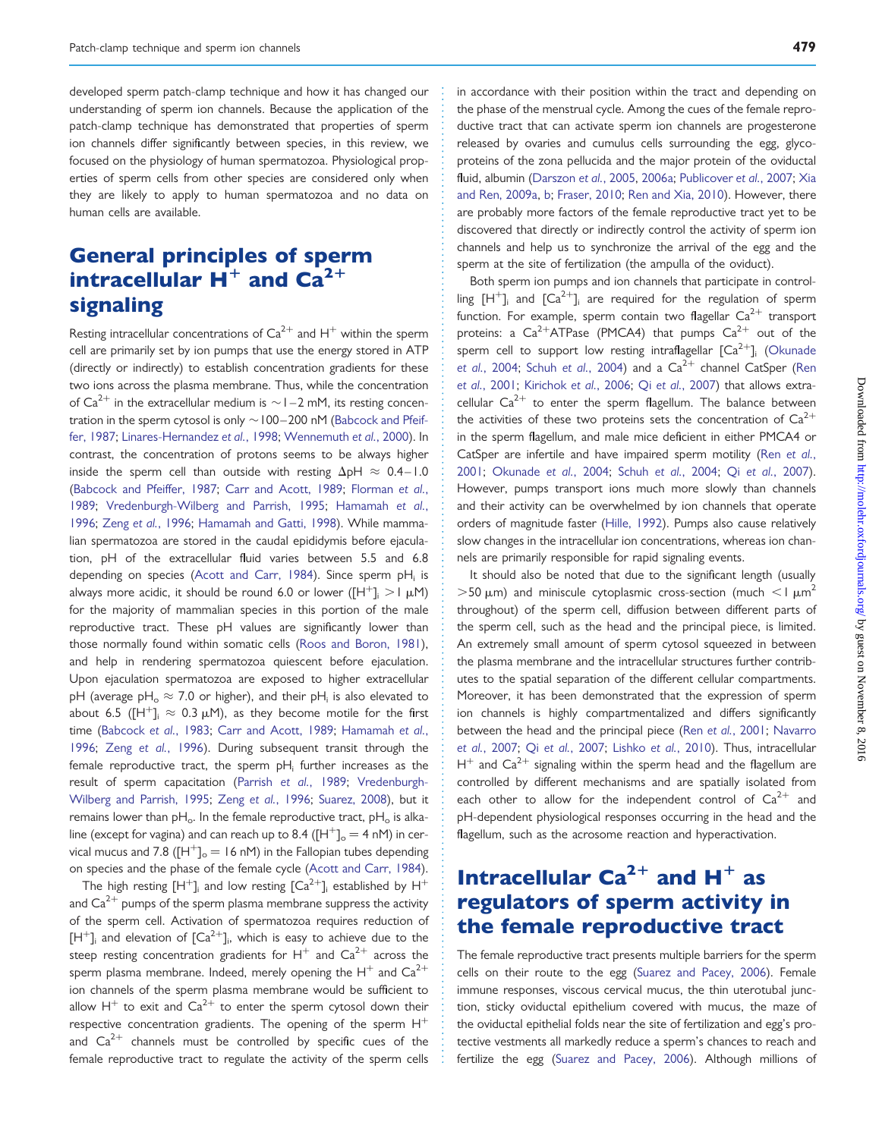developed sperm patch-clamp technique and how it has changed our understanding of sperm ion channels. Because the application of the patch-clamp technique has demonstrated that properties of sperm ion channels differ significantly between species, in this review, we focused on the physiology of human spermatozoa. Physiological properties of sperm cells from other species are considered only when they are likely to apply to human spermatozoa and no data on human cells are available.

# General principles of sperm intracellular  $H^+$  and  $Ca^{2+}$ signaling

Resting intracellular concentrations of  $Ca^{2+}$  and  $H^{+}$  within the sperm cell are primarily set by ion pumps that use the energy stored in ATP (directly or indirectly) to establish concentration gradients for these two ions across the plasma membrane. Thus, while the concentration of Ca<sup>2+</sup> in the extracellular medium is  $\sim$  I – 2 mM, its resting concentration in the sperm cytosol is only  $\sim$  100 $-$ 200 nM [\(Babcock and Pfeif](#page-17-0)[fer, 1987](#page-17-0); [Linares-Hernandez](#page-19-0) et al., 1998; [Wennemuth](#page-20-0) et al., 2000). In contrast, the concentration of protons seems to be always higher inside the sperm cell than outside with resting  $\Delta pH \approx 0.4 - 1.0$ [\(Babcock and Pfeiffer, 1987;](#page-17-0) [Carr and Acott, 1989;](#page-17-0) [Florman](#page-18-0) et al., [1989](#page-18-0); [Vredenburgh-Wilberg and Parrish, 1995;](#page-20-0) [Hamamah](#page-18-0) et al., [1996](#page-18-0); Zeng et al.[, 1996;](#page-21-0) [Hamamah and Gatti, 1998\)](#page-18-0). While mammalian spermatozoa are stored in the caudal epididymis before ejaculation, pH of the extracellular fluid varies between 5.5 and 6.8 depending on species [\(Acott and Carr, 1984\)](#page-17-0). Since sperm pHi is always more acidic, it should be round 6.0 or lower ( $[H^+]_i > 1 \mu M$ ) for the majority of mammalian species in this portion of the male reproductive tract. These pH values are significantly lower than those normally found within somatic cells [\(Roos and Boron, 1981\)](#page-20-0), and help in rendering spermatozoa quiescent before ejaculation. Upon ejaculation spermatozoa are exposed to higher extracellular pH (average pH<sub>o</sub>  $\approx$  7.0 or higher), and their pH<sub>i</sub> is also elevated to about 6.5 ( $[H^+]$ ;  $\approx$  0.3  $\mu$ M), as they become motile for the first time [\(Babcock](#page-17-0) et al., 1983; [Carr and Acott, 1989;](#page-17-0) [Hamamah](#page-18-0) et al., [1996](#page-18-0); Zeng et al.[, 1996](#page-21-0)). During subsequent transit through the female reproductive tract, the sperm  $pH_i$  further increases as the result of sperm capacitation (Parrish et al.[, 1989;](#page-19-0) [Vredenburgh-](#page-20-0)[Wilberg and Parrish, 1995](#page-20-0); Zeng et al.[, 1996;](#page-21-0) [Suarez, 2008\)](#page-20-0), but it remains lower than  $pH_0$ . In the female reproductive tract,  $pH_0$  is alkaline (except for vagina) and can reach up to 8.4 ( $[H^+]_0 = 4$  nM) in cervical mucus and 7.8 ( $[H^+]_0 = 16$  nM) in the Fallopian tubes depending on species and the phase of the female cycle ([Acott and Carr, 1984\)](#page-17-0).

The high resting  $[H^+]$  and low resting  $[Ca^{2+}]$  established by  $H^+$ and  $Ca^{2+}$  pumps of the sperm plasma membrane suppress the activity of the sperm cell. Activation of spermatozoa requires reduction of  $[H^+]$  and elevation of  $[Ca^{2+}]_i$ , which is easy to achieve due to the steep resting concentration gradients for  $H^+$  and  $Ca^{2+}$  across the sperm plasma membrane. Indeed, merely opening the  $H^+$  and  $Ca^{2+}$ ion channels of the sperm plasma membrane would be sufficient to allow  $H^+$  to exit and  $Ca^{2+}$  to enter the sperm cytosol down their respective concentration gradients. The opening of the sperm  $H^+$ and  $Ca^{2+}$  channels must be controlled by specific cues of the female reproductive tract to regulate the activity of the sperm cells in accordance with their position within the tract and depending on the phase of the menstrual cycle. Among the cues of the female reproductive tract that can activate sperm ion channels are progesterone released by ovaries and cumulus cells surrounding the egg, glycoproteins of the zona pellucida and the major protein of the oviductal fluid, albumin ([Darszon](#page-18-0) et al., 2005, [2006a;](#page-18-0) [Publicover](#page-19-0) et al., 2007; [Xia](#page-21-0) [and Ren, 2009a](#page-21-0), [b;](#page-21-0) [Fraser, 2010;](#page-18-0) [Ren and Xia, 2010\)](#page-20-0). However, there are probably more factors of the female reproductive tract yet to be discovered that directly or indirectly control the activity of sperm ion channels and help us to synchronize the arrival of the egg and the sperm at the site of fertilization (the ampulla of the oviduct).

Both sperm ion pumps and ion channels that participate in controlling  $[H^+]$  and  $[Ca^{2+}]$  are required for the regulation of sperm function. For example, sperm contain two flagellar  $Ca^{2+}$  transport proteins: a  $Ca^{2+}ATP$ ase (PMCA4) that pumps  $Ca^{2+}$  out of the sperm cell to support low resting intraflagellar  $\lceil Ca^{2+} \rceil$  ([Okunade](#page-19-0) et al.[, 2004;](#page-19-0) Schuh et al.[, 2004\)](#page-20-0) and a  $Ca^{2+}$  channel CatSper [\(Ren](#page-20-0) et al.[, 2001;](#page-20-0) [Kirichok](#page-19-0) et al., 2006; Qi et al.[, 2007](#page-19-0)) that allows extracellular  $Ca^{2+}$  to enter the sperm flagellum. The balance between the activities of these two proteins sets the concentration of  $Ca^{2+}$ in the sperm flagellum, and male mice deficient in either PMCA4 or CatSper are infertile and have impaired sperm motility (Ren [et al.](#page-20-0), [2001](#page-20-0); [Okunade](#page-19-0) et al., 2004; Schuh et al.[, 2004](#page-20-0); Qi et al.[, 2007\)](#page-19-0). However, pumps transport ions much more slowly than channels and their activity can be overwhelmed by ion channels that operate orders of magnitude faster [\(Hille, 1992\)](#page-18-0). Pumps also cause relatively slow changes in the intracellular ion concentrations, whereas ion channels are primarily responsible for rapid signaling events.

It should also be noted that due to the significant length (usually  $>50 \mu$ m) and miniscule cytoplasmic cross-section (much  $\leq$   $\mu$ m<sup>2</sup>) throughout) of the sperm cell, diffusion between different parts of the sperm cell, such as the head and the principal piece, is limited. An extremely small amount of sperm cytosol squeezed in between the plasma membrane and the intracellular structures further contributes to the spatial separation of the different cellular compartments. Moreover, it has been demonstrated that the expression of sperm ion channels is highly compartmentalized and differs significantly between the head and the principal piece (Ren et al.[, 2001;](#page-20-0) [Navarro](#page-19-0) et al.[, 2007](#page-19-0); Qi et al.[, 2007;](#page-19-0) Lishko et al.[, 2010](#page-19-0)). Thus, intracellular  $H^+$  and  $Ca^{2+}$  signaling within the sperm head and the flagellum are controlled by different mechanisms and are spatially isolated from each other to allow for the independent control of  $Ca^{2+}$  and pH-dependent physiological responses occurring in the head and the flagellum, such as the acrosome reaction and hyperactivation.

# Intracellular  $Ca^{2+}$  and H<sup>+</sup> as regulators of sperm activity in the female reproductive tract

The female reproductive tract presents multiple barriers for the sperm cells on their route to the egg ([Suarez and Pacey, 2006](#page-20-0)). Female immune responses, viscous cervical mucus, the thin uterotubal junction, sticky oviductal epithelium covered with mucus, the maze of the oviductal epithelial folds near the site of fertilization and egg's protective vestments all markedly reduce a sperm's chances to reach and fertilize the egg ([Suarez and Pacey, 2006](#page-20-0)). Although millions of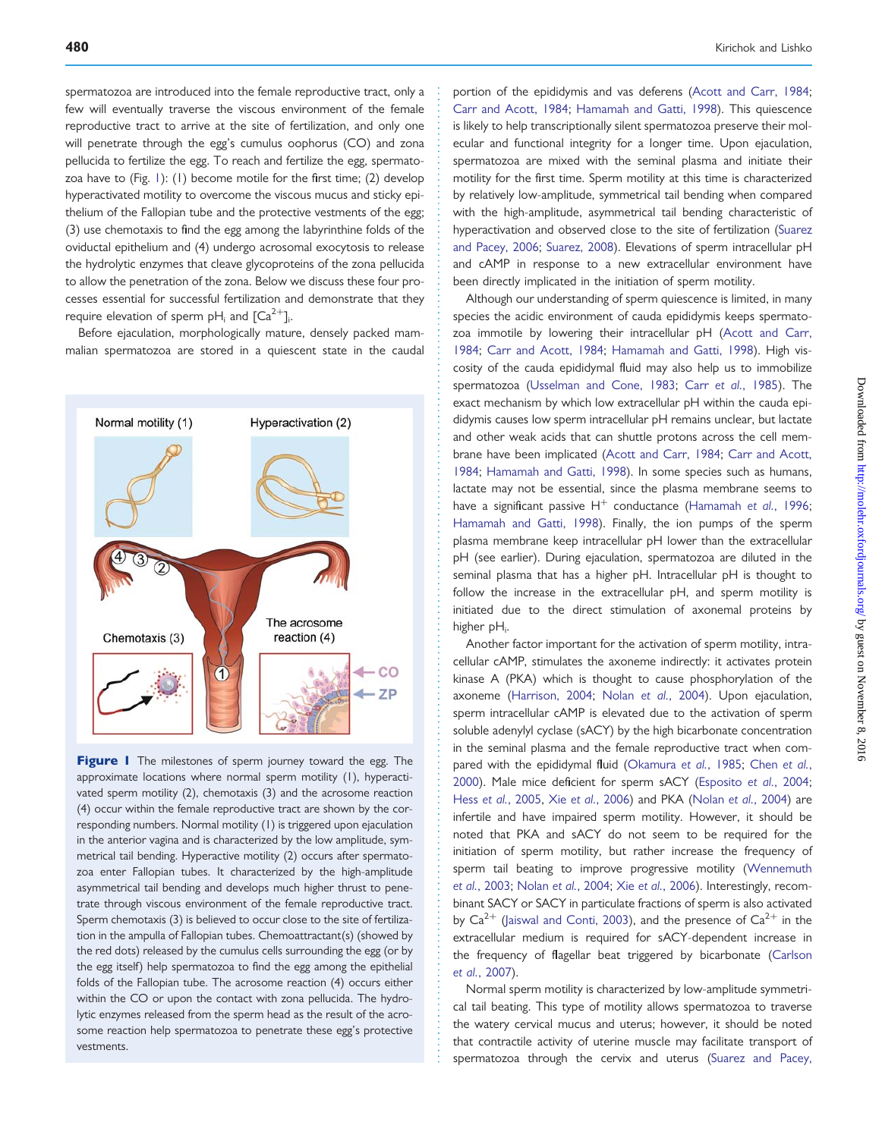spermatozoa are introduced into the female reproductive tract, only a few will eventually traverse the viscous environment of the female reproductive tract to arrive at the site of fertilization, and only one will penetrate through the egg's cumulus oophorus (CO) and zona pellucida to fertilize the egg. To reach and fertilize the egg, spermatozoa have to (Fig. 1): (1) become motile for the first time; (2) develop hyperactivated motility to overcome the viscous mucus and sticky epithelium of the Fallopian tube and the protective vestments of the egg; (3) use chemotaxis to find the egg among the labyrinthine folds of the oviductal epithelium and (4) undergo acrosomal exocytosis to release the hydrolytic enzymes that cleave glycoproteins of the zona pellucida to allow the penetration of the zona. Below we discuss these four processes essential for successful fertilization and demonstrate that they require elevation of sperm pH<sub>i</sub> and  $\textsf{[Ca}^{2+}\textsf{]}_\textsf{i}.$ 

Before ejaculation, morphologically mature, densely packed mammalian spermatozoa are stored in a quiescent state in the caudal



Figure I The milestones of sperm journey toward the egg. The approximate locations where normal sperm motility (1), hyperactivated sperm motility (2), chemotaxis (3) and the acrosome reaction (4) occur within the female reproductive tract are shown by the corresponding numbers. Normal motility (1) is triggered upon ejaculation in the anterior vagina and is characterized by the low amplitude, symmetrical tail bending. Hyperactive motility (2) occurs after spermatozoa enter Fallopian tubes. It characterized by the high-amplitude asymmetrical tail bending and develops much higher thrust to penetrate through viscous environment of the female reproductive tract. Sperm chemotaxis (3) is believed to occur close to the site of fertilization in the ampulla of Fallopian tubes. Chemoattractant(s) (showed by the red dots) released by the cumulus cells surrounding the egg (or by the egg itself) help spermatozoa to find the egg among the epithelial folds of the Fallopian tube. The acrosome reaction (4) occurs either within the CO or upon the contact with zona pellucida. The hydrolytic enzymes released from the sperm head as the result of the acrosome reaction help spermatozoa to penetrate these egg's protective vestments.

portion of the epididymis and vas deferens ([Acott and Carr, 1984;](#page-17-0) [Carr and Acott, 1984;](#page-17-0) [Hamamah and Gatti, 1998](#page-18-0)). This quiescence is likely to help transcriptionally silent spermatozoa preserve their molecular and functional integrity for a longer time. Upon ejaculation, spermatozoa are mixed with the seminal plasma and initiate their motility for the first time. Sperm motility at this time is characterized by relatively low-amplitude, symmetrical tail bending when compared with the high-amplitude, asymmetrical tail bending characteristic of hyperactivation and observed close to the site of fertilization ([Suarez](#page-20-0) [and Pacey, 2006](#page-20-0); [Suarez, 2008](#page-20-0)). Elevations of sperm intracellular pH and cAMP in response to a new extracellular environment have been directly implicated in the initiation of sperm motility.

Although our understanding of sperm quiescence is limited, in many species the acidic environment of cauda epididymis keeps spermatozoa immotile by lowering their intracellular pH [\(Acott and Carr,](#page-17-0) [1984;](#page-17-0) [Carr and Acott, 1984](#page-17-0); [Hamamah and Gatti, 1998](#page-18-0)). High viscosity of the cauda epididymal fluid may also help us to immobilize spermatozoa [\(Usselman and Cone, 1983](#page-20-0); Carr et al.[, 1985](#page-17-0)). The exact mechanism by which low extracellular pH within the cauda epididymis causes low sperm intracellular pH remains unclear, but lactate and other weak acids that can shuttle protons across the cell membrane have been implicated ([Acott and Carr, 1984](#page-17-0); [Carr and Acott,](#page-17-0) [1984;](#page-17-0) [Hamamah and Gatti, 1998](#page-18-0)). In some species such as humans, lactate may not be essential, since the plasma membrane seems to have a significant passive  $H^+$  conductance [\(Hamamah](#page-18-0) et al., 1996; [Hamamah and Gatti, 1998\)](#page-18-0). Finally, the ion pumps of the sperm plasma membrane keep intracellular pH lower than the extracellular pH (see earlier). During ejaculation, spermatozoa are diluted in the seminal plasma that has a higher pH. Intracellular pH is thought to follow the increase in the extracellular pH, and sperm motility is initiated due to the direct stimulation of axonemal proteins by higher pH<sub>i</sub>.

Another factor important for the activation of sperm motility, intracellular cAMP, stimulates the axoneme indirectly: it activates protein kinase A (PKA) which is thought to cause phosphorylation of the axoneme [\(Harrison, 2004](#page-18-0); Nolan et al.[, 2004\)](#page-19-0). Upon ejaculation, sperm intracellular cAMP is elevated due to the activation of sperm soluble adenylyl cyclase (sACY) by the high bicarbonate concentration in the seminal plasma and the female reproductive tract when com-pared with the epididymal fluid ([Okamura](#page-19-0) et al., 1985; [Chen](#page-17-0) et al., [2000\)](#page-17-0). Male mice deficient for sperm sACY [\(Esposito](#page-18-0) et al., 2004; Hess et al.[, 2005,](#page-18-0) Xie et al.[, 2006](#page-21-0)) and PKA (Nolan et al.[, 2004\)](#page-19-0) are infertile and have impaired sperm motility. However, it should be noted that PKA and sACY do not seem to be required for the initiation of sperm motility, but rather increase the frequency of sperm tail beating to improve progressive motility ([Wennemuth](#page-21-0) et al.[, 2003](#page-21-0); Nolan et al.[, 2004;](#page-19-0) Xie et al.[, 2006](#page-21-0)). Interestingly, recombinant SACY or SACY in particulate fractions of sperm is also activated by  $Ca^{2+}$  [\(Jaiswal and Conti, 2003\)](#page-19-0), and the presence of  $Ca^{2+}$  in the extracellular medium is required for sACY-dependent increase in the frequency of flagellar beat triggered by bicarbonate [\(Carlson](#page-17-0) et al.[, 2007](#page-17-0)).

Normal sperm motility is characterized by low-amplitude symmetrical tail beating. This type of motility allows spermatozoa to traverse the watery cervical mucus and uterus; however, it should be noted that contractile activity of uterine muscle may facilitate transport of spermatozoa through the cervix and uterus [\(Suarez and Pacey,](#page-20-0)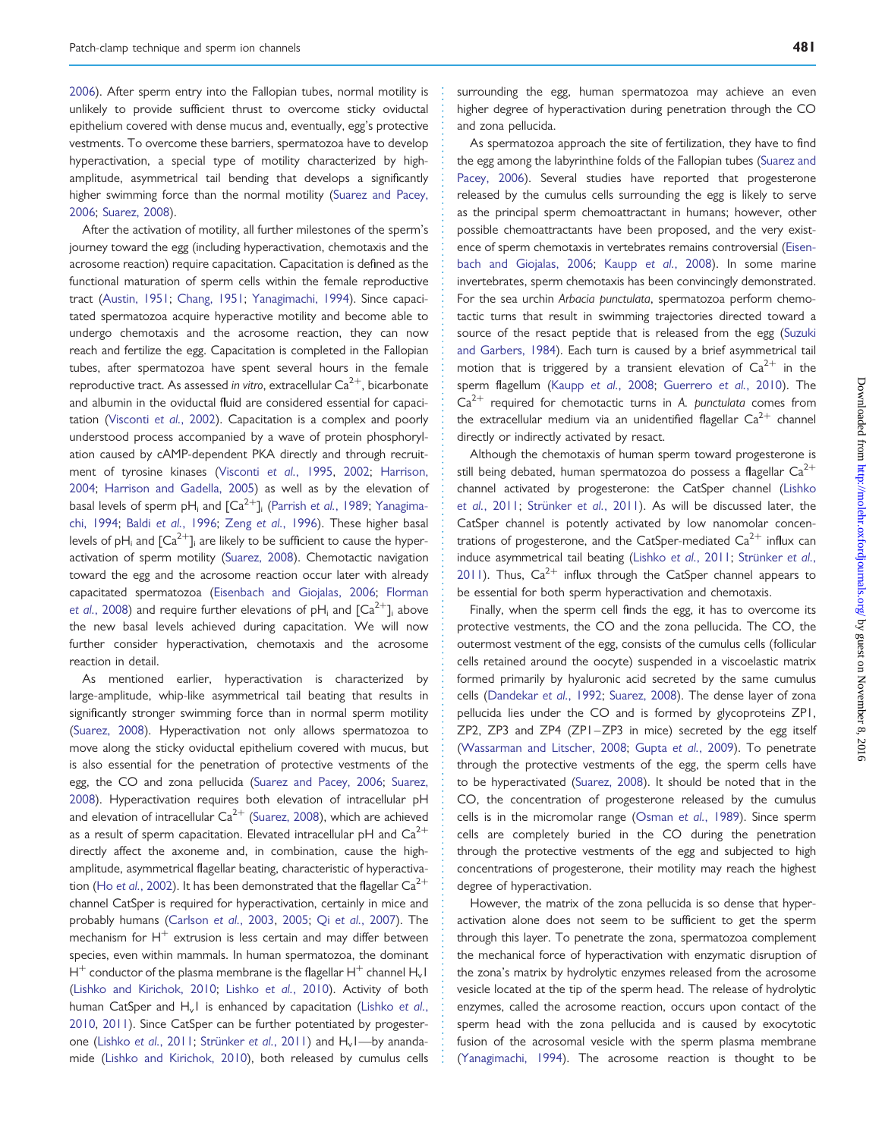[2006](#page-20-0)). After sperm entry into the Fallopian tubes, normal motility is unlikely to provide sufficient thrust to overcome sticky oviductal epithelium covered with dense mucus and, eventually, egg's protective vestments. To overcome these barriers, spermatozoa have to develop hyperactivation, a special type of motility characterized by highamplitude, asymmetrical tail bending that develops a significantly higher swimming force than the normal motility ([Suarez and Pacey,](#page-20-0) [2006](#page-20-0); [Suarez, 2008\)](#page-20-0).

After the activation of motility, all further milestones of the sperm's journey toward the egg (including hyperactivation, chemotaxis and the acrosome reaction) require capacitation. Capacitation is defined as the functional maturation of sperm cells within the female reproductive tract [\(Austin, 1951;](#page-17-0) [Chang, 1951](#page-17-0); [Yanagimachi, 1994\)](#page-21-0). Since capacitated spermatozoa acquire hyperactive motility and become able to undergo chemotaxis and the acrosome reaction, they can now reach and fertilize the egg. Capacitation is completed in the Fallopian tubes, after spermatozoa have spent several hours in the female reproductive tract. As assessed in vitro, extracellular  $Ca^{2+}$ , bicarbonate and albumin in the oviductal fluid are considered essential for capacitation [\(Visconti](#page-20-0) et al., 2002). Capacitation is a complex and poorly understood process accompanied by a wave of protein phosphorylation caused by cAMP-dependent PKA directly and through recruitment of tyrosine kinases [\(Visconti](#page-20-0) et al., 1995, [2002;](#page-20-0) [Harrison,](#page-18-0) [2004](#page-18-0); [Harrison and Gadella, 2005\)](#page-18-0) as well as by the elevation of basal levels of sperm pH<sub>i</sub> and  $\lceil Ca^{2+} \rceil$  ([Parrish](#page-19-0) et al., 1989; [Yanagima](#page-21-0)[chi, 1994](#page-21-0); Baldi et al.[, 1996;](#page-17-0) Zeng et al.[, 1996](#page-21-0)). These higher basal levels of pH<sub>i</sub> and  $[Ca^{2+}]$ <sub>i</sub> are likely to be sufficient to cause the hyperactivation of sperm motility [\(Suarez, 2008\)](#page-20-0). Chemotactic navigation toward the egg and the acrosome reaction occur later with already capacitated spermatozoa ([Eisenbach and Giojalas, 2006;](#page-18-0) [Florman](#page-18-0) et al.[, 2008](#page-18-0)) and require further elevations of  $pH_i$  and  $[Ca^{2+}]$  above the new basal levels achieved during capacitation. We will now further consider hyperactivation, chemotaxis and the acrosome reaction in detail.

As mentioned earlier, hyperactivation is characterized by large-amplitude, whip-like asymmetrical tail beating that results in significantly stronger swimming force than in normal sperm motility [\(Suarez, 2008](#page-20-0)). Hyperactivation not only allows spermatozoa to move along the sticky oviductal epithelium covered with mucus, but is also essential for the penetration of protective vestments of the egg, the CO and zona pellucida [\(Suarez and Pacey, 2006;](#page-20-0) [Suarez,](#page-20-0) [2008](#page-20-0)). Hyperactivation requires both elevation of intracellular pH and elevation of intracellular  $Ca^{2+}$  ([Suarez, 2008\)](#page-20-0), which are achieved as a result of sperm capacitation. Elevated intracellular pH and  $Ca^{2+}$ directly affect the axoneme and, in combination, cause the highamplitude, asymmetrical flagellar beating, characteristic of hyperactiva-tion (Ho et al.[, 2002\)](#page-18-0). It has been demonstrated that the flagellar  $Ca^{2+}$ channel CatSper is required for hyperactivation, certainly in mice and probably humans [\(Carlson](#page-17-0) et al., 2003, [2005](#page-17-0); Qi et al.[, 2007\)](#page-19-0). The mechanism for  $H^+$  extrusion is less certain and may differ between species, even within mammals. In human spermatozoa, the dominant  $H^+$  conductor of the plasma membrane is the flagellar  $H^+$  channel  $H_v I$ [\(Lishko and Kirichok, 2010](#page-19-0); Lishko et al.[, 2010](#page-19-0)). Activity of both human CatSper and  $H_vI$  is enhanced by capacitation ([Lishko](#page-19-0) et al., [2010](#page-19-0), [2011](#page-19-0)). Since CatSper can be further potentiated by progester-one (Lishko et al.[, 2011](#page-19-0); Strünker et al., 2011) and H<sub>v</sub>1—by anandamide [\(Lishko and Kirichok, 2010](#page-19-0)), both released by cumulus cells surrounding the egg, human spermatozoa may achieve an even higher degree of hyperactivation during penetration through the CO and zona pellucida.

As spermatozoa approach the site of fertilization, they have to find the egg among the labyrinthine folds of the Fallopian tubes [\(Suarez and](#page-20-0) [Pacey, 2006](#page-20-0)). Several studies have reported that progesterone released by the cumulus cells surrounding the egg is likely to serve as the principal sperm chemoattractant in humans; however, other possible chemoattractants have been proposed, and the very existence of sperm chemotaxis in vertebrates remains controversial ([Eisen](#page-18-0)[bach and Giojalas, 2006;](#page-18-0) Kaupp et al.[, 2008](#page-19-0)). In some marine invertebrates, sperm chemotaxis has been convincingly demonstrated. For the sea urchin Arbacia punctulata, spermatozoa perform chemotactic turns that result in swimming trajectories directed toward a source of the resact peptide that is released from the egg ([Suzuki](#page-20-0) [and Garbers, 1984](#page-20-0)). Each turn is caused by a brief asymmetrical tail motion that is triggered by a transient elevation of  $Ca^{2+}$  in the sperm flagellum (Kaupp et al.[, 2008](#page-19-0); [Guerrero](#page-18-0) et al., 2010). The  $Ca<sup>2+</sup>$  required for chemotactic turns in A. punctulata comes from the extracellular medium via an unidentified flagellar  $Ca^{2+}$  channel directly or indirectly activated by resact.

Although the chemotaxis of human sperm toward progesterone is still being debated, human spermatozoa do possess a flagellar  $Ca^{2+}$ channel activated by progesterone: the CatSper channel [\(Lishko](#page-19-0) et al.[, 2011](#page-19-0); Strünker et al., 2011). As will be discussed later, the CatSper channel is potently activated by low nanomolar concentrations of progesterone, and the CatSper-mediated  $Ca^{2+}$  influx can induce asymmetrical tail beating (Lishko et al.[, 2011;](#page-19-0) Strünker et al., [2011](#page-20-0)). Thus,  $Ca^{2+}$  influx through the CatSper channel appears to be essential for both sperm hyperactivation and chemotaxis.

Finally, when the sperm cell finds the egg, it has to overcome its protective vestments, the CO and the zona pellucida. The CO, the outermost vestment of the egg, consists of the cumulus cells (follicular cells retained around the oocyte) suspended in a viscoelastic matrix formed primarily by hyaluronic acid secreted by the same cumulus cells ([Dandekar](#page-17-0) et al., 1992; [Suarez, 2008](#page-20-0)). The dense layer of zona pellucida lies under the CO and is formed by glycoproteins ZP1, ZP2, ZP3 and ZP4 (ZP1 –ZP3 in mice) secreted by the egg itself [\(Wassarman and Litscher, 2008](#page-20-0); Gupta et al.[, 2009\)](#page-18-0). To penetrate through the protective vestments of the egg, the sperm cells have to be hyperactivated ([Suarez, 2008\)](#page-20-0). It should be noted that in the CO, the concentration of progesterone released by the cumulus cells is in the micromolar range ([Osman](#page-19-0) et al., 1989). Since sperm cells are completely buried in the CO during the penetration through the protective vestments of the egg and subjected to high concentrations of progesterone, their motility may reach the highest degree of hyperactivation.

However, the matrix of the zona pellucida is so dense that hyperactivation alone does not seem to be sufficient to get the sperm through this layer. To penetrate the zona, spermatozoa complement the mechanical force of hyperactivation with enzymatic disruption of the zona's matrix by hydrolytic enzymes released from the acrosome vesicle located at the tip of the sperm head. The release of hydrolytic enzymes, called the acrosome reaction, occurs upon contact of the sperm head with the zona pellucida and is caused by exocytotic fusion of the acrosomal vesicle with the sperm plasma membrane [\(Yanagimachi, 1994\)](#page-21-0). The acrosome reaction is thought to be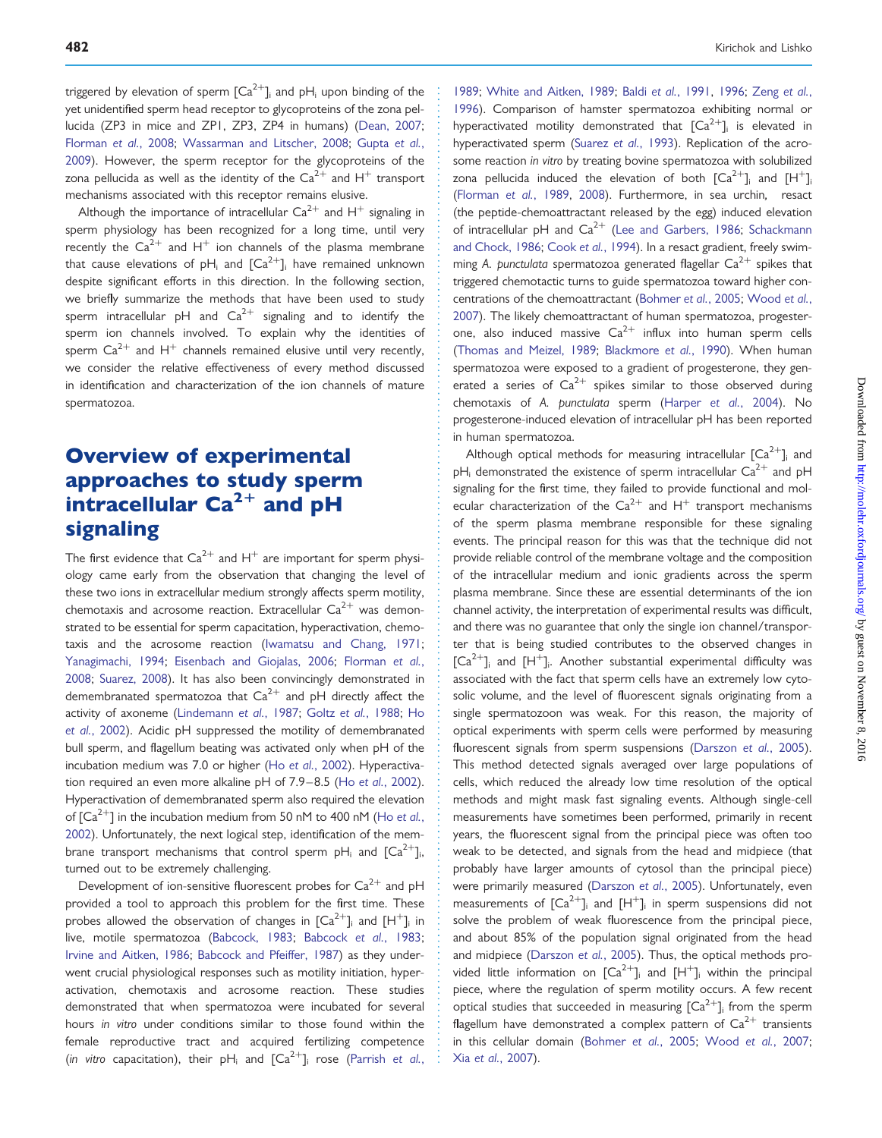triggered by elevation of sperm  $\lceil Ca^{2+} \rceil$  and pH<sub>i</sub> upon binding of the yet unidentified sperm head receptor to glycoproteins of the zona pellucida (ZP3 in mice and ZP1, ZP3, ZP4 in humans) [\(Dean, 2007;](#page-18-0) [Florman](#page-18-0) et al., 2008; [Wassarman and Litscher, 2008](#page-20-0); [Gupta](#page-18-0) et al., [2009](#page-18-0)). However, the sperm receptor for the glycoproteins of the zona pellucida as well as the identity of the  $Ca^{2+}$  and H<sup>+</sup> transport mechanisms associated with this receptor remains elusive.

Although the importance of intracellular  $Ca^{2+}$  and  $H^{+}$  signaling in sperm physiology has been recognized for a long time, until very recently the  $Ca^{2+}$  and H<sup>+</sup> ion channels of the plasma membrane that cause elevations of pH<sub>i</sub> and  $[Ca^{2+}]$ <sub>i</sub> have remained unknown despite significant efforts in this direction. In the following section, we briefly summarize the methods that have been used to study sperm intracellular pH and  $Ca^{2+}$  signaling and to identify the sperm ion channels involved. To explain why the identities of sperm  $Ca^{2+}$  and H<sup>+</sup> channels remained elusive until very recently, we consider the relative effectiveness of every method discussed in identification and characterization of the ion channels of mature spermatozoa.

# Overview of experimental approaches to study sperm intracellular  $Ca^{2+}$  and pH signaling

The first evidence that  $Ca^{2+}$  and H<sup>+</sup> are important for sperm physiology came early from the observation that changing the level of these two ions in extracellular medium strongly affects sperm motility, chemotaxis and acrosome reaction. Extracellular  $Ca^{2+}$  was demonstrated to be essential for sperm capacitation, hyperactivation, chemotaxis and the acrosome reaction [\(Iwamatsu and Chang, 1971;](#page-19-0) [Yanagimachi, 1994](#page-21-0); [Eisenbach and Giojalas, 2006;](#page-18-0) [Florman](#page-18-0) et al., [2008](#page-18-0); [Suarez, 2008\)](#page-20-0). It has also been convincingly demonstrated in demembranated spermatozoa that  $Ca^{2+}$  and pH directly affect the activity of axoneme [\(Lindemann](#page-19-0) et al., 1987; Goltz et al.[, 1988;](#page-18-0) [Ho](#page-18-0) et al.[, 2002](#page-18-0)). Acidic pH suppressed the motility of demembranated bull sperm, and flagellum beating was activated only when pH of the incubation medium was 7.0 or higher (Ho et al.[, 2002\)](#page-18-0). Hyperactiva-tion required an even more alkaline pH of 7.9–8.5 (Ho et al.[, 2002\)](#page-18-0). Hyperactivation of demembranated sperm also required the elevation of  $\lceil Ca^{2+} \rceil$  in the incubation medium from 50 nM to 400 nM (Ho [et al.](#page-18-0), [2002](#page-18-0)). Unfortunately, the next logical step, identification of the membrane transport mechanisms that control sperm pH<sub>i</sub> and  $[Ca^{2+}]_i$ , turned out to be extremely challenging.

Development of ion-sensitive fluorescent probes for  $Ca^{2+}$  and pH provided a tool to approach this problem for the first time. These probes allowed the observation of changes in  $[Ca^{2+}]$  and  $[H^+]$  in live, motile spermatozoa ([Babcock, 1983](#page-17-0); [Babcock](#page-17-0) et al., 1983; [Irvine and Aitken, 1986;](#page-18-0) [Babcock and Pfeiffer, 1987](#page-17-0)) as they underwent crucial physiological responses such as motility initiation, hyperactivation, chemotaxis and acrosome reaction. These studies demonstrated that when spermatozoa were incubated for several hours in vitro under conditions similar to those found within the female reproductive tract and acquired fertilizing competence (in vitro capacitation), their pH<sub>i</sub> and  $[Ca^{2+}]$ <sub>i</sub> rose [\(Parrish](#page-19-0) et al.,

[1989;](#page-19-0) [White and Aitken, 1989;](#page-21-0) Baldi et al.[, 1991,](#page-17-0) [1996](#page-17-0); [Zeng](#page-21-0) et al., [1996\)](#page-21-0). Comparison of hamster spermatozoa exhibiting normal or hyperactivated motility demonstrated that  $[Ca^{2+}]$  is elevated in hyperactivated sperm (Suarez et al.[, 1993](#page-20-0)). Replication of the acrosome reaction in vitro by treating bovine spermatozoa with solubilized zona pellucida induced the elevation of both  $\lceil Ca^{2+} \rceil$  and  $\lceil H^+ \rceil$ ([Florman](#page-18-0) et al., 1989, [2008](#page-18-0)). Furthermore, in sea urchin, resact (the peptide-chemoattractant released by the egg) induced elevation of intracellular pH and  $Ca^{2+}$  ([Lee and Garbers, 1986](#page-19-0); [Schackmann](#page-20-0) [and Chock, 1986;](#page-20-0) Cook et al.[, 1994\)](#page-17-0). In a resact gradient, freely swimming A. punctulata spermatozoa generated flagellar  $Ca^{2+}$  spikes that triggered chemotactic turns to guide spermatozoa toward higher concentrations of the chemoattractant [\(Bohmer](#page-17-0) et al., 2005; [Wood](#page-21-0) et al., [2007\)](#page-21-0). The likely chemoattractant of human spermatozoa, progesterone, also induced massive  $Ca^{2+}$  influx into human sperm cells ([Thomas and Meizel, 1989](#page-20-0); [Blackmore](#page-17-0) et al., 1990). When human spermatozoa were exposed to a gradient of progesterone, they generated a series of  $Ca^{2+}$  spikes similar to those observed during chemotaxis of A. punctulata sperm (Harper et al.[, 2004\)](#page-18-0). No progesterone-induced elevation of intracellular pH has been reported in human spermatozoa.

Although optical methods for measuring intracellular  $[Ca^{2+}]$ <sub>i</sub> and  $pH_i$  demonstrated the existence of sperm intracellular  $Ca^{2+}$  and  $pH$ signaling for the first time, they failed to provide functional and molecular characterization of the  $Ca^{2+}$  and H<sup>+</sup> transport mechanisms of the sperm plasma membrane responsible for these signaling events. The principal reason for this was that the technique did not provide reliable control of the membrane voltage and the composition of the intracellular medium and ionic gradients across the sperm plasma membrane. Since these are essential determinants of the ion channel activity, the interpretation of experimental results was difficult, and there was no guarantee that only the single ion channel/transporter that is being studied contributes to the observed changes in  $[Ca^{2+}]$ <sub>i</sub> and  $[H^+]$ <sub>i</sub>. Another substantial experimental difficulty was associated with the fact that sperm cells have an extremely low cytosolic volume, and the level of fluorescent signals originating from a single spermatozoon was weak. For this reason, the majority of optical experiments with sperm cells were performed by measuring fluorescent signals from sperm suspensions ([Darszon](#page-18-0) et al., 2005). This method detected signals averaged over large populations of cells, which reduced the already low time resolution of the optical methods and might mask fast signaling events. Although single-cell measurements have sometimes been performed, primarily in recent years, the fluorescent signal from the principal piece was often too weak to be detected, and signals from the head and midpiece (that probably have larger amounts of cytosol than the principal piece) were primarily measured ([Darszon](#page-18-0) et al., 2005). Unfortunately, even measurements of  $[Ca^{2+}]$ <sub>i</sub> and  $[H^+]$ <sub>i</sub> in sperm suspensions did not solve the problem of weak fluorescence from the principal piece, and about 85% of the population signal originated from the head and midpiece ([Darszon](#page-18-0) et al., 2005). Thus, the optical methods provided little information on  $[Ca^{2+}]_i$  and  $[H^+]_i$  within the principal piece, where the regulation of sperm motility occurs. A few recent optical studies that succeeded in measuring  $\lceil Ca^{2+} \rceil$  from the sperm flagellum have demonstrated a complex pattern of  $Ca^{2+}$  transients in this cellular domain [\(Bohmer](#page-17-0) et al., 2005; Wood et al.[, 2007;](#page-21-0) Xia et al.[, 2007](#page-21-0)).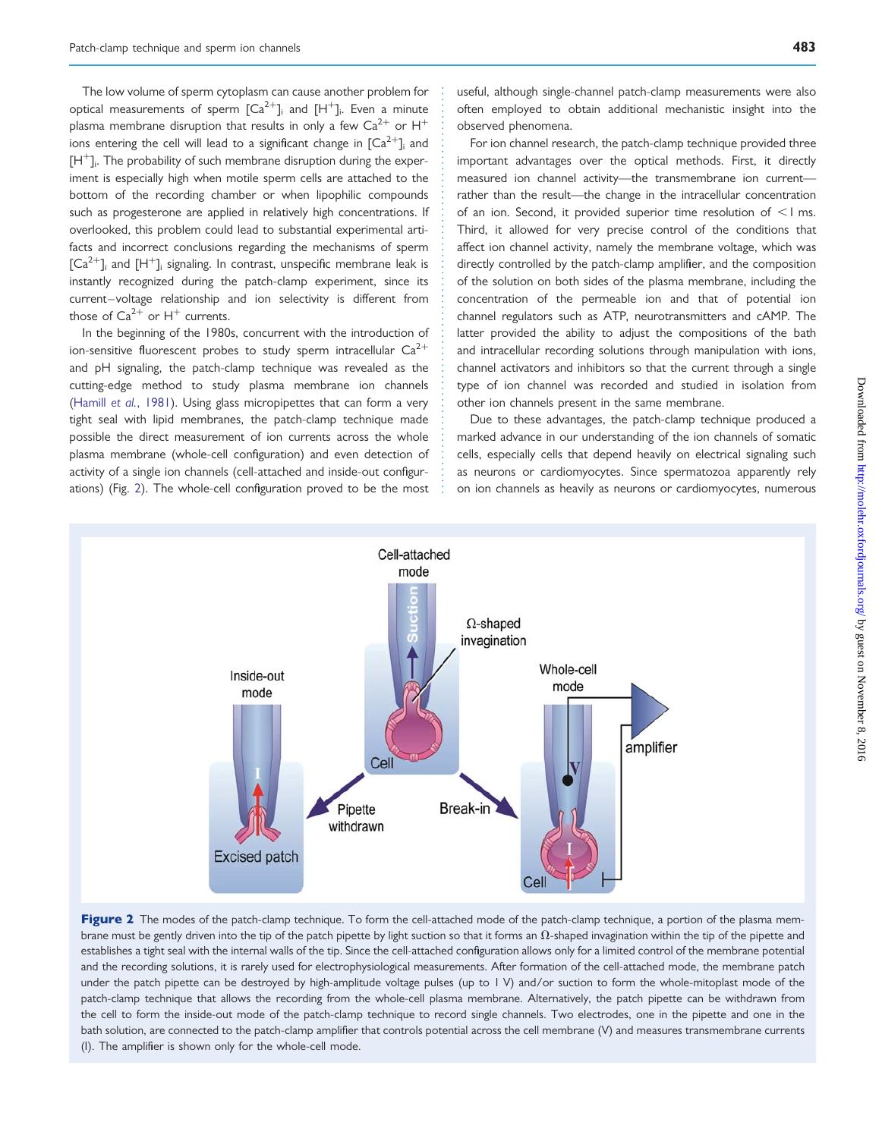<span id="page-5-0"></span>The low volume of sperm cytoplasm can cause another problem for optical measurements of sperm  $\lbrack Ca^{2+}\rbrack _i$  and  $\lbrack H^+ \rbrack _i$ . Even a minute plasma membrane disruption that results in only a few  $Ca^{2+}$  or H<sup>+</sup> ions entering the cell will lead to a significant change in  $[Ca^{2+}]$  and  $[H^+]$ <sub>i</sub>. The probability of such membrane disruption during the experiment is especially high when motile sperm cells are attached to the bottom of the recording chamber or when lipophilic compounds such as progesterone are applied in relatively high concentrations. If overlooked, this problem could lead to substantial experimental artifacts and incorrect conclusions regarding the mechanisms of sperm  $[Ca^{2+}]$  and  $[H^+]$  signaling. In contrast, unspecific membrane leak is instantly recognized during the patch-clamp experiment, since its current–voltage relationship and ion selectivity is different from those of  $Ca^{2+}$  or  $H^{+}$  currents.

In the beginning of the 1980s, concurrent with the introduction of ion-sensitive fluorescent probes to study sperm intracellular  $Ca^{2+}$ and pH signaling, the patch-clamp technique was revealed as the cutting-edge method to study plasma membrane ion channels (Hamill et al.[, 1981\)](#page-18-0). Using glass micropipettes that can form a very tight seal with lipid membranes, the patch-clamp technique made possible the direct measurement of ion currents across the whole plasma membrane (whole-cell configuration) and even detection of activity of a single ion channels (cell-attached and inside-out configurations) (Fig. 2). The whole-cell configuration proved to be the most

useful, although single-channel patch-clamp measurements were also often employed to obtain additional mechanistic insight into the observed phenomena.

For ion channel research, the patch-clamp technique provided three important advantages over the optical methods. First, it directly measured ion channel activity—the transmembrane ion current rather than the result—the change in the intracellular concentration of an ion. Second, it provided superior time resolution of  $\leq$  l ms. Third, it allowed for very precise control of the conditions that affect ion channel activity, namely the membrane voltage, which was directly controlled by the patch-clamp amplifier, and the composition of the solution on both sides of the plasma membrane, including the concentration of the permeable ion and that of potential ion channel regulators such as ATP, neurotransmitters and cAMP. The latter provided the ability to adjust the compositions of the bath and intracellular recording solutions through manipulation with ions, channel activators and inhibitors so that the current through a single type of ion channel was recorded and studied in isolation from other ion channels present in the same membrane.

Due to these advantages, the patch-clamp technique produced a marked advance in our understanding of the ion channels of somatic cells, especially cells that depend heavily on electrical signaling such as neurons or cardiomyocytes. Since spermatozoa apparently rely on ion channels as heavily as neurons or cardiomyocytes, numerous



Figure 2 The modes of the patch-clamp technique. To form the cell-attached mode of the patch-clamp technique, a portion of the plasma membrane must be gently driven into the tip of the patch pipette by light suction so that it forms an  $\Omega$ -shaped invagination within the tip of the pipette and establishes a tight seal with the internal walls of the tip. Since the cell-attached configuration allows only for a limited control of the membrane potential and the recording solutions, it is rarely used for electrophysiological measurements. After formation of the cell-attached mode, the membrane patch under the patch pipette can be destroyed by high-amplitude voltage pulses (up to 1 V) and/or suction to form the whole-mitoplast mode of the patch-clamp technique that allows the recording from the whole-cell plasma membrane. Alternatively, the patch pipette can be withdrawn from the cell to form the inside-out mode of the patch-clamp technique to record single channels. Two electrodes, one in the pipette and one in the bath solution, are connected to the patch-clamp amplifier that controls potential across the cell membrane (V) and measures transmembrane currents (I). The amplifier is shown only for the whole-cell mode.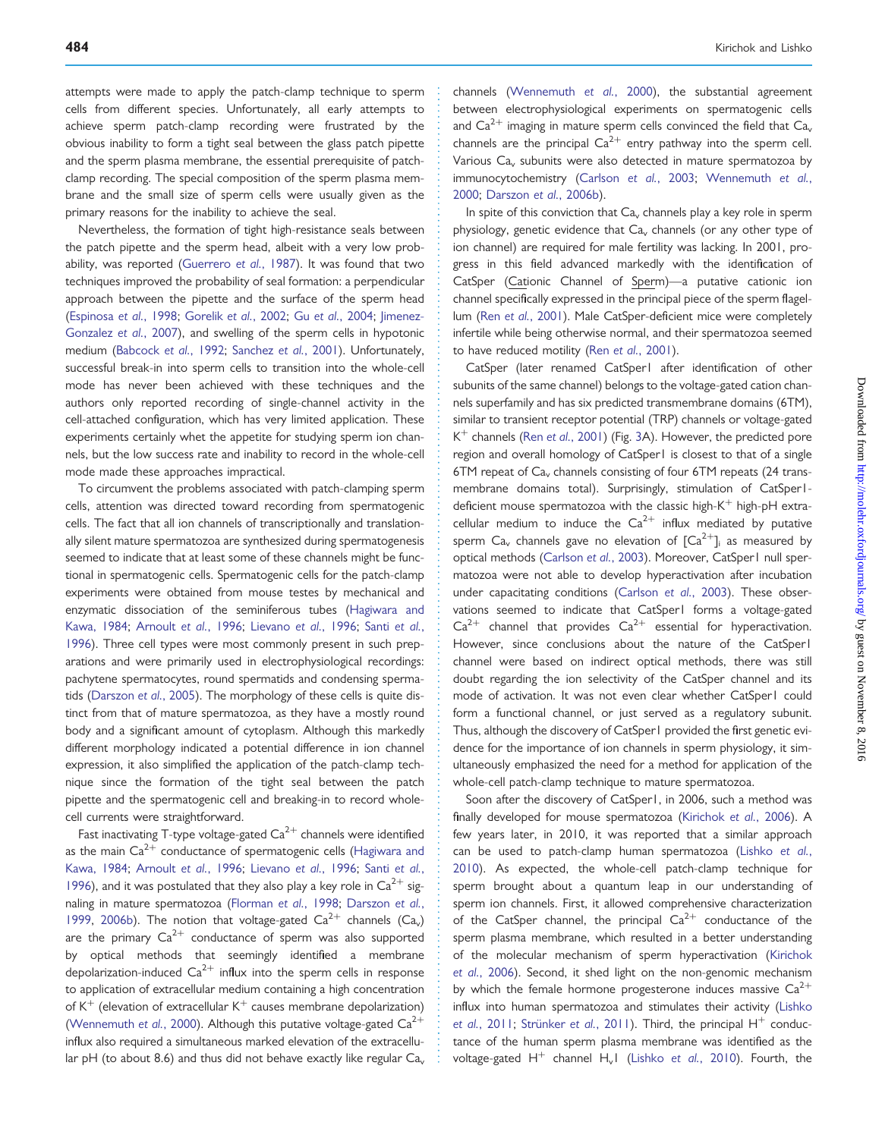attempts were made to apply the patch-clamp technique to sperm cells from different species. Unfortunately, all early attempts to achieve sperm patch-clamp recording were frustrated by the obvious inability to form a tight seal between the glass patch pipette and the sperm plasma membrane, the essential prerequisite of patchclamp recording. The special composition of the sperm plasma membrane and the small size of sperm cells were usually given as the primary reasons for the inability to achieve the seal.

Nevertheless, the formation of tight high-resistance seals between the patch pipette and the sperm head, albeit with a very low probability, was reported ([Guerrero](#page-18-0) et al., 1987). It was found that two techniques improved the probability of seal formation: a perpendicular approach between the pipette and the surface of the sperm head [\(Espinosa](#page-18-0) et al., 1998; [Gorelik](#page-18-0) et al., 2002; Gu et al.[, 2004](#page-18-0); [Jimenez-](#page-19-0)[Gonzalez](#page-19-0) et al., 2007), and swelling of the sperm cells in hypotonic medium ([Babcock](#page-17-0) et al., 1992; [Sanchez](#page-20-0) et al., 2001). Unfortunately, successful break-in into sperm cells to transition into the whole-cell mode has never been achieved with these techniques and the authors only reported recording of single-channel activity in the cell-attached configuration, which has very limited application. These experiments certainly whet the appetite for studying sperm ion channels, but the low success rate and inability to record in the whole-cell mode made these approaches impractical.

To circumvent the problems associated with patch-clamping sperm cells, attention was directed toward recording from spermatogenic cells. The fact that all ion channels of transcriptionally and translationally silent mature spermatozoa are synthesized during spermatogenesis seemed to indicate that at least some of these channels might be functional in spermatogenic cells. Spermatogenic cells for the patch-clamp experiments were obtained from mouse testes by mechanical and enzymatic dissociation of the seminiferous tubes ([Hagiwara and](#page-18-0) [Kawa, 1984;](#page-18-0) [Arnoult](#page-17-0) et al., 1996; [Lievano](#page-19-0) et al., 1996; Santi [et al.](#page-20-0), [1996](#page-20-0)). Three cell types were most commonly present in such preparations and were primarily used in electrophysiological recordings: pachytene spermatocytes, round spermatids and condensing spermatids [\(Darszon](#page-18-0) et al., 2005). The morphology of these cells is quite distinct from that of mature spermatozoa, as they have a mostly round body and a significant amount of cytoplasm. Although this markedly different morphology indicated a potential difference in ion channel expression, it also simplified the application of the patch-clamp technique since the formation of the tight seal between the patch pipette and the spermatogenic cell and breaking-in to record wholecell currents were straightforward.

Fast inactivating T-type voltage-gated  $Ca^{2+}$  channels were identified as the main  $Ca^{2+}$  conductance of spermatogenic cells ([Hagiwara and](#page-18-0) [Kawa, 1984;](#page-18-0) [Arnoult](#page-17-0) et al., 1996; [Lievano](#page-19-0) et al., 1996; Santi [et al.](#page-20-0), [1996](#page-20-0)), and it was postulated that they also play a key role in  $Ca^{2+}$  signaling in mature spermatozoa ([Florman](#page-18-0) et al., 1998; [Darszon](#page-18-0) et al., [1999](#page-18-0), [2006b](#page-18-0)). The notion that voltage-gated  $Ca^{2+}$  channels (Ca<sub>v</sub>) are the primary  $Ca^{2+}$  conductance of sperm was also supported by optical methods that seemingly identified a membrane depolarization-induced  $Ca^{2+}$  influx into the sperm cells in response to application of extracellular medium containing a high concentration of  $K^+$  (elevation of extracellular  $K^+$  causes membrane depolarization) [\(Wennemuth](#page-20-0) et al., 2000). Although this putative voltage-gated  $Ca^{2+}$ influx also required a simultaneous marked elevation of the extracellular pH (to about 8.6) and thus did not behave exactly like regular  $Ca<sub>v</sub>$ 

channels [\(Wennemuth](#page-20-0) et al., 2000), the substantial agreement between electrophysiological experiments on spermatogenic cells and  $Ca^{2+}$  imaging in mature sperm cells convinced the field that  $Ca<sub>v</sub>$ channels are the principal  $Ca^{2+}$  entry pathway into the sperm cell. Various  $Ca<sub>v</sub>$  subunits were also detected in mature spermatozoa by immunocytochemistry [\(Carlson](#page-17-0) et al., 2003; [Wennemuth](#page-20-0) et al., [2000;](#page-20-0) [Darszon](#page-18-0) et al., 2006b).

In spite of this conviction that  $Ca<sub>v</sub>$  channels play a key role in sperm physiology, genetic evidence that  $Ca<sub>v</sub>$  channels (or any other type of ion channel) are required for male fertility was lacking. In 2001, progress in this field advanced markedly with the identification of CatSper (Cationic Channel of Sperm)—a putative cationic ion channel specifically expressed in the principal piece of the sperm flagellum (Ren et al.[, 2001](#page-20-0)). Male CatSper-deficient mice were completely infertile while being otherwise normal, and their spermatozoa seemed to have reduced motility (Ren et al.[, 2001\)](#page-20-0).

CatSper (later renamed CatSper1 after identification of other subunits of the same channel) belongs to the voltage-gated cation channels superfamily and has six predicted transmembrane domains (6TM), similar to transient receptor potential (TRP) channels or voltage-gated  $K^+$  channels (Ren et al.[, 2001](#page-20-0)) (Fig. [3A](#page-7-0)). However, the predicted pore region and overall homology of CatSper1 is closest to that of a single 6TM repeat of Ca<sub>v</sub> channels consisting of four 6TM repeats (24 transmembrane domains total). Surprisingly, stimulation of CatSper1 deficient mouse spermatozoa with the classic high- $K^+$  high-pH extracellular medium to induce the  $Ca^{2+}$  influx mediated by putative sperm Ca<sub>v</sub> channels gave no elevation of  $[Ca^{2+}]$  as measured by optical methods [\(Carlson](#page-17-0) et al., 2003). Moreover, CatSper1 null spermatozoa were not able to develop hyperactivation after incubation under capacitating conditions ([Carlson](#page-17-0) et al., 2003). These observations seemed to indicate that CatSper1 forms a voltage-gated  $Ca^{2+}$  channel that provides  $Ca^{2+}$  essential for hyperactivation. However, since conclusions about the nature of the CatSper1 channel were based on indirect optical methods, there was still doubt regarding the ion selectivity of the CatSper channel and its mode of activation. It was not even clear whether CatSper1 could form a functional channel, or just served as a regulatory subunit. Thus, although the discovery of CatSper1 provided the first genetic evidence for the importance of ion channels in sperm physiology, it simultaneously emphasized the need for a method for application of the whole-cell patch-clamp technique to mature spermatozoa.

Soon after the discovery of CatSper1, in 2006, such a method was finally developed for mouse spermatozoa ([Kirichok](#page-19-0) et al., 2006). A few years later, in 2010, it was reported that a similar approach can be used to patch-clamp human spermatozoa ([Lishko](#page-19-0) et al., [2010\)](#page-19-0). As expected, the whole-cell patch-clamp technique for sperm brought about a quantum leap in our understanding of sperm ion channels. First, it allowed comprehensive characterization of the CatSper channel, the principal  $Ca^{2+}$  conductance of the sperm plasma membrane, which resulted in a better understanding of the molecular mechanism of sperm hyperactivation ([Kirichok](#page-19-0) et al.[, 2006\)](#page-19-0). Second, it shed light on the non-genomic mechanism by which the female hormone progesterone induces massive  $Ca^{2+}$ influx into human spermatozoa and stimulates their activity [\(Lishko](#page-19-0) et al.[, 2011](#page-19-0); Strünker et al., 2011). Third, the principal  $H^+$  conductance of the human sperm plasma membrane was identified as the voltage-gated  $H^+$  channel  $H_vI$  (Lishko et al.[, 2010](#page-19-0)). Fourth, the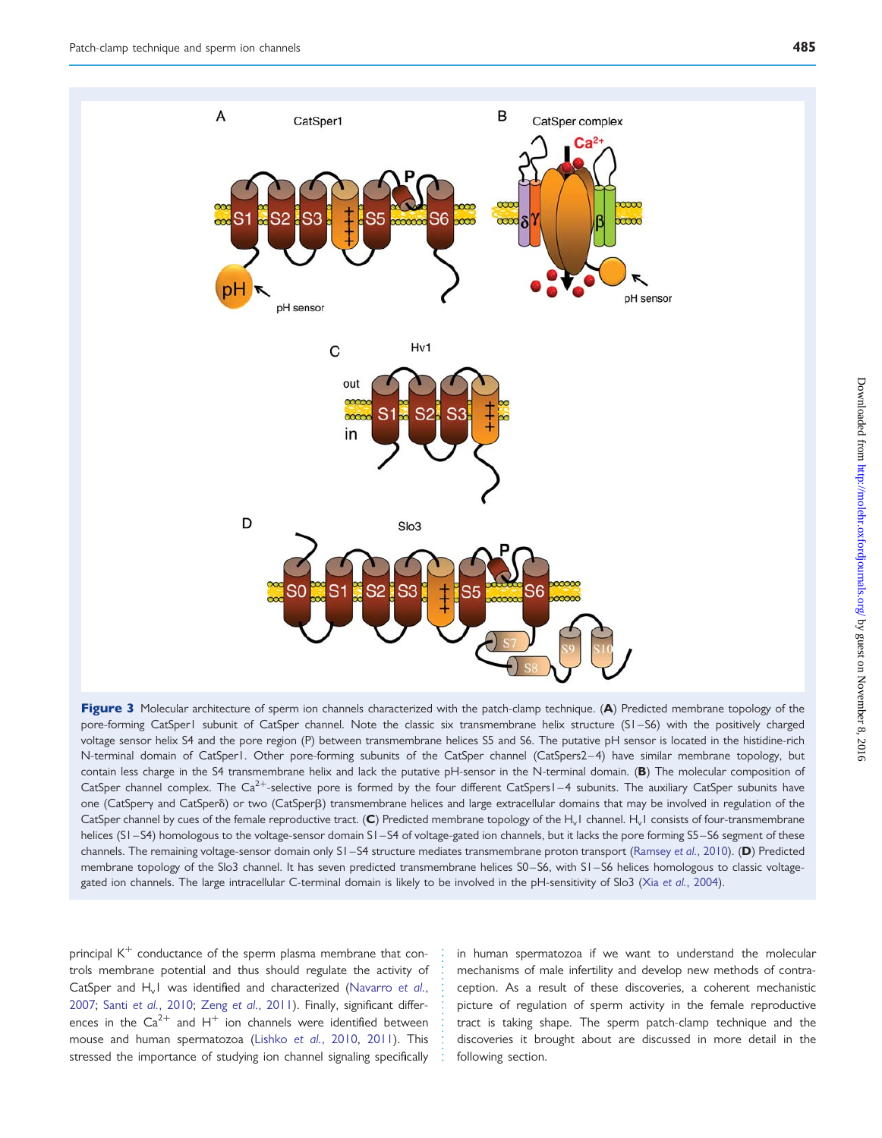<span id="page-7-0"></span>

Figure 3 Molecular architecture of sperm ion channels characterized with the patch-clamp technique. (A) Predicted membrane topology of the pore-forming CatSper1 subunit of CatSper channel. Note the classic six transmembrane helix structure (S1-S6) with the positively charged voltage sensor helix S4 and the pore region (P) between transmembrane helices S5 and S6. The putative pH sensor is located in the histidine-rich N-terminal domain of CatSper1. Other pore-forming subunits of the CatSper channel (CatSpers2– 4) have similar membrane topology, but contain less charge in the S4 transmembrane helix and lack the putative pH-sensor in the N-terminal domain. (B) The molecular composition of CatSper channel complex. The Ca<sup>2+</sup>-selective pore is formed by the four different CatSpers1–4 subunits. The auxiliary CatSper subunits have one (CatSpery and CatSper<sub>b</sub>) or two (CatSper<sub>B</sub>) transmembrane helices and large extracellular domains that may be involved in regulation of the CatSper channel by cues of the female reproductive tract. (C) Predicted membrane topology of the H<sub>v</sub>1 channel. H<sub>v</sub>1 consists of four-transmembrane helices (S1–S4) homologous to the voltage-sensor domain S1–S4 of voltage-gated ion channels, but it lacks the pore forming S5–S6 segment of these channels. The remaining voltage-sensor domain only S1-S4 structure mediates transmembrane proton transport [\(Ramsey](#page-20-0) et al., 2010). (D) Predicted membrane topology of the Slo3 channel. It has seven predicted transmembrane helices S0-S6, with S1-S6 helices homologous to classic voltage-gated ion channels. The large intracellular C-terminal domain is likely to be involved in the pH-sensitivity of Slo3 (Xia et al.[, 2004\)](#page-21-0).

principal  $K^{+}$  conductance of the sperm plasma membrane that controls membrane potential and thus should regulate the activity of CatSper and H<sub>v</sub>I was identified and characterized ([Navarro](#page-19-0) et al., [2007](#page-19-0); Santi et al.[, 2010](#page-20-0); Zeng et al.[, 2011](#page-21-0)). Finally, significant differences in the  $Ca^{2+}$  and H<sup>+</sup> ion channels were identified between mouse and human spermatozoa (Lishko et al.[, 2010](#page-19-0), [2011](#page-19-0)). This stressed the importance of studying ion channel signaling specifically

in human spermatozoa if we want to understand the molecular mechanisms of male infertility and develop new methods of contraception. As a result of these discoveries, a coherent mechanistic picture of regulation of sperm activity in the female reproductive tract is taking shape. The sperm patch-clamp technique and the discoveries it brought about are discussed in more detail in the following section.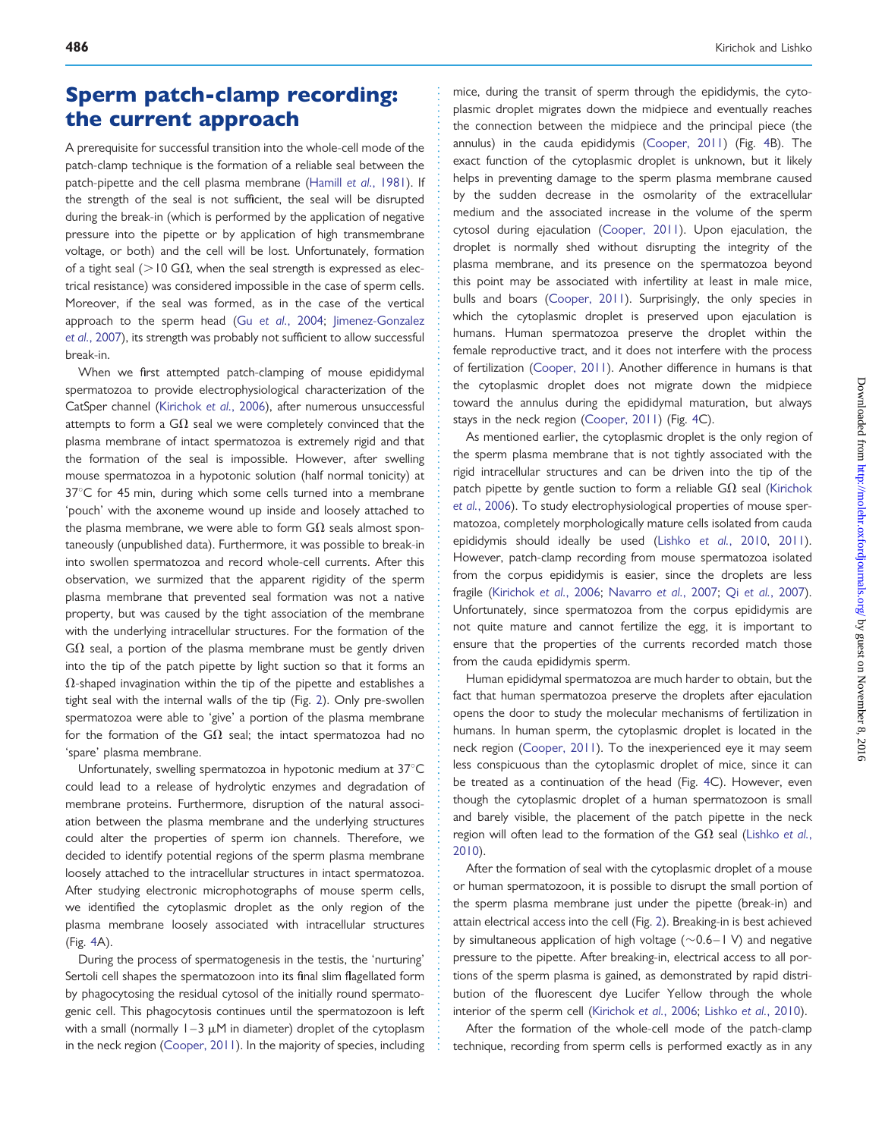## Sperm patch-clamp recording: the current approach

A prerequisite for successful transition into the whole-cell mode of the patch-clamp technique is the formation of a reliable seal between the patch-pipette and the cell plasma membrane (Hamill et al.[, 1981](#page-18-0)). If the strength of the seal is not sufficient, the seal will be disrupted during the break-in (which is performed by the application of negative pressure into the pipette or by application of high transmembrane voltage, or both) and the cell will be lost. Unfortunately, formation of a tight seal ( $>10$  G $\Omega$ , when the seal strength is expressed as electrical resistance) was considered impossible in the case of sperm cells. Moreover, if the seal was formed, as in the case of the vertical approach to the sperm head (Gu et al.[, 2004;](#page-18-0) [Jimenez-Gonzalez](#page-19-0) et al.[, 2007](#page-19-0)), its strength was probably not sufficient to allow successful break-in.

When we first attempted patch-clamping of mouse epididymal spermatozoa to provide electrophysiological characterization of the CatSper channel ([Kirichok](#page-19-0) et al., 2006), after numerous unsuccessful attempts to form a G $\Omega$  seal we were completely convinced that the plasma membrane of intact spermatozoa is extremely rigid and that the formation of the seal is impossible. However, after swelling mouse spermatozoa in a hypotonic solution (half normal tonicity) at  $37^{\circ}$ C for 45 min, during which some cells turned into a membrane 'pouch' with the axoneme wound up inside and loosely attached to the plasma membrane, we were able to form  $G\Omega$  seals almost spontaneously (unpublished data). Furthermore, it was possible to break-in into swollen spermatozoa and record whole-cell currents. After this observation, we surmized that the apparent rigidity of the sperm plasma membrane that prevented seal formation was not a native property, but was caused by the tight association of the membrane with the underlying intracellular structures. For the formation of the  $G\Omega$  seal, a portion of the plasma membrane must be gently driven into the tip of the patch pipette by light suction so that it forms an  $\Omega$ -shaped invagination within the tip of the pipette and establishes a tight seal with the internal walls of the tip (Fig. [2](#page-5-0)). Only pre-swollen spermatozoa were able to 'give' a portion of the plasma membrane for the formation of the G $\Omega$  seal; the intact spermatozoa had no 'spare' plasma membrane.

Unfortunately, swelling spermatozoa in hypotonic medium at 37°C could lead to a release of hydrolytic enzymes and degradation of membrane proteins. Furthermore, disruption of the natural association between the plasma membrane and the underlying structures could alter the properties of sperm ion channels. Therefore, we decided to identify potential regions of the sperm plasma membrane loosely attached to the intracellular structures in intact spermatozoa. After studying electronic microphotographs of mouse sperm cells, we identified the cytoplasmic droplet as the only region of the plasma membrane loosely associated with intracellular structures (Fig. [4](#page-9-0)A).

During the process of spermatogenesis in the testis, the 'nurturing' Sertoli cell shapes the spermatozoon into its final slim flagellated form by phagocytosing the residual cytosol of the initially round spermatogenic cell. This phagocytosis continues until the spermatozoon is left with a small (normally  $1-3 \mu$ M in diameter) droplet of the cytoplasm in the neck region ([Cooper, 2011\)](#page-17-0). In the majority of species, including mice, during the transit of sperm through the epididymis, the cytoplasmic droplet migrates down the midpiece and eventually reaches the connection between the midpiece and the principal piece (the annulus) in the cauda epididymis [\(Cooper, 2011](#page-17-0)) (Fig. [4B](#page-9-0)). The exact function of the cytoplasmic droplet is unknown, but it likely helps in preventing damage to the sperm plasma membrane caused by the sudden decrease in the osmolarity of the extracellular medium and the associated increase in the volume of the sperm cytosol during ejaculation [\(Cooper, 2011\)](#page-17-0). Upon ejaculation, the droplet is normally shed without disrupting the integrity of the plasma membrane, and its presence on the spermatozoa beyond this point may be associated with infertility at least in male mice, bulls and boars [\(Cooper, 2011](#page-17-0)). Surprisingly, the only species in which the cytoplasmic droplet is preserved upon ejaculation is humans. Human spermatozoa preserve the droplet within the female reproductive tract, and it does not interfere with the process of fertilization [\(Cooper, 2011\)](#page-17-0). Another difference in humans is that the cytoplasmic droplet does not migrate down the midpiece toward the annulus during the epididymal maturation, but always stays in the neck region [\(Cooper, 2011](#page-17-0)) (Fig. [4](#page-9-0)C).

As mentioned earlier, the cytoplasmic droplet is the only region of the sperm plasma membrane that is not tightly associated with the rigid intracellular structures and can be driven into the tip of the patch pipette by gentle suction to form a reliable G $\Omega$  seal ([Kirichok](#page-19-0) et al.[, 2006\)](#page-19-0). To study electrophysiological properties of mouse spermatozoa, completely morphologically mature cells isolated from cauda epididymis should ideally be used (Lishko et al.[, 2010,](#page-19-0) [2011\)](#page-19-0). However, patch-clamp recording from mouse spermatozoa isolated from the corpus epididymis is easier, since the droplets are less fragile [\(Kirichok](#page-19-0) et al., 2006; [Navarro](#page-19-0) et al., 2007; Qi et al.[, 2007\)](#page-19-0). Unfortunately, since spermatozoa from the corpus epididymis are not quite mature and cannot fertilize the egg, it is important to ensure that the properties of the currents recorded match those from the cauda epididymis sperm.

Human epididymal spermatozoa are much harder to obtain, but the fact that human spermatozoa preserve the droplets after ejaculation opens the door to study the molecular mechanisms of fertilization in humans. In human sperm, the cytoplasmic droplet is located in the neck region ([Cooper, 2011](#page-17-0)). To the inexperienced eye it may seem less conspicuous than the cytoplasmic droplet of mice, since it can be treated as a continuation of the head (Fig. [4](#page-9-0)C). However, even though the cytoplasmic droplet of a human spermatozoon is small and barely visible, the placement of the patch pipette in the neck region will often lead to the formation of the  $G\Omega$  seal [\(Lishko](#page-19-0) et al., [2010\)](#page-19-0).

After the formation of seal with the cytoplasmic droplet of a mouse or human spermatozoon, it is possible to disrupt the small portion of the sperm plasma membrane just under the pipette (break-in) and attain electrical access into the cell (Fig. [2\)](#page-5-0). Breaking-in is best achieved by simultaneous application of high voltage  $(\sim 0.6-1 \text{ V})$  and negative pressure to the pipette. After breaking-in, electrical access to all portions of the sperm plasma is gained, as demonstrated by rapid distribution of the fluorescent dye Lucifer Yellow through the whole interior of the sperm cell [\(Kirichok](#page-19-0) et al., 2006; Lishko et al.[, 2010\)](#page-19-0).

After the formation of the whole-cell mode of the patch-clamp technique, recording from sperm cells is performed exactly as in any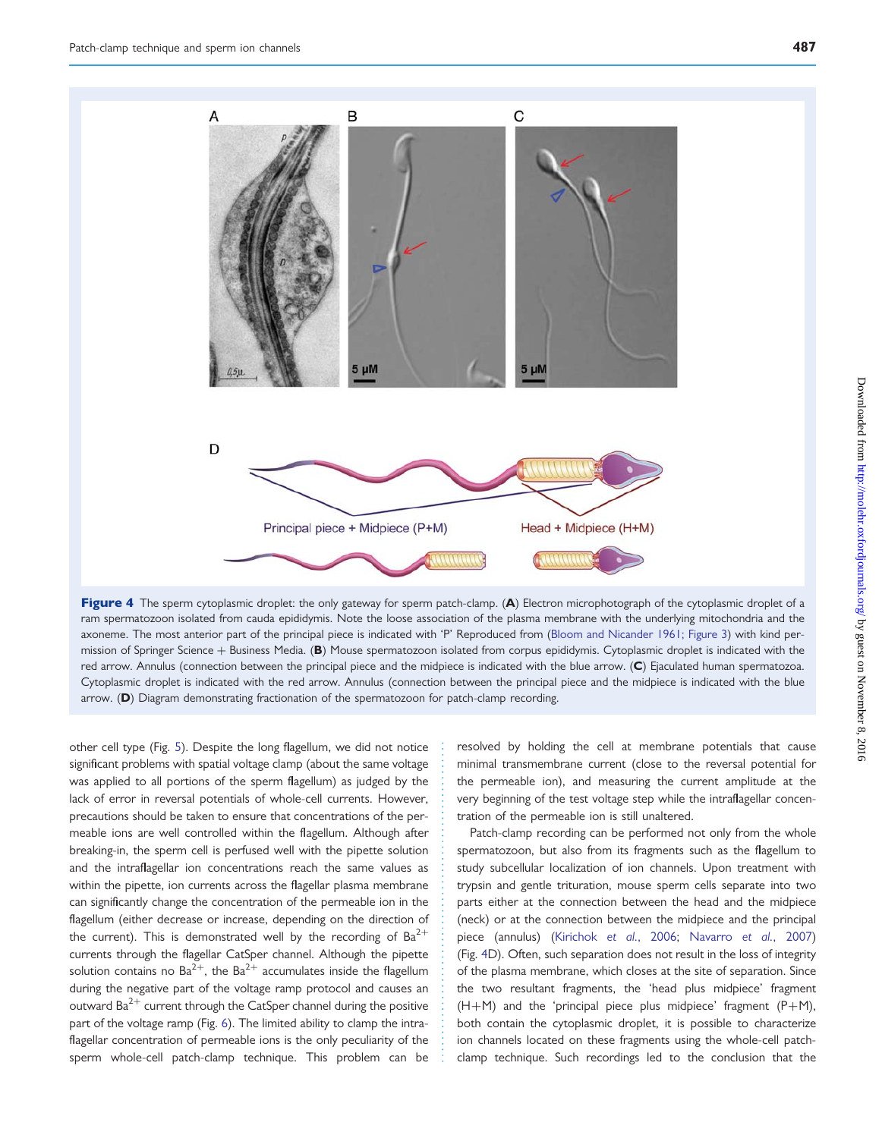<span id="page-9-0"></span>

Figure 4 The sperm cytoplasmic droplet: the only gateway for sperm patch-clamp. (A) Electron microphotograph of the cytoplasmic droplet of a ram spermatozoon isolated from cauda epididymis. Note the loose association of the plasma membrane with the underlying mitochondria and the axoneme. The most anterior part of the principal piece is indicated with 'P' Reproduced from ([Bloom and Nicander 1961; Figure](#page-17-0) [3](#page-7-0)) with kind permission of Springer Science + Business Media. (B) Mouse spermatozoon isolated from corpus epididymis. Cytoplasmic droplet is indicated with the red arrow. Annulus (connection between the principal piece and the midpiece is indicated with the blue arrow. (C) Ejaculated human spermatozoa. Cytoplasmic droplet is indicated with the red arrow. Annulus (connection between the principal piece and the midpiece is indicated with the blue arrow. (D) Diagram demonstrating fractionation of the spermatozoon for patch-clamp recording.

other cell type (Fig. [5\)](#page-10-0). Despite the long flagellum, we did not notice significant problems with spatial voltage clamp (about the same voltage was applied to all portions of the sperm flagellum) as judged by the lack of error in reversal potentials of whole-cell currents. However, precautions should be taken to ensure that concentrations of the permeable ions are well controlled within the flagellum. Although after breaking-in, the sperm cell is perfused well with the pipette solution and the intraflagellar ion concentrations reach the same values as within the pipette, ion currents across the flagellar plasma membrane can significantly change the concentration of the permeable ion in the flagellum (either decrease or increase, depending on the direction of the current). This is demonstrated well by the recording of  $Ba^{2+}$ currents through the flagellar CatSper channel. Although the pipette solution contains no  $Ba^{2+}$ , the  $Ba^{2+}$  accumulates inside the flagellum during the negative part of the voltage ramp protocol and causes an outward  $Ba^{2+}$  current through the CatSper channel during the positive part of the voltage ramp (Fig. [6](#page-10-0)). The limited ability to clamp the intraflagellar concentration of permeable ions is the only peculiarity of the sperm whole-cell patch-clamp technique. This problem can be

resolved by holding the cell at membrane potentials that cause minimal transmembrane current (close to the reversal potential for the permeable ion), and measuring the current amplitude at the very beginning of the test voltage step while the intraflagellar concentration of the permeable ion is still unaltered.

Patch-clamp recording can be performed not only from the whole spermatozoon, but also from its fragments such as the flagellum to study subcellular localization of ion channels. Upon treatment with trypsin and gentle trituration, mouse sperm cells separate into two parts either at the connection between the head and the midpiece (neck) or at the connection between the midpiece and the principal piece (annulus) [\(Kirichok](#page-19-0) et al., 2006; [Navarro](#page-19-0) et al., 2007) (Fig. 4D). Often, such separation does not result in the loss of integrity of the plasma membrane, which closes at the site of separation. Since the two resultant fragments, the 'head plus midpiece' fragment  $(H+M)$  and the 'principal piece plus midpiece' fragment  $(P+M)$ , both contain the cytoplasmic droplet, it is possible to characterize ion channels located on these fragments using the whole-cell patchclamp technique. Such recordings led to the conclusion that the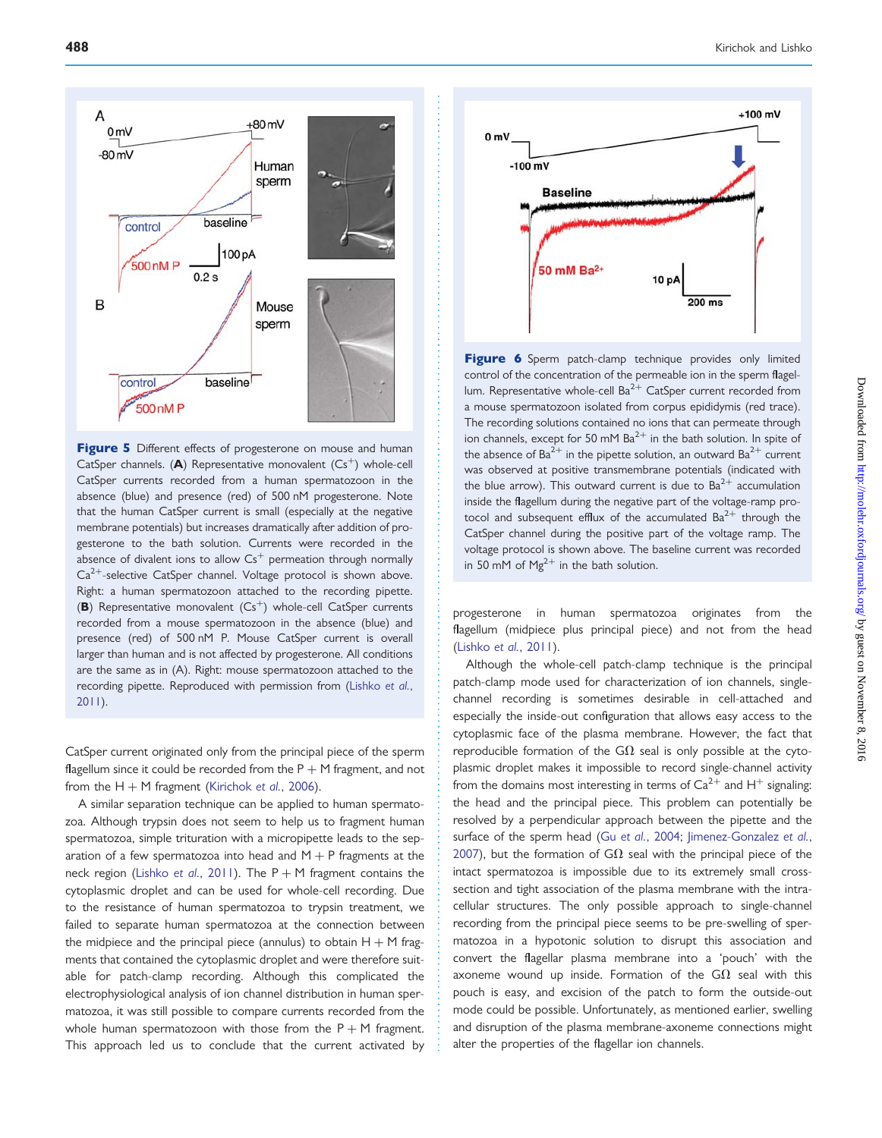<span id="page-10-0"></span>

Figure 5 Different effects of progesterone on mouse and human CatSper channels. (A) Representative monovalent  $(Cs^+)$  whole-cell CatSper currents recorded from a human spermatozoon in the absence (blue) and presence (red) of 500 nM progesterone. Note that the human CatSper current is small (especially at the negative membrane potentials) but increases dramatically after addition of progesterone to the bath solution. Currents were recorded in the absence of divalent ions to allow  $Cs<sup>+</sup>$  permeation through normally Ca<sup>2+</sup>-selective CatSper channel. Voltage protocol is shown above. Right: a human spermatozoon attached to the recording pipette. (B) Representative monovalent  $(Cs^+)$  whole-cell CatSper currents recorded from a mouse spermatozoon in the absence (blue) and presence (red) of 500 nM P. Mouse CatSper current is overall larger than human and is not affected by progesterone. All conditions are the same as in (A). Right: mouse spermatozoon attached to the recording pipette. Reproduced with permission from ([Lishko](#page-19-0) et al., [2011](#page-19-0)).

CatSper current originated only from the principal piece of the sperm flagellum since it could be recorded from the  $P + M$  fragment, and not from the  $H + M$  fragment [\(Kirichok](#page-19-0) et al., 2006).

A similar separation technique can be applied to human spermatozoa. Although trypsin does not seem to help us to fragment human spermatozoa, simple trituration with a micropipette leads to the separation of a few spermatozoa into head and  $M + P$  fragments at the neck region (Lishko et al.[, 2011](#page-19-0)). The  $P + M$  fragment contains the cytoplasmic droplet and can be used for whole-cell recording. Due to the resistance of human spermatozoa to trypsin treatment, we failed to separate human spermatozoa at the connection between the midpiece and the principal piece (annulus) to obtain  $H + M$  fragments that contained the cytoplasmic droplet and were therefore suitable for patch-clamp recording. Although this complicated the electrophysiological analysis of ion channel distribution in human spermatozoa, it was still possible to compare currents recorded from the whole human spermatozoon with those from the  $P + M$  fragment. This approach led us to conclude that the current activated by



Figure 6 Sperm patch-clamp technique provides only limited control of the concentration of the permeable ion in the sperm flagellum. Representative whole-cell  $Ba^{2+}$  CatSper current recorded from a mouse spermatozoon isolated from corpus epididymis (red trace). The recording solutions contained no ions that can permeate through ion channels, except for 50 mM  $Ba^{2+}$  in the bath solution. In spite of the absence of  $Ba^{2+}$  in the pipette solution, an outward  $Ba^{2+}$  current was observed at positive transmembrane potentials (indicated with the blue arrow). This outward current is due to  $Ba^{2+}$  accumulation inside the flagellum during the negative part of the voltage-ramp protocol and subsequent efflux of the accumulated  $Ba^{2+}$  through the CatSper channel during the positive part of the voltage ramp. The voltage protocol is shown above. The baseline current was recorded in 50 mM of  $Mg^{2+}$  in the bath solution.

progesterone in human spermatozoa originates from the flagellum (midpiece plus principal piece) and not from the head (Lishko et al.[, 2011\)](#page-19-0).

Although the whole-cell patch-clamp technique is the principal patch-clamp mode used for characterization of ion channels, singlechannel recording is sometimes desirable in cell-attached and especially the inside-out configuration that allows easy access to the cytoplasmic face of the plasma membrane. However, the fact that reproducible formation of the G $\Omega$  seal is only possible at the cytoplasmic droplet makes it impossible to record single-channel activity from the domains most interesting in terms of  $Ca^{2+}$  and  $H^{+}$  signaling: the head and the principal piece. This problem can potentially be resolved by a perpendicular approach between the pipette and the surface of the sperm head (Gu et al.[, 2004](#page-18-0); [Jimenez-Gonzalez](#page-19-0) et al., [2007\)](#page-19-0), but the formation of G $\Omega$  seal with the principal piece of the intact spermatozoa is impossible due to its extremely small crosssection and tight association of the plasma membrane with the intracellular structures. The only possible approach to single-channel recording from the principal piece seems to be pre-swelling of spermatozoa in a hypotonic solution to disrupt this association and convert the flagellar plasma membrane into a 'pouch' with the axoneme wound up inside. Formation of the  $G\Omega$  seal with this pouch is easy, and excision of the patch to form the outside-out mode could be possible. Unfortunately, as mentioned earlier, swelling and disruption of the plasma membrane-axoneme connections might alter the properties of the flagellar ion channels.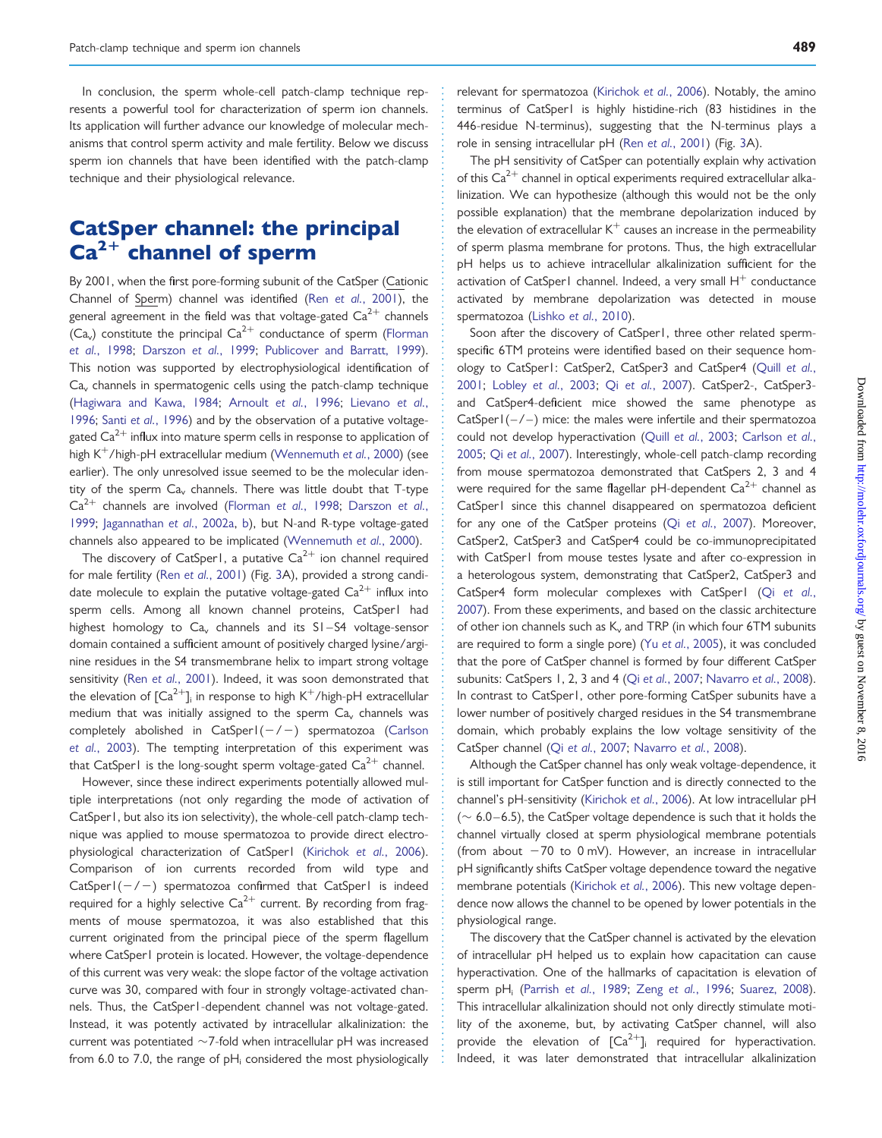In conclusion, the sperm whole-cell patch-clamp technique represents a powerful tool for characterization of sperm ion channels. Its application will further advance our knowledge of molecular mechanisms that control sperm activity and male fertility. Below we discuss sperm ion channels that have been identified with the patch-clamp technique and their physiological relevance.

# CatSper channel: the principal  $Ca<sup>2+</sup>$  channel of sperm

By 2001, when the first pore-forming subunit of the CatSper (Cationic Channel of Sperm) channel was identified (Ren et al.[, 2001](#page-20-0)), the general agreement in the field was that voltage-gated  $Ca^{2+}$  channels  $(C_{a_{\nu}})$  constitute the principal  $Ca^{2+}$  conductance of sperm [\(Florman](#page-18-0) et al.[, 1998](#page-18-0); [Darszon](#page-18-0) et al., 1999; [Publicover and Barratt, 1999\)](#page-19-0). This notion was supported by electrophysiological identification of Cav channels in spermatogenic cells using the patch-clamp technique [\(Hagiwara and Kawa, 1984;](#page-18-0) [Arnoult](#page-17-0) et al., 1996; [Lievano](#page-19-0) et al., [1996](#page-19-0); Santi et al.[, 1996\)](#page-20-0) and by the observation of a putative voltagegated  $Ca^{2+}$  influx into mature sperm cells in response to application of high  $K^+/$ high-pH extracellular medium ([Wennemuth](#page-20-0) et al., 2000) (see earlier). The only unresolved issue seemed to be the molecular identity of the sperm  $Ca<sub>v</sub>$  channels. There was little doubt that T-type  $Ca^{2+}$  channels are involved ([Florman](#page-18-0) et al., 1998; [Darszon](#page-18-0) et al., [1999](#page-18-0); [Jagannathan](#page-19-0) et al., 2002a, [b\)](#page-19-0), but N-and R-type voltage-gated channels also appeared to be implicated ([Wennemuth](#page-20-0) et al., 2000).

The discovery of CatSper1, a putative  $Ca^{2+}$  ion channel required for male fertility (Ren et al.[, 2001](#page-20-0)) (Fig. [3](#page-7-0)A), provided a strong candidate molecule to explain the putative voltage-gated  $Ca^{2+}$  influx into sperm cells. Among all known channel proteins, CatSper1 had highest homology to  $Ca<sub>v</sub>$  channels and its SI-S4 voltage-sensor domain contained a sufficient amount of positively charged lysine/arginine residues in the S4 transmembrane helix to impart strong voltage sensitivity (Ren et al.[, 2001\)](#page-20-0). Indeed, it was soon demonstrated that the elevation of  $\lceil Ca^{2+} \rceil$  in response to high K<sup>+</sup>/high-pH extracellular medium that was initially assigned to the sperm  $Ca<sub>v</sub>$  channels was completely abolished in  $CatSperI(-/-)$  spermatozoa ([Carlson](#page-17-0) et al.[, 2003](#page-17-0)). The tempting interpretation of this experiment was that CatSper1 is the long-sought sperm voltage-gated  $Ca^{2+}$  channel.

However, since these indirect experiments potentially allowed multiple interpretations (not only regarding the mode of activation of CatSper1, but also its ion selectivity), the whole-cell patch-clamp technique was applied to mouse spermatozoa to provide direct electrophysiological characterization of CatSper1 [\(Kirichok](#page-19-0) et al., 2006). Comparison of ion currents recorded from wild type and  $CatSper1(-/-)$  spermatozoa confirmed that CatSper1 is indeed required for a highly selective  $Ca^{2+}$  current. By recording from fragments of mouse spermatozoa, it was also established that this current originated from the principal piece of the sperm flagellum where CatSper1 protein is located. However, the voltage-dependence of this current was very weak: the slope factor of the voltage activation curve was 30, compared with four in strongly voltage-activated channels. Thus, the CatSper1-dependent channel was not voltage-gated. Instead, it was potently activated by intracellular alkalinization: the current was potentiated  $\sim$ 7-fold when intracellular pH was increased from 6.0 to 7.0, the range of  $pH_i$  considered the most physiologically relevant for spermatozoa ([Kirichok](#page-19-0) et al., 2006). Notably, the amino

terminus of CatSper1 is highly histidine-rich (83 histidines in the 446-residue N-terminus), suggesting that the N-terminus plays a role in sensing intracellular pH (Ren et al.[, 2001\)](#page-20-0) (Fig. [3A](#page-7-0)).

The pH sensitivity of CatSper can potentially explain why activation of this  $Ca^{2+}$  channel in optical experiments required extracellular alkalinization. We can hypothesize (although this would not be the only possible explanation) that the membrane depolarization induced by the elevation of extracellular  $K^+$  causes an increase in the permeability of sperm plasma membrane for protons. Thus, the high extracellular pH helps us to achieve intracellular alkalinization sufficient for the activation of CatSper1 channel. Indeed, a very small  $H^+$  conductance activated by membrane depolarization was detected in mouse spermatozoa (Lishko et al.[, 2010](#page-19-0)).

Soon after the discovery of CatSper1, three other related spermspecific 6TM proteins were identified based on their sequence homology to CatSper1: CatSper2, CatSper3 and CatSper4 (Quill [et al.](#page-20-0), [2001](#page-20-0); Lobley et al.[, 2003;](#page-19-0) Qi et al.[, 2007\)](#page-19-0). CatSper2-, CatSper3 and CatSper4-deficient mice showed the same phenotype as CatSper $1(-/-)$  mice: the males were infertile and their spermatozoa could not develop hyperactivation (Quill et al.[, 2003](#page-20-0); [Carlson](#page-17-0) et al., [2005](#page-17-0); Qi et al.[, 2007](#page-19-0)). Interestingly, whole-cell patch-clamp recording from mouse spermatozoa demonstrated that CatSpers 2, 3 and 4 were required for the same flagellar  $pH$ -dependent  $Ca^{2+}$  channel as CatSper1 since this channel disappeared on spermatozoa deficient for any one of the CatSper proteins (Qi et al.[, 2007](#page-19-0)). Moreover, CatSper2, CatSper3 and CatSper4 could be co-immunoprecipitated with CatSper1 from mouse testes lysate and after co-expression in a heterologous system, demonstrating that CatSper2, CatSper3 and CatSper4 form molecular complexes with CatSper1 (Qi [et al.](#page-19-0), [2007](#page-19-0)). From these experiments, and based on the classic architecture of other ion channels such as  $K_v$  and TRP (in which four 6TM subunits are required to form a single pore) (Yu et al.[, 2005](#page-21-0)), it was concluded that the pore of CatSper channel is formed by four different CatSper subunits: CatSpers 1, 2, 3 and 4 (Oi et al.[, 2007](#page-19-0); [Navarro](#page-19-0) et al., 2008). In contrast to CatSper1, other pore-forming CatSper subunits have a lower number of positively charged residues in the S4 transmembrane domain, which probably explains the low voltage sensitivity of the CatSper channel (Qi et al.[, 2007](#page-19-0); [Navarro](#page-19-0) et al., 2008).

Although the CatSper channel has only weak voltage-dependence, it is still important for CatSper function and is directly connected to the channel's pH-sensitivity [\(Kirichok](#page-19-0) et al., 2006). At low intracellular pH  $(\sim 6.0 - 6.5)$ , the CatSper voltage dependence is such that it holds the channel virtually closed at sperm physiological membrane potentials (from about  $-70$  to 0 mV). However, an increase in intracellular pH significantly shifts CatSper voltage dependence toward the negative membrane potentials ([Kirichok](#page-19-0) et al., 2006). This new voltage dependence now allows the channel to be opened by lower potentials in the physiological range.

The discovery that the CatSper channel is activated by the elevation of intracellular pH helped us to explain how capacitation can cause hyperactivation. One of the hallmarks of capacitation is elevation of sperm pH<sub>i</sub> (Parrish et al.[, 1989;](#page-19-0) Zeng et al.[, 1996;](#page-21-0) [Suarez, 2008\)](#page-20-0). This intracellular alkalinization should not only directly stimulate motility of the axoneme, but, by activating CatSper channel, will also provide the elevation of  $\lceil Ca^{2+} \rceil$  required for hyperactivation. Indeed, it was later demonstrated that intracellular alkalinization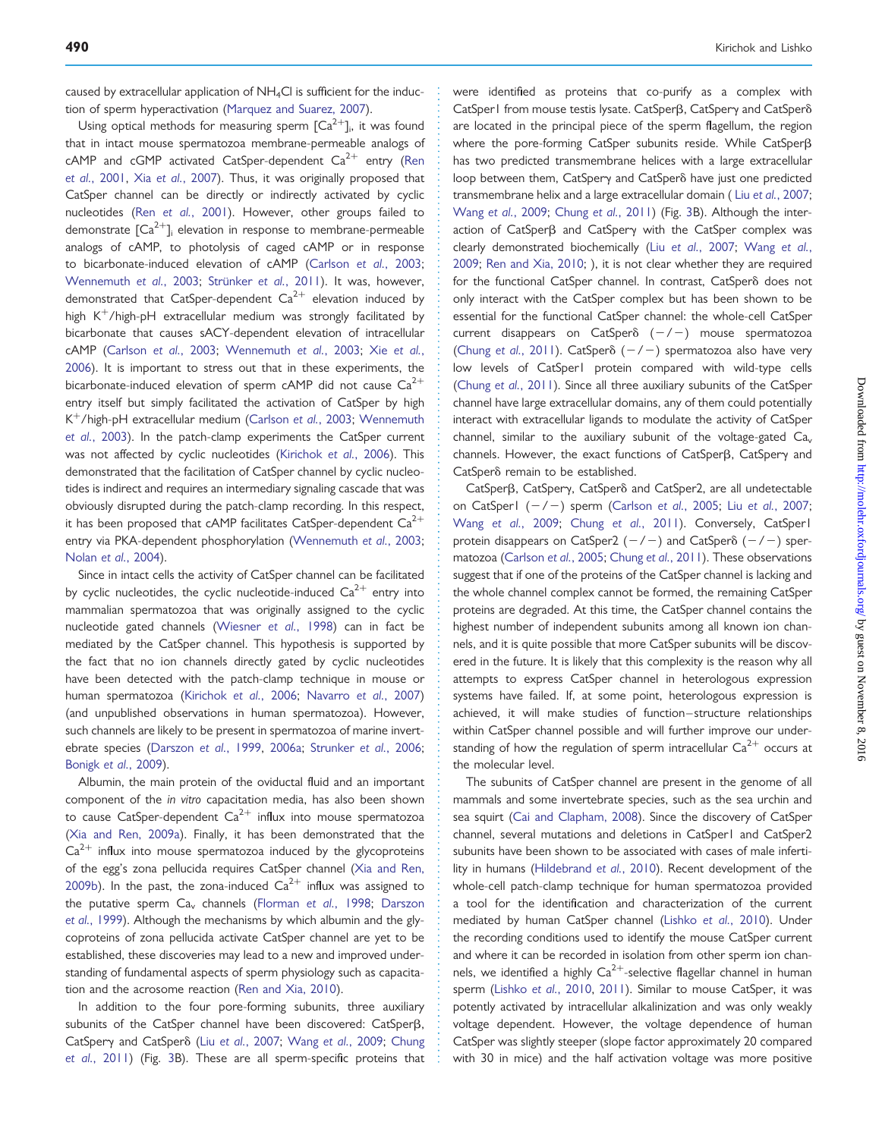caused by extracellular application of NH4Cl is sufficient for the induction of sperm hyperactivation ([Marquez and Suarez, 2007\)](#page-19-0).

Using optical methods for measuring sperm  $[Ca^{2+}]_i$ , it was found that in intact mouse spermatozoa membrane-permeable analogs of cAMP and cGMP activated CatSper-dependent  $Ca^{2+}$  entry ([Ren](#page-20-0) et al.[, 2001](#page-20-0), Xia et al.[, 2007\)](#page-21-0). Thus, it was originally proposed that CatSper channel can be directly or indirectly activated by cyclic nucleotides (Ren et al.[, 2001](#page-20-0)). However, other groups failed to demonstrate  $\lceil Ca^{2+} \rceil$  elevation in response to membrane-permeable analogs of cAMP, to photolysis of caged cAMP or in response to bicarbonate-induced elevation of cAMP ([Carlson](#page-17-0) et al., 2003; [Wennemuth](#page-21-0) et al., 2003; Strünker et al., 2011). It was, however, demonstrated that CatSper-dependent  $Ca^{2+}$  elevation induced by high  $K^+/$ high-pH extracellular medium was strongly facilitated by bicarbonate that causes sACY-dependent elevation of intracellular cAMP [\(Carlson](#page-17-0) et al., 2003; [Wennemuth](#page-21-0) et al., 2003; Xie [et al.](#page-21-0), [2006](#page-21-0)). It is important to stress out that in these experiments, the bicarbonate-induced elevation of sperm cAMP did not cause  $Ca^{2+}$ entry itself but simply facilitated the activation of CatSper by high K+/high-pH extracellular medium [\(Carlson](#page-17-0) et al., 2003; [Wennemuth](#page-21-0) et al.[, 2003](#page-21-0)). In the patch-clamp experiments the CatSper current was not affected by cyclic nucleotides [\(Kirichok](#page-19-0) et al., 2006). This demonstrated that the facilitation of CatSper channel by cyclic nucleotides is indirect and requires an intermediary signaling cascade that was obviously disrupted during the patch-clamp recording. In this respect, it has been proposed that cAMP facilitates CatSper-dependent  $Ca^{2+}$ entry via PKA-dependent phosphorylation ([Wennemuth](#page-21-0) et al., 2003; Nolan et al.[, 2004](#page-19-0)).

Since in intact cells the activity of CatSper channel can be facilitated by cyclic nucleotides, the cyclic nucleotide-induced  $Ca^{2+}$  entry into mammalian spermatozoa that was originally assigned to the cyclic nucleotide gated channels ([Wiesner](#page-21-0) et al., 1998) can in fact be mediated by the CatSper channel. This hypothesis is supported by the fact that no ion channels directly gated by cyclic nucleotides have been detected with the patch-clamp technique in mouse or human spermatozoa [\(Kirichok](#page-19-0) et al., 2006; [Navarro](#page-19-0) et al., 2007) (and unpublished observations in human spermatozoa). However, such channels are likely to be present in spermatozoa of marine invertebrate species ([Darszon](#page-18-0) et al., 1999, [2006a;](#page-18-0) [Strunker](#page-20-0) et al., 2006; [Bonigk](#page-17-0) et al., 2009).

Albumin, the main protein of the oviductal fluid and an important component of the in vitro capacitation media, has also been shown to cause CatSper-dependent  $Ca^{2+}$  influx into mouse spermatozoa [\(Xia and Ren, 2009a\)](#page-21-0). Finally, it has been demonstrated that the  $Ca<sup>2+</sup>$  influx into mouse spermatozoa induced by the glycoproteins of the egg's zona pellucida requires CatSper channel [\(Xia and Ren,](#page-21-0) [2009b\)](#page-21-0). In the past, the zona-induced  $Ca^{2+}$  influx was assigned to the putative sperm  $Ca<sub>v</sub>$  channels ([Florman](#page-18-0) et al., 1998; [Darszon](#page-18-0) et al.[, 1999](#page-18-0)). Although the mechanisms by which albumin and the glycoproteins of zona pellucida activate CatSper channel are yet to be established, these discoveries may lead to a new and improved understanding of fundamental aspects of sperm physiology such as capacitation and the acrosome reaction ([Ren and Xia, 2010\)](#page-20-0).

In addition to the four pore-forming subunits, three auxiliary subunits of the CatSper channel have been discovered: CatSperß, CatSpery and CatSper<sub>o</sub> (Liu et al.[, 2007](#page-19-0); Wang et al.[, 2009](#page-20-0); [Chung](#page-17-0) et al.[, 2011\)](#page-17-0) (Fig. [3](#page-7-0)B). These are all sperm-specific proteins that were identified as proteins that co-purify as a complex with CatSper1 from mouse testis lysate. CatSper<sub>B</sub>, CatSpery and CatSper $\delta$ are located in the principal piece of the sperm flagellum, the region where the pore-forming CatSper subunits reside. While CatSperß has two predicted transmembrane helices with a large extracellular loop between them, CatSpery and CatSper<sub>0</sub> have just one predicted transmembrane helix and a large extracellular domain ( Liu et al.[, 2007;](#page-19-0) Wang et al.[, 2009](#page-20-0); Chung et al.[, 2011\)](#page-17-0) (Fig. [3](#page-7-0)B). Although the interaction of  $CatSpec\beta$  and  $CatSpec\gamma$  with the  $CatSpec$  complex was clearly demonstrated biochemically (Liu et al.[, 2007](#page-19-0); [Wang](#page-20-0) et al., [2009;](#page-20-0) [Ren and Xia, 2010](#page-20-0); ), it is not clear whether they are required for the functional CatSper channel. In contrast, CatSper<sub>®</sub> does not only interact with the CatSper complex but has been shown to be essential for the functional CatSper channel: the whole-cell CatSper current disappears on CatSper $\delta$   $(-/-)$  mouse spermatozoa (Chung et al.[, 2011\)](#page-17-0). CatSper $\delta$  (-/-) spermatozoa also have very low levels of CatSper1 protein compared with wild-type cells (Chung et al.[, 2011](#page-17-0)). Since all three auxiliary subunits of the CatSper channel have large extracellular domains, any of them could potentially interact with extracellular ligands to modulate the activity of CatSper channel, similar to the auxiliary subunit of the voltage-gated  $Ca<sub>v</sub>$ channels. However, the exact functions of CatSperß, CatSpery and CatSper<sub>o</sub> remain to be established.

CatSper<sub>B</sub>, CatSpery, CatSper<sub>8</sub> and CatSper2, are all undetectable on CatSper1  $(-/-)$  sperm [\(Carlson](#page-17-0) et al., 2005; Liu et al.[, 2007;](#page-19-0) Wang et al.[, 2009](#page-20-0); Chung et al.[, 2011\)](#page-17-0). Conversely, CatSper1 protein disappears on CatSper2  $(-/-)$  and CatSper $\delta$   $(-/-)$  spermatozoa [\(Carlson](#page-17-0) et al., 2005; [Chung](#page-17-0) et al., 2011). These observations suggest that if one of the proteins of the CatSper channel is lacking and the whole channel complex cannot be formed, the remaining CatSper proteins are degraded. At this time, the CatSper channel contains the highest number of independent subunits among all known ion channels, and it is quite possible that more CatSper subunits will be discovered in the future. It is likely that this complexity is the reason why all attempts to express CatSper channel in heterologous expression systems have failed. If, at some point, heterologous expression is achieved, it will make studies of function– structure relationships within CatSper channel possible and will further improve our understanding of how the regulation of sperm intracellular  $Ca^{2+}$  occurs at the molecular level.

The subunits of CatSper channel are present in the genome of all mammals and some invertebrate species, such as the sea urchin and sea squirt [\(Cai and Clapham, 2008](#page-17-0)). Since the discovery of CatSper channel, several mutations and deletions in CatSper1 and CatSper2 subunits have been shown to be associated with cases of male infertility in humans [\(Hildebrand](#page-18-0) et al., 2010). Recent development of the whole-cell patch-clamp technique for human spermatozoa provided a tool for the identification and characterization of the current mediated by human CatSper channel (Lishko et al.[, 2010\)](#page-19-0). Under the recording conditions used to identify the mouse CatSper current and where it can be recorded in isolation from other sperm ion channels, we identified a highly  $Ca^{2+}$ -selective flagellar channel in human sperm (Lishko et al.[, 2010,](#page-19-0) [2011](#page-19-0)). Similar to mouse CatSper, it was potently activated by intracellular alkalinization and was only weakly voltage dependent. However, the voltage dependence of human CatSper was slightly steeper (slope factor approximately 20 compared with 30 in mice) and the half activation voltage was more positive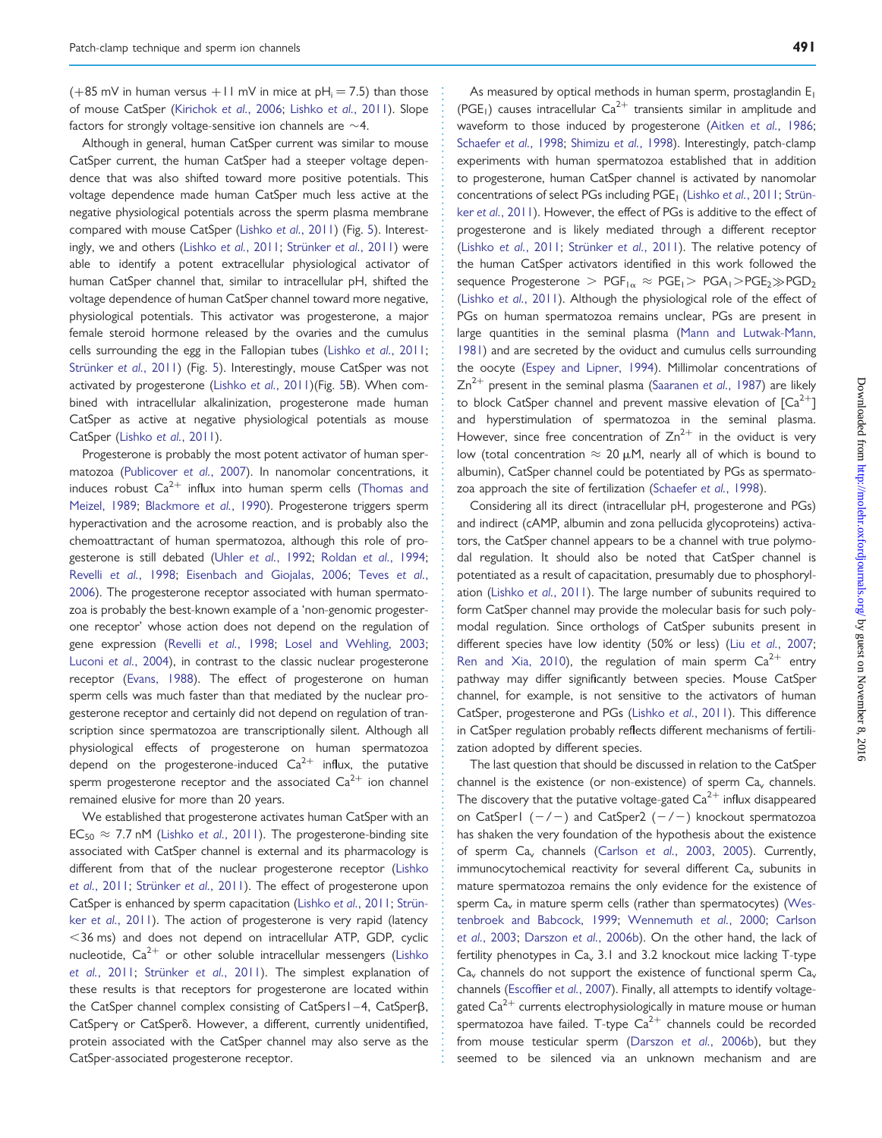(+85 mV in human versus +11 mV in mice at  $pH_i = 7.5$ ) than those of mouse CatSper [\(Kirichok](#page-19-0) et al., 2006; Lishko et al.[, 2011](#page-19-0)). Slope factors for strongly voltage-sensitive ion channels are  ${\sim}4.$ 

Although in general, human CatSper current was similar to mouse CatSper current, the human CatSper had a steeper voltage dependence that was also shifted toward more positive potentials. This voltage dependence made human CatSper much less active at the negative physiological potentials across the sperm plasma membrane compared with mouse CatSper (Lishko et al.[, 2011](#page-19-0)) (Fig. [5\)](#page-10-0). Interest-ingly, we and others (Lishko et al.[, 2011](#page-19-0); Strünker et al., 2011) were able to identify a potent extracellular physiological activator of human CatSper channel that, similar to intracellular pH, shifted the voltage dependence of human CatSper channel toward more negative, physiological potentials. This activator was progesterone, a major female steroid hormone released by the ovaries and the cumulus cells surrounding the egg in the Fallopian tubes (Lishko et al.[, 2011](#page-19-0); Strünker et al., 2011) (Fig. [5](#page-10-0)). Interestingly, mouse CatSper was not activated by progesterone [\(Lishko](#page-19-0) et al., 2011)(Fig. [5](#page-10-0)B). When combined with intracellular alkalinization, progesterone made human CatSper as active at negative physiological potentials as mouse CatSper [\(Lishko](#page-19-0) et al., 2011).

Progesterone is probably the most potent activator of human spermatozoa [\(Publicover](#page-19-0) et al., 2007). In nanomolar concentrations, it induces robust  $Ca^{2+}$  influx into human sperm cells [\(Thomas and](#page-20-0) [Meizel, 1989;](#page-20-0) [Blackmore](#page-17-0) et al., 1990). Progesterone triggers sperm hyperactivation and the acrosome reaction, and is probably also the chemoattractant of human spermatozoa, although this role of progesterone is still debated (Uhler et al.[, 1992;](#page-20-0) [Roldan](#page-20-0) et al., 1994; Revelli et al.[, 1998;](#page-20-0) [Eisenbach and Giojalas, 2006;](#page-18-0) [Teves](#page-20-0) et al., [2006](#page-20-0)). The progesterone receptor associated with human spermatozoa is probably the best-known example of a 'non-genomic progesterone receptor' whose action does not depend on the regulation of gene expression (Revelli et al.[, 1998](#page-20-0); [Losel and Wehling, 2003](#page-19-0); [Luconi](#page-19-0) et al., 2004), in contrast to the classic nuclear progesterone receptor [\(Evans, 1988](#page-18-0)). The effect of progesterone on human sperm cells was much faster than that mediated by the nuclear progesterone receptor and certainly did not depend on regulation of transcription since spermatozoa are transcriptionally silent. Although all physiological effects of progesterone on human spermatozoa depend on the progesterone-induced  $Ca^{2+}$  influx, the putative sperm progesterone receptor and the associated  $Ca^{2+}$  ion channel remained elusive for more than 20 years.

We established that progesterone activates human CatSper with an  $EC_{50} \approx 7.7$  nM (Lishko et al.[, 2011\)](#page-19-0). The progesterone-binding site associated with CatSper channel is external and its pharmacology is different from that of the nuclear progesterone receptor ([Lishko](#page-19-0) et al.[, 2011](#page-19-0); Strünker et al., 2011). The effect of progesterone upon CatSper is enhanced by sperm capacitation ([Lishko](#page-19-0) et al., 2011; Strünker et al.[, 2011\)](#page-20-0). The action of progesterone is very rapid (latency  $<$ 36 ms) and does not depend on intracellular ATP, GDP, cyclic nucleotide,  $Ca^{2+}$  or other soluble intracellular messengers ([Lishko](#page-19-0) et al.[, 2011](#page-19-0); Strünker et al., 2011). The simplest explanation of these results is that receptors for progesterone are located within the CatSper channel complex consisting of CatSpers1-4, CatSperß, CatSpery or CatSper<sub>8</sub>. However, a different, currently unidentified, protein associated with the CatSper channel may also serve as the CatSper-associated progesterone receptor.

As measured by optical methods in human sperm, prostaglandin  $E_1$ (PGE<sub>1</sub>) causes intracellular  $Ca^{2+}$  transients similar in amplitude and waveform to those induced by progesterone (Aitken et al.[, 1986;](#page-17-0) [Schaefer](#page-20-0) et al., 1998; [Shimizu](#page-20-0) et al., 1998). Interestingly, patch-clamp experiments with human spermatozoa established that in addition to progesterone, human CatSper channel is activated by nanomolar concentrations of select PGs including PGE<sub>1</sub> [\(Lishko](#page-19-0) et al., 2011; Strün-ker et al.[, 2011](#page-20-0)). However, the effect of PGs is additive to the effect of progesterone and is likely mediated through a different receptor (Lishko et al.[, 2011](#page-19-0); Strünker et al., 2011). The relative potency of the human CatSper activators identified in this work followed the sequence Progesterone >  $PGF_{1\alpha} \approx PGE_1 > PGA_1 > PGE_2 \gg PGD_2$ (Lishko et al.[, 2011\)](#page-19-0). Although the physiological role of the effect of PGs on human spermatozoa remains unclear, PGs are present in large quantities in the seminal plasma ([Mann and Lutwak-Mann,](#page-19-0) [1981](#page-19-0)) and are secreted by the oviduct and cumulus cells surrounding the oocyte [\(Espey and Lipner, 1994](#page-18-0)). Millimolar concentrations of  $Zn^{2+}$  present in the seminal plasma [\(Saaranen](#page-20-0) et al., 1987) are likely to block CatSper channel and prevent massive elevation of  $\lceil Ca^{2+} \rceil$ and hyperstimulation of spermatozoa in the seminal plasma. However, since free concentration of  $Zn^{2+}$  in the oviduct is very low (total concentration  $\approx 20 \mu$ M, nearly all of which is bound to albumin), CatSper channel could be potentiated by PGs as spermatozoa approach the site of fertilization ([Schaefer](#page-20-0) et al., 1998).

Considering all its direct (intracellular pH, progesterone and PGs) and indirect (cAMP, albumin and zona pellucida glycoproteins) activators, the CatSper channel appears to be a channel with true polymodal regulation. It should also be noted that CatSper channel is potentiated as a result of capacitation, presumably due to phosphorylation (Lishko et al.[, 2011\)](#page-19-0). The large number of subunits required to form CatSper channel may provide the molecular basis for such polymodal regulation. Since orthologs of CatSper subunits present in different species have low identity (50% or less) (Liu et al.[, 2007;](#page-19-0) [Ren and Xia, 2010\)](#page-20-0), the regulation of main sperm  $Ca^{2+}$  entry pathway may differ significantly between species. Mouse CatSper channel, for example, is not sensitive to the activators of human CatSper, progesterone and PGs (Lishko et al.[, 2011\)](#page-19-0). This difference in CatSper regulation probably reflects different mechanisms of fertilization adopted by different species.

The last question that should be discussed in relation to the CatSper channel is the existence (or non-existence) of sperm  $Ca<sub>v</sub>$  channels. The discovery that the putative voltage-gated  $Ca^{2+}$  influx disappeared on CatSper1  $(-/-)$  and CatSper2  $(-/-)$  knockout spermatozoa has shaken the very foundation of the hypothesis about the existence of sperm Ca<sub>v</sub> channels [\(Carlson](#page-17-0) et al., 2003, [2005](#page-17-0)). Currently, immunocytochemical reactivity for several different  $Ca<sub>v</sub>$  subunits in mature spermatozoa remains the only evidence for the existence of sperm  $Ca<sub>v</sub>$  in mature sperm cells (rather than spermatocytes) [\(Wes](#page-21-0)[tenbroek and Babcock, 1999;](#page-21-0) [Wennemuth](#page-20-0) et al., 2000; [Carlson](#page-17-0) et al.[, 2003;](#page-17-0) [Darszon](#page-18-0) et al., 2006b). On the other hand, the lack of fertility phenotypes in  $Ca<sub>v</sub>$  3.1 and 3.2 knockout mice lacking T-type  $Ca<sub>v</sub>$  channels do not support the existence of functional sperm  $Ca<sub>v</sub>$ channels [\(Escoffier](#page-18-0) et al., 2007). Finally, all attempts to identify voltagegated  $Ca^{2+}$  currents electrophysiologically in mature mouse or human spermatozoa have failed. T-type  $Ca^{2+}$  channels could be recorded from mouse testicular sperm (Darszon et al.[, 2006b\)](#page-18-0), but they seemed to be silenced via an unknown mechanism and are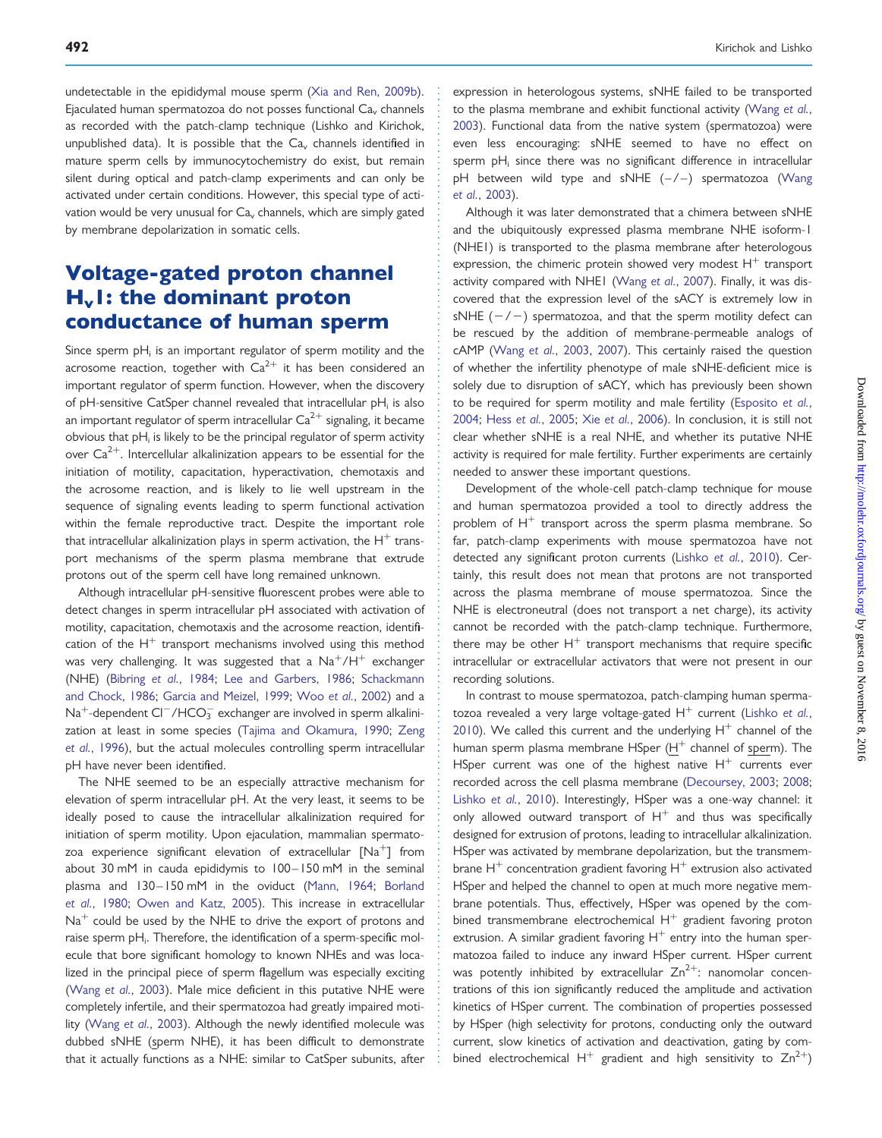undetectable in the epididymal mouse sperm [\(Xia and Ren, 2009b\)](#page-21-0). Ejaculated human spermatozoa do not posses functional  $Ca<sub>v</sub>$  channels as recorded with the patch-clamp technique (Lishko and Kirichok, unpublished data). It is possible that the  $Ca<sub>v</sub>$  channels identified in mature sperm cells by immunocytochemistry do exist, but remain silent during optical and patch-clamp experiments and can only be activated under certain conditions. However, this special type of activation would be very unusual for  $Ca<sub>v</sub>$  channels, which are simply gated by membrane depolarization in somatic cells.

## Voltage-gated proton channel Hv1: the dominant proton conductance of human sperm

Since sperm  $pH_i$  is an important regulator of sperm motility and the acrosome reaction, together with  $Ca^{2+}$  it has been considered an important regulator of sperm function. However, when the discovery of pH-sensitive CatSper channel revealed that intracellular pH<sub>i</sub> is also an important regulator of sperm intracellular  $Ca^{2+}$  signaling, it became obvious that  $pH_i$  is likely to be the principal regulator of sperm activity over  $Ca^{2+}$ . Intercellular alkalinization appears to be essential for the initiation of motility, capacitation, hyperactivation, chemotaxis and the acrosome reaction, and is likely to lie well upstream in the sequence of signaling events leading to sperm functional activation within the female reproductive tract. Despite the important role that intracellular alkalinization plays in sperm activation, the  $H^+$  transport mechanisms of the sperm plasma membrane that extrude protons out of the sperm cell have long remained unknown.

Although intracellular pH-sensitive fluorescent probes were able to detect changes in sperm intracellular pH associated with activation of motility, capacitation, chemotaxis and the acrosome reaction, identification of the  $H^+$  transport mechanisms involved using this method was very challenging. It was suggested that a  $Na^+/H^+$  exchanger (NHE) [\(Bibring](#page-17-0) et al., 1984; [Lee and Garbers, 1986](#page-19-0); [Schackmann](#page-20-0) [and Chock, 1986;](#page-20-0) [Garcia and Meizel, 1999](#page-18-0); Woo et al.[, 2002\)](#page-21-0) and a  $\mathrm{Na}^+$ -dependent Cl $^-$ /HCO $_3^-$  exchanger are involved in sperm alkalinization at least in some species ([Tajima and Okamura, 1990](#page-20-0); [Zeng](#page-21-0) et al.[, 1996\)](#page-21-0), but the actual molecules controlling sperm intracellular pH have never been identified.

The NHE seemed to be an especially attractive mechanism for elevation of sperm intracellular pH. At the very least, it seems to be ideally posed to cause the intracellular alkalinization required for initiation of sperm motility. Upon ejaculation, mammalian spermatozoa experience significant elevation of extracellular  $[Na<sup>+</sup>]$  from about 30 mM in cauda epididymis to 100-150 mM in the seminal plasma and 130-150 mM in the oviduct ([Mann, 1964](#page-19-0); [Borland](#page-17-0) et al.[, 1980;](#page-17-0) [Owen and Katz, 2005](#page-19-0)). This increase in extracellular  $Na<sup>+</sup>$  could be used by the NHE to drive the export of protons and raise sperm p $\mathsf{H}_{\mathsf{i}}.$  Therefore, the identification of a sperm-specific molecule that bore significant homology to known NHEs and was localized in the principal piece of sperm flagellum was especially exciting (Wang et al.[, 2003\)](#page-20-0). Male mice deficient in this putative NHE were completely infertile, and their spermatozoa had greatly impaired motility (Wang et al.[, 2003](#page-20-0)). Although the newly identified molecule was dubbed sNHE (sperm NHE), it has been difficult to demonstrate that it actually functions as a NHE: similar to CatSper subunits, after

expression in heterologous systems, sNHE failed to be transported to the plasma membrane and exhibit functional activity ([Wang](#page-20-0) et al., [2003\)](#page-20-0). Functional data from the native system (spermatozoa) were even less encouraging: sNHE seemed to have no effect on sperm pH<sub>i</sub> since there was no significant difference in intracellular pH between wild type and sNHE  $(-/-)$  spermatozoa ([Wang](#page-20-0) et al.[, 2003](#page-20-0)).

Although it was later demonstrated that a chimera between sNHE and the ubiquitously expressed plasma membrane NHE isoform-1 (NHE1) is transported to the plasma membrane after heterologous expression, the chimeric protein showed very modest  $H^+$  transport activity compared with NHE1 (Wang et al.[, 2007\)](#page-20-0). Finally, it was discovered that the expression level of the sACY is extremely low in sNHE  $(-/-)$  spermatozoa, and that the sperm motility defect can be rescued by the addition of membrane-permeable analogs of cAMP (Wang et al.[, 2003](#page-20-0), [2007](#page-20-0)). This certainly raised the question of whether the infertility phenotype of male sNHE-deficient mice is solely due to disruption of sACY, which has previously been shown to be required for sperm motility and male fertility [\(Esposito](#page-18-0) et al., [2004;](#page-18-0) Hess et al.[, 2005](#page-18-0); Xie et al.[, 2006\)](#page-21-0). In conclusion, it is still not clear whether sNHE is a real NHE, and whether its putative NHE activity is required for male fertility. Further experiments are certainly needed to answer these important questions.

Development of the whole-cell patch-clamp technique for mouse and human spermatozoa provided a tool to directly address the problem of  $H^+$  transport across the sperm plasma membrane. So far, patch-clamp experiments with mouse spermatozoa have not detected any significant proton currents (Lishko et al.[, 2010\)](#page-19-0). Certainly, this result does not mean that protons are not transported across the plasma membrane of mouse spermatozoa. Since the NHE is electroneutral (does not transport a net charge), its activity cannot be recorded with the patch-clamp technique. Furthermore, there may be other  $H^+$  transport mechanisms that require specific intracellular or extracellular activators that were not present in our recording solutions.

In contrast to mouse spermatozoa, patch-clamping human spermatozoa revealed a very large voltage-gated  $H^+$  current [\(Lishko](#page-19-0) et al., [2010\)](#page-19-0). We called this current and the underlying  $H^+$  channel of the human sperm plasma membrane HSper  $(H^+$  channel of sperm). The HSper current was one of the highest native  $H^+$  currents ever recorded across the cell plasma membrane [\(Decoursey, 2003;](#page-18-0) [2008;](#page-18-0) Lishko et al.[, 2010](#page-19-0)). Interestingly, HSper was a one-way channel: it only allowed outward transport of  $H^+$  and thus was specifically designed for extrusion of protons, leading to intracellular alkalinization. HSper was activated by membrane depolarization, but the transmembrane  $H^+$  concentration gradient favoring  $H^+$  extrusion also activated HSper and helped the channel to open at much more negative membrane potentials. Thus, effectively, HSper was opened by the combined transmembrane electrochemical  $H^+$  gradient favoring proton extrusion. A similar gradient favoring  $H^+$  entry into the human spermatozoa failed to induce any inward HSper current. HSper current was potently inhibited by extracellular  $Zn^{2+}$ : nanomolar concentrations of this ion significantly reduced the amplitude and activation kinetics of HSper current. The combination of properties possessed by HSper (high selectivity for protons, conducting only the outward current, slow kinetics of activation and deactivation, gating by combined electrochemical H<sup>+</sup> gradient and high sensitivity to  $Zn^{2+}$ )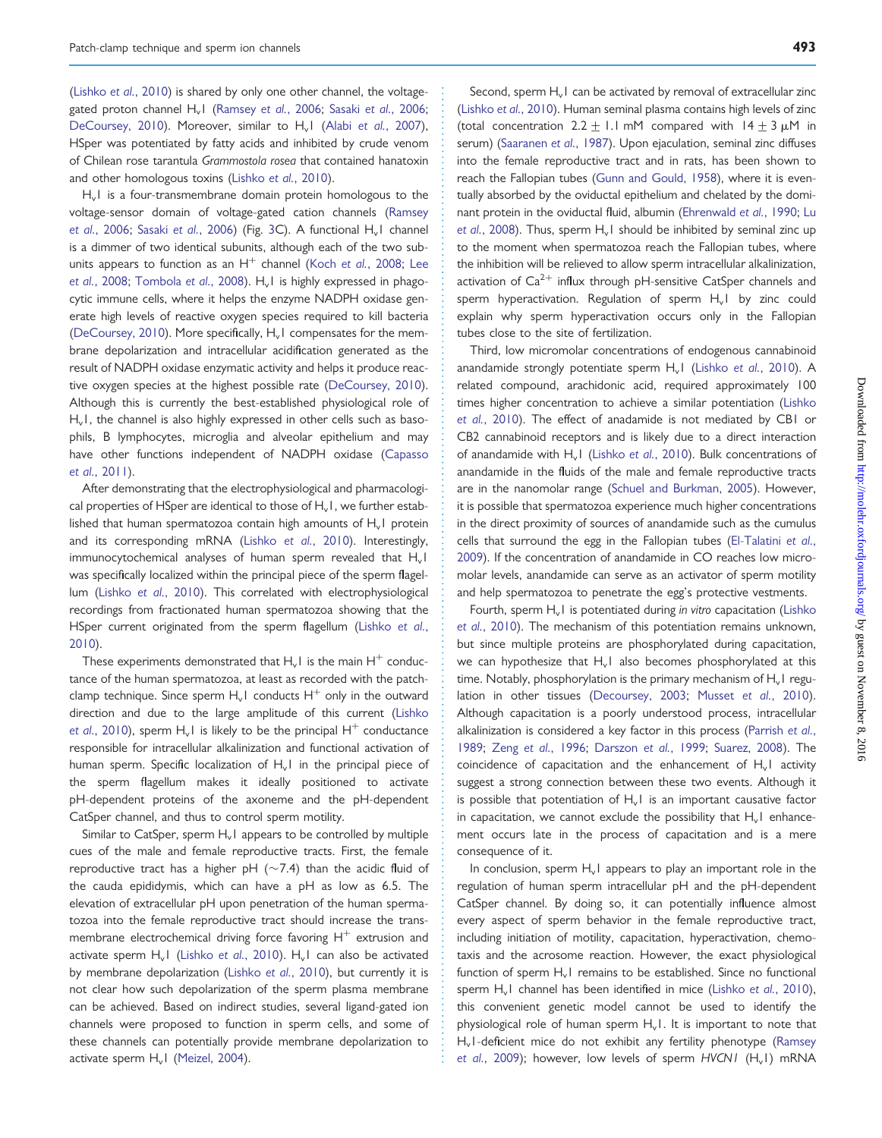(Lishko et al.[, 2010\)](#page-19-0) is shared by only one other channel, the voltage-gated proton channel H<sub>v</sub>I [\(Ramsey](#page-20-0) et al.[, 2006](#page-20-0); Sasaki et al., 2006; [DeCoursey, 2010\)](#page-18-0). Moreover, similar to H<sub>v</sub>1 (Alabi et al.[, 2007\)](#page-17-0), HSper was potentiated by fatty acids and inhibited by crude venom of Chilean rose tarantula Grammostola rosea that contained hanatoxin and other homologous toxins (Lishko et al.[, 2010\)](#page-19-0).

H<sub>v</sub>I is a four-transmembrane domain protein homologous to the voltage-sensor domain of voltage-gated cation channels [\(Ramsey](#page-20-0) et al.[, 2006;](#page-20-0) Sasaki et al.[, 2006\)](#page-20-0) (Fig. [3C](#page-7-0)). A functional H<sub>v</sub>I channel is a dimmer of two identical subunits, although each of the two subunits appears to function as an  $H^+$  channel (Koch et al.[, 2008;](#page-19-0) [Lee](#page-19-0) et al.[, 2008;](#page-19-0) [Tombola](#page-20-0) et al., 2008). H<sub>v</sub>I is highly expressed in phagocytic immune cells, where it helps the enzyme NADPH oxidase generate high levels of reactive oxygen species required to kill bacteria [\(DeCoursey, 2010](#page-18-0)). More specifically, H<sub>v</sub>1 compensates for the membrane depolarization and intracellular acidification generated as the result of NADPH oxidase enzymatic activity and helps it produce reactive oxygen species at the highest possible rate [\(DeCoursey, 2010\)](#page-18-0). Although this is currently the best-established physiological role of  $H_v$ I, the channel is also highly expressed in other cells such as basophils, B lymphocytes, microglia and alveolar epithelium and may have other functions independent of NADPH oxidase [\(Capasso](#page-17-0) et al.[, 2011\)](#page-17-0).

After demonstrating that the electrophysiological and pharmacological properties of HSper are identical to those of  $H_v I$ , we further established that human spermatozoa contain high amounts of  $H_vI$  protein and its corresponding mRNA (Lishko et al.[, 2010\)](#page-19-0). Interestingly, immunocytochemical analyses of human sperm revealed that  $H_vI$ was specifically localized within the principal piece of the sperm flagellum (Lishko et al.[, 2010\)](#page-19-0). This correlated with electrophysiological recordings from fractionated human spermatozoa showing that the HSper current originated from the sperm flagellum [\(Lishko](#page-19-0) et al., [2010](#page-19-0)).

These experiments demonstrated that  $H_{v}I$  is the main  $H^{+}$  conductance of the human spermatozoa, at least as recorded with the patchclamp technique. Since sperm  $H_vI$  conducts  $H^+$  only in the outward direction and due to the large amplitude of this current ([Lishko](#page-19-0) et al.[, 2010\)](#page-19-0), sperm  $H_vI$  is likely to be the principal  $H^+$  conductance responsible for intracellular alkalinization and functional activation of human sperm. Specific localization of H<sub>v</sub>1 in the principal piece of the sperm flagellum makes it ideally positioned to activate pH-dependent proteins of the axoneme and the pH-dependent CatSper channel, and thus to control sperm motility.

Similar to CatSper, sperm  $H<sub>v</sub>1$  appears to be controlled by multiple cues of the male and female reproductive tracts. First, the female reproductive tract has a higher pH  $(\sim$ 7.4) than the acidic fluid of the cauda epididymis, which can have a pH as low as 6.5. The elevation of extracellular pH upon penetration of the human spermatozoa into the female reproductive tract should increase the transmembrane electrochemical driving force favoring  $H^+$  extrusion and activate sperm  $H_vI$  (Lishko et al.[, 2010\)](#page-19-0).  $H_vI$  can also be activated by membrane depolarization (Lishko et al.[, 2010\)](#page-19-0), but currently it is not clear how such depolarization of the sperm plasma membrane can be achieved. Based on indirect studies, several ligand-gated ion channels were proposed to function in sperm cells, and some of these channels can potentially provide membrane depolarization to activate sperm H<sub>v</sub>I [\(Meizel, 2004](#page-19-0)).

Second, sperm  $H<sub>v</sub>1$  can be activated by removal of extracellular zinc [\(Lishko](#page-19-0) et al., 2010). Human seminal plasma contains high levels of zinc (total concentration  $2.2 \pm 1.1$  mM compared with  $14 \pm 3$   $\mu$ M in serum) [\(Saaranen](#page-20-0) et al., 1987). Upon ejaculation, seminal zinc diffuses into the female reproductive tract and in rats, has been shown to reach the Fallopian tubes ([Gunn and Gould, 1958\)](#page-18-0), where it is eventually absorbed by the oviductal epithelium and chelated by the dominant protein in the oviductal fluid, albumin [\(Ehrenwald](#page-18-0) et al., 1990; [Lu](#page-19-0) et al.[, 2008\)](#page-19-0). Thus, sperm  $H<sub>v</sub>$ I should be inhibited by seminal zinc up to the moment when spermatozoa reach the Fallopian tubes, where the inhibition will be relieved to allow sperm intracellular alkalinization, activation of  $Ca^{2+}$  influx through pH-sensitive CatSper channels and sperm hyperactivation. Regulation of sperm H<sub>v</sub>I by zinc could explain why sperm hyperactivation occurs only in the Fallopian tubes close to the site of fertilization.

Third, low micromolar concentrations of endogenous cannabinoid anandamide strongly potentiate sperm H<sub>v</sub>1 (Lishko et al.[, 2010](#page-19-0)). A related compound, arachidonic acid, required approximately 100 times higher concentration to achieve a similar potentiation [\(Lishko](#page-19-0) et al.[, 2010](#page-19-0)). The effect of anadamide is not mediated by CB1 or CB2 cannabinoid receptors and is likely due to a direct interaction of anandamide with H<sub>v</sub>1 [\(Lishko](#page-19-0) et al., 2010). Bulk concentrations of anandamide in the fluids of the male and female reproductive tracts are in the nanomolar range ([Schuel and Burkman, 2005](#page-20-0)). However, it is possible that spermatozoa experience much higher concentrations in the direct proximity of sources of anandamide such as the cumulus cells that surround the egg in the Fallopian tubes ([El-Talatini](#page-18-0) et al., [2009](#page-18-0)). If the concentration of anandamide in CO reaches low micromolar levels, anandamide can serve as an activator of sperm motility and help spermatozoa to penetrate the egg's protective vestments.

Fourth, sperm  $H_vI$  is potentiated during in vitro capacitation [\(Lishko](#page-19-0) et al.[, 2010\)](#page-19-0). The mechanism of this potentiation remains unknown, but since multiple proteins are phosphorylated during capacitation, we can hypothesize that  $H_vI$  also becomes phosphorylated at this time. Notably, phosphorylation is the primary mechanism of  $H<sub>v</sub>1$  regulation in other tissues [\(Decoursey, 2003;](#page-18-0) Musset et al.[, 2010\)](#page-19-0). Although capacitation is a poorly understood process, intracellular alkalinization is considered a key factor in this process ([Parrish](#page-19-0) et al., [1989](#page-19-0); Zeng et al.[, 1996;](#page-21-0) [Darszon](#page-18-0) et al., 1999; [Suarez, 2008\)](#page-20-0). The coincidence of capacitation and the enhancement of  $H_vI$  activity suggest a strong connection between these two events. Although it is possible that potentiation of  $H_vI$  is an important causative factor in capacitation, we cannot exclude the possibility that  $H_vI$  enhancement occurs late in the process of capacitation and is a mere consequence of it.

In conclusion, sperm  $H<sub>v</sub>1$  appears to play an important role in the regulation of human sperm intracellular pH and the pH-dependent CatSper channel. By doing so, it can potentially influence almost every aspect of sperm behavior in the female reproductive tract, including initiation of motility, capacitation, hyperactivation, chemotaxis and the acrosome reaction. However, the exact physiological function of sperm H<sub>v</sub>I remains to be established. Since no functional sperm H<sub>v</sub>I channel has been identified in mice (Lishko et al.[, 2010\)](#page-19-0), this convenient genetic model cannot be used to identify the physiological role of human sperm  $H_v$ 1. It is important to note that Hv1-deficient mice do not exhibit any fertility phenotype [\(Ramsey](#page-20-0) et al.[, 2009\)](#page-20-0); however, low levels of sperm HVCN1 (H<sub>v</sub>1) mRNA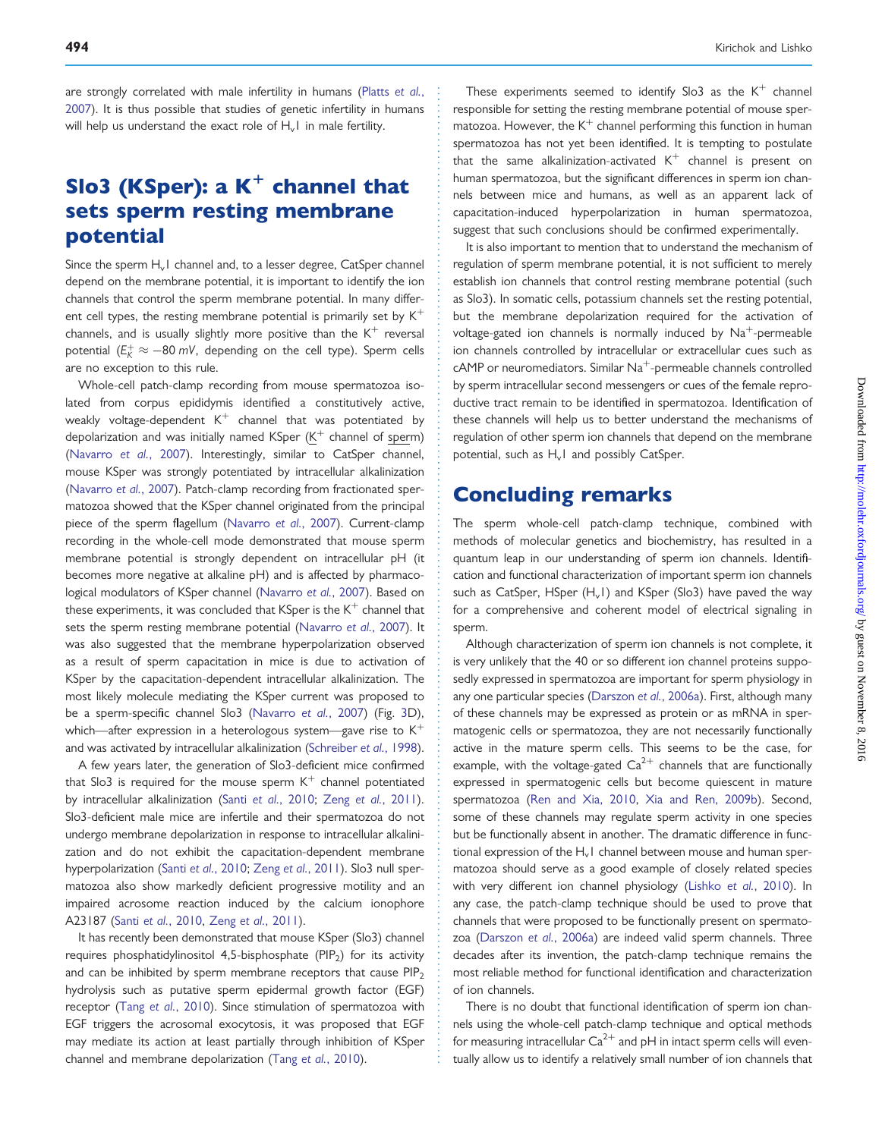are strongly correlated with male infertility in humans [\(Platts](#page-19-0) et al., [2007](#page-19-0)). It is thus possible that studies of genetic infertility in humans will help us understand the exact role of  $H_vI$  in male fertility.

# Slo3 (KSper):  $a K^+$  channel that sets sperm resting membrane potential

Since the sperm  $H_vI$  channel and, to a lesser degree, CatSper channel depend on the membrane potential, it is important to identify the ion channels that control the sperm membrane potential. In many different cell types, the resting membrane potential is primarily set by  $K^+$ channels, and is usually slightly more positive than the  $K^+$  reversal potential ( $E_{\mathcal{K}}^+ \approx -80$  mV, depending on the cell type). Sperm cells are no exception to this rule.

Whole-cell patch-clamp recording from mouse spermatozoa isolated from corpus epididymis identified a constitutively active, weakly voltage-dependent  $K^+$  channel that was potentiated by depolarization and was initially named KSper  $(K^+$  channel of sperm) [\(Navarro](#page-19-0) et al., 2007). Interestingly, similar to CatSper channel, mouse KSper was strongly potentiated by intracellular alkalinization [\(Navarro](#page-19-0) et al., 2007). Patch-clamp recording from fractionated spermatozoa showed that the KSper channel originated from the principal piece of the sperm flagellum ([Navarro](#page-19-0) et al., 2007). Current-clamp recording in the whole-cell mode demonstrated that mouse sperm membrane potential is strongly dependent on intracellular pH (it becomes more negative at alkaline pH) and is affected by pharmacological modulators of KSper channel ([Navarro](#page-19-0) et al., 2007). Based on these experiments, it was concluded that KSper is the  $K^+$  channel that sets the sperm resting membrane potential ([Navarro](#page-19-0) et al., 2007). It was also suggested that the membrane hyperpolarization observed as a result of sperm capacitation in mice is due to activation of KSper by the capacitation-dependent intracellular alkalinization. The most likely molecule mediating the KSper current was proposed to be a sperm-specific channel Slo3 ([Navarro](#page-19-0) et al., 2007) (Fig. [3](#page-7-0)D), which—after expression in a heterologous system—gave rise to  $K^+$ and was activated by intracellular alkalinization ([Schreiber](#page-20-0) et al., 1998).

A few years later, the generation of Slo3-deficient mice confirmed that Slo3 is required for the mouse sperm  $K^+$  channel potentiated by intracellular alkalinization (Santi et al.[, 2010](#page-20-0); Zeng et al.[, 2011\)](#page-21-0). Slo3-deficient male mice are infertile and their spermatozoa do not undergo membrane depolarization in response to intracellular alkalinization and do not exhibit the capacitation-dependent membrane hyperpolarization (Santi et al.[, 2010](#page-20-0); Zeng et al.[, 2011](#page-21-0)). Slo3 null spermatozoa also show markedly deficient progressive motility and an impaired acrosome reaction induced by the calcium ionophore A23187 (Santi et al.[, 2010](#page-20-0), Zeng et al.[, 2011](#page-21-0)).

It has recently been demonstrated that mouse KSper (Slo3) channel requires phosphatidylinositol 4,5-bisphosphate (PIP<sub>2</sub>) for its activity and can be inhibited by sperm membrane receptors that cause  $PIP<sub>2</sub>$ hydrolysis such as putative sperm epidermal growth factor (EGF) receptor (Tang et al.[, 2010\)](#page-20-0). Since stimulation of spermatozoa with EGF triggers the acrosomal exocytosis, it was proposed that EGF may mediate its action at least partially through inhibition of KSper channel and membrane depolarization (Tang et al.[, 2010](#page-20-0)).

These experiments seemed to identify Slo3 as the  $K^+$  channel responsible for setting the resting membrane potential of mouse spermatozoa. However, the  $K^+$  channel performing this function in human spermatozoa has not yet been identified. It is tempting to postulate that the same alkalinization-activated  $K^+$  channel is present on human spermatozoa, but the significant differences in sperm ion channels between mice and humans, as well as an apparent lack of capacitation-induced hyperpolarization in human spermatozoa, suggest that such conclusions should be confirmed experimentally.

It is also important to mention that to understand the mechanism of regulation of sperm membrane potential, it is not sufficient to merely establish ion channels that control resting membrane potential (such as Slo3). In somatic cells, potassium channels set the resting potential, but the membrane depolarization required for the activation of voltage-gated ion channels is normally induced by  $Na<sup>+</sup>$ -permeable ion channels controlled by intracellular or extracellular cues such as cAMP or neuromediators. Similar  $Na<sup>+</sup>$ -permeable channels controlled by sperm intracellular second messengers or cues of the female reproductive tract remain to be identified in spermatozoa. Identification of these channels will help us to better understand the mechanisms of regulation of other sperm ion channels that depend on the membrane potential, such as  $H_vI$  and possibly CatSper.

#### Concluding remarks

The sperm whole-cell patch-clamp technique, combined with methods of molecular genetics and biochemistry, has resulted in a quantum leap in our understanding of sperm ion channels. Identification and functional characterization of important sperm ion channels such as CatSper, HSper  $(H_v I)$  and KSper (Slo3) have paved the way for a comprehensive and coherent model of electrical signaling in sperm.

Although characterization of sperm ion channels is not complete, it is very unlikely that the 40 or so different ion channel proteins supposedly expressed in spermatozoa are important for sperm physiology in any one particular species ([Darszon](#page-18-0) et al., 2006a). First, although many of these channels may be expressed as protein or as mRNA in spermatogenic cells or spermatozoa, they are not necessarily functionally active in the mature sperm cells. This seems to be the case, for example, with the voltage-gated  $Ca^{2+}$  channels that are functionally expressed in spermatogenic cells but become quiescent in mature spermatozoa ([Ren and Xia, 2010,](#page-20-0) [Xia and Ren, 2009b](#page-21-0)). Second, some of these channels may regulate sperm activity in one species but be functionally absent in another. The dramatic difference in functional expression of the  $H_vI$  channel between mouse and human spermatozoa should serve as a good example of closely related species with very different ion channel physiology (Lishko et al.[, 2010](#page-19-0)). In any case, the patch-clamp technique should be used to prove that channels that were proposed to be functionally present on spermatozoa [\(Darszon](#page-18-0) et al., 2006a) are indeed valid sperm channels. Three decades after its invention, the patch-clamp technique remains the most reliable method for functional identification and characterization of ion channels.

There is no doubt that functional identification of sperm ion channels using the whole-cell patch-clamp technique and optical methods for measuring intracellular  $Ca^{2+}$  and pH in intact sperm cells will eventually allow us to identify a relatively small number of ion channels that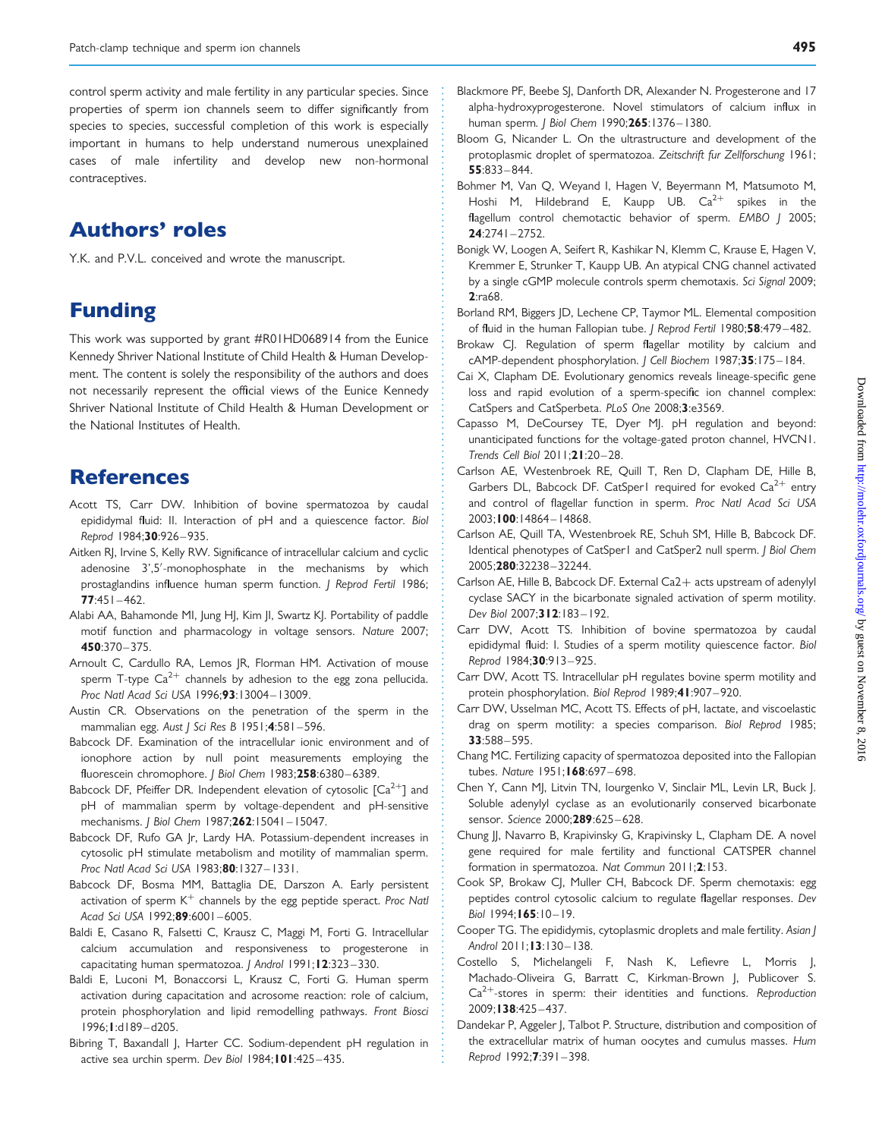<span id="page-17-0"></span>control sperm activity and male fertility in any particular species. Since properties of sperm ion channels seem to differ significantly from species to species, successful completion of this work is especially important in humans to help understand numerous unexplained cases of male infertility and develop new non-hormonal contraceptives.

## Authors' roles

Y.K. and P.V.L. conceived and wrote the manuscript.

# Funding

This work was supported by grant #R01HD068914 from the Eunice Kennedy Shriver National Institute of Child Health & Human Development. The content is solely the responsibility of the authors and does not necessarily represent the official views of the Eunice Kennedy Shriver National Institute of Child Health & Human Development or the National Institutes of Health.

#### **References**

- Acott TS, Carr DW. Inhibition of bovine spermatozoa by caudal epididymal fluid: II. Interaction of pH and a quiescence factor. Biol Reprod 1984;30:926– 935.
- Aitken RJ, Irvine S, Kelly RW. Significance of intracellular calcium and cyclic adenosine 3',5′ -monophosphate in the mechanisms by which prostaglandins influence human sperm function. J Reprod Fertil 1986;  $77:451 - 462.$
- Alabi AA, Bahamonde MI, Jung HJ, Kim JI, Swartz KJ. Portability of paddle motif function and pharmacology in voltage sensors. Nature 2007; 450:370– 375.
- Arnoult C, Cardullo RA, Lemos JR, Florman HM. Activation of mouse sperm T-type  $Ca^{2+}$  channels by adhesion to the egg zona pellucida. Proc Natl Acad Sci USA 1996;93:13004-13009.
- Austin CR. Observations on the penetration of the sperm in the mammalian egg. Aust | Sci Res B 1951;4:581-596.
- Babcock DF. Examination of the intracellular ionic environment and of ionophore action by null point measurements employing the fluorescein chromophore. J Biol Chem 1983;258:6380-6389.
- Babcock DF, Pfeiffer DR. Independent elevation of cytosolic  $\lceil Ca^{2+} \rceil$  and pH of mammalian sperm by voltage-dependent and pH-sensitive mechanisms. J Biol Chem 1987;262:15041 – 15047.
- Babcock DF, Rufo GA Jr, Lardy HA. Potassium-dependent increases in cytosolic pH stimulate metabolism and motility of mammalian sperm. Proc Natl Acad Sci USA 1983;80:1327-1331.
- Babcock DF, Bosma MM, Battaglia DE, Darszon A. Early persistent activation of sperm  $K^+$  channels by the egg peptide speract. Proc Natl Acad Sci USA 1992;89:6001-6005.
- Baldi E, Casano R, Falsetti C, Krausz C, Maggi M, Forti G. Intracellular calcium accumulation and responsiveness to progesterone in capacitating human spermatozoa. J Androl 1991;12:323 – 330.
- Baldi E, Luconi M, Bonaccorsi L, Krausz C, Forti G. Human sperm activation during capacitation and acrosome reaction: role of calcium, protein phosphorylation and lipid remodelling pathways. Front Biosci 1996;1:d189–d205.
- Bibring T, Baxandall J, Harter CC. Sodium-dependent pH regulation in active sea urchin sperm. Dev Biol 1984;101:425-435.
- Blackmore PF, Beebe SJ, Danforth DR, Alexander N. Progesterone and 17 alpha-hydroxyprogesterone. Novel stimulators of calcium influx in human sperm. J Biol Chem 1990;265:1376-1380.
- Bloom G, Nicander L. On the ultrastructure and development of the protoplasmic droplet of spermatozoa. Zeitschrift fur Zellforschung 1961; 55:833– 844.
- Bohmer M, Van Q, Weyand I, Hagen V, Beyermann M, Matsumoto M, Hoshi M, Hildebrand E, Kaupp UB.  $Ca^{2+}$  spikes in the flagellum control chemotactic behavior of sperm. EMBO J 2005;  $24:2741 - 2752$
- Bonigk W, Loogen A, Seifert R, Kashikar N, Klemm C, Krause E, Hagen V, Kremmer E, Strunker T, Kaupp UB. An atypical CNG channel activated by a single cGMP molecule controls sperm chemotaxis. Sci Signal 2009; 2:ra68.
- Borland RM, Biggers JD, Lechene CP, Taymor ML. Elemental composition of fluid in the human Fallopian tube. J Reprod Fertil 1980;58:479-482.
- Brokaw CJ. Regulation of sperm flagellar motility by calcium and cAMP-dependent phosphorylation. | Cell Biochem 1987;35:175-184.
- Cai X, Clapham DE. Evolutionary genomics reveals lineage-specific gene loss and rapid evolution of a sperm-specific ion channel complex: CatSpers and CatSperbeta. PLoS One 2008;3:e3569.
- Capasso M, DeCoursey TE, Dyer MJ. pH regulation and beyond: unanticipated functions for the voltage-gated proton channel, HVCN1. Trends Cell Biol 2011;21:20-28.
- Carlson AE, Westenbroek RE, Quill T, Ren D, Clapham DE, Hille B, Garbers DL, Babcock DF. CatSper1 required for evoked  $Ca^{2+}$  entry and control of flagellar function in sperm. Proc Natl Acad Sci USA 2003;100:14864-14868.
- Carlson AE, Quill TA, Westenbroek RE, Schuh SM, Hille B, Babcock DF. Identical phenotypes of CatSper1 and CatSper2 null sperm. J Biol Chem 2005;280:32238 – 32244.
- Carlson AE, Hille B, Babcock DF. External Ca2+ acts upstream of adenylyl cyclase SACY in the bicarbonate signaled activation of sperm motility. Dev Biol 2007;312:183-192.
- Carr DW, Acott TS. Inhibition of bovine spermatozoa by caudal epididymal fluid: I. Studies of a sperm motility quiescence factor. Biol Reprod 1984;30:913-925.
- Carr DW, Acott TS. Intracellular pH regulates bovine sperm motility and protein phosphorylation. Biol Reprod 1989;41:907-920.
- Carr DW, Usselman MC, Acott TS. Effects of pH, lactate, and viscoelastic drag on sperm motility: a species comparison. Biol Reprod 1985; 33:588– 595.
- Chang MC. Fertilizing capacity of spermatozoa deposited into the Fallopian tubes. Nature 1951; 168:697-698.
- Chen Y, Cann MJ, Litvin TN, Iourgenko V, Sinclair ML, Levin LR, Buck J. Soluble adenylyl cyclase as an evolutionarily conserved bicarbonate sensor. Science 2000;289:625-628.
- Chung JJ, Navarro B, Krapivinsky G, Krapivinsky L, Clapham DE. A novel gene required for male fertility and functional CATSPER channel formation in spermatozoa. Nat Commun 2011;2:153.
- Cook SP, Brokaw CJ, Muller CH, Babcock DF. Sperm chemotaxis: egg peptides control cytosolic calcium to regulate flagellar responses. Dev Biol 1994; 165:10-19.
- Cooper TG. The epididymis, cytoplasmic droplets and male fertility. Asian J Androl 2011;13:130-138.
- Costello S, Michelangeli F, Nash K, Lefievre L, Morris J, Machado-Oliveira G, Barratt C, Kirkman-Brown J, Publicover S.  $Ca<sup>2+</sup>$ -stores in sperm: their identities and functions. Reproduction 2009;138:425 – 437.
- Dandekar P, Aggeler J, Talbot P. Structure, distribution and composition of the extracellular matrix of human oocytes and cumulus masses. Hum Reprod 1992;7:391 – 398.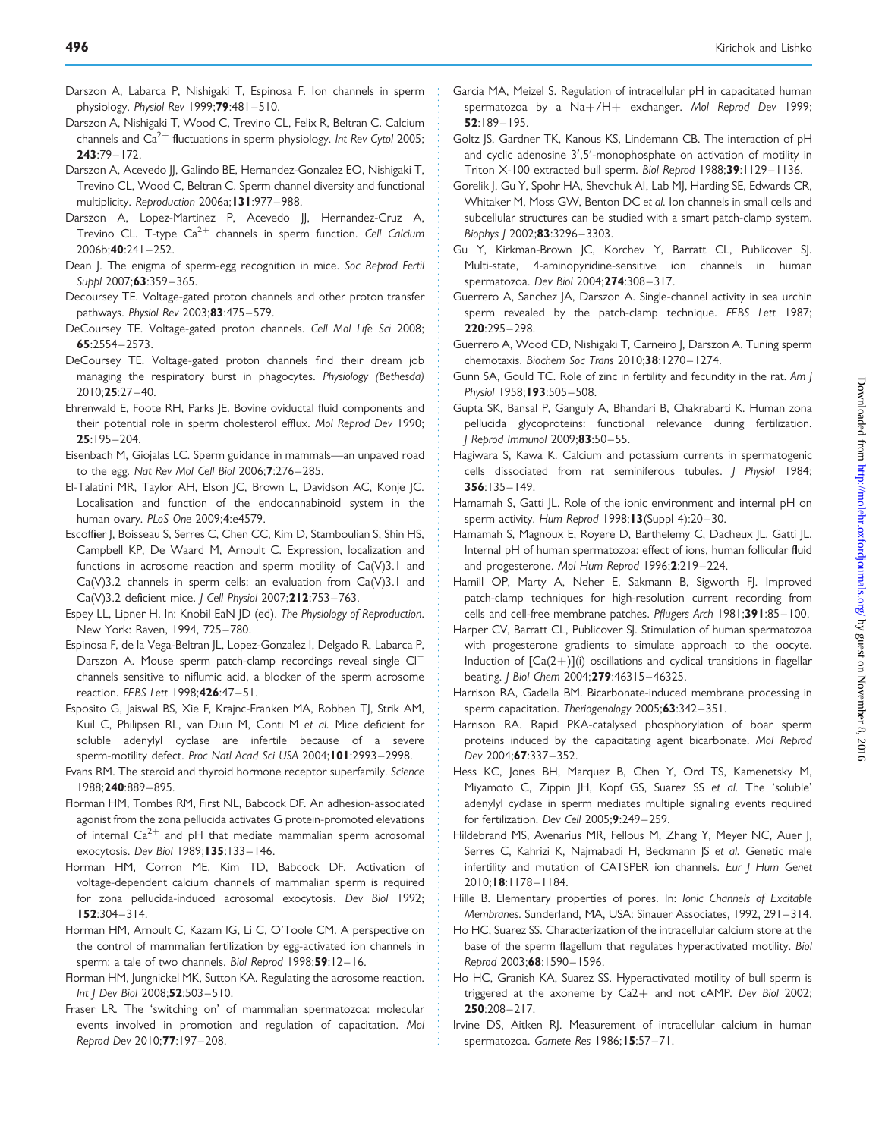- <span id="page-18-0"></span>Darszon A, Labarca P, Nishigaki T, Espinosa F. Ion channels in sperm physiology. Physiol Rev 1999;79:481 – 510.
- Darszon A, Nishigaki T, Wood C, Trevino CL, Felix R, Beltran C. Calcium channels and  $Ca^{2+}$  fluctuations in sperm physiology. Int Rev Cytol 2005; 243:79– 172.
- Darszon A, Acevedo JJ, Galindo BE, Hernandez-Gonzalez EO, Nishigaki T, Trevino CL, Wood C, Beltran C. Sperm channel diversity and functional multiplicity. Reproduction 2006a; 131:977-988.
- Darszon A, Lopez-Martinez P, Acevedo JJ, Hernandez-Cruz A, Trevino CL. T-type  $Ca^{2+}$  channels in sperm function. Cell Calcium 2006b;40:241– 252.
- Dean J. The enigma of sperm-egg recognition in mice. Soc Reprod Fertil Suppl 2007:63:359-365.
- Decoursey TE. Voltage-gated proton channels and other proton transfer pathways. Physiol Rev 2003;83:475 – 579.
- DeCoursey TE. Voltage-gated proton channels. Cell Mol Life Sci 2008; 65:2554 – 2573.
- DeCoursey TE. Voltage-gated proton channels find their dream job managing the respiratory burst in phagocytes. Physiology (Bethesda)  $2010.25.27 - 40$
- Ehrenwald E, Foote RH, Parks JE. Bovine oviductal fluid components and their potential role in sperm cholesterol efflux. Mol Reprod Dev 1990; 25:195 – 204.
- Eisenbach M, Giojalas LC. Sperm guidance in mammals—an unpaved road to the egg. Nat Rev Mol Cell Biol 2006;7:276-285.
- El-Talatini MR, Taylor AH, Elson JC, Brown L, Davidson AC, Konje JC. Localisation and function of the endocannabinoid system in the human ovary. PLoS One 2009;4:e4579.
- Escoffier J, Boisseau S, Serres C, Chen CC, Kim D, Stamboulian S, Shin HS, Campbell KP, De Waard M, Arnoult C. Expression, localization and functions in acrosome reaction and sperm motility of  $Ca(V)3.1$  and  $Ca(V)3.2$  channels in sperm cells: an evaluation from  $Ca(V)3.1$  and Ca(V)3.2 deficient mice. J Cell Physiol 2007;212:753– 763.
- Espey LL, Lipner H. In: Knobil EaN JD (ed). The Physiology of Reproduction. New York: Raven, 1994, 725 – 780.
- Espinosa F, de la Vega-Beltran JL, Lopez-Gonzalez I, Delgado R, Labarca P, Darszon A. Mouse sperm patch-clamp recordings reveal single Cl<sup>-</sup> channels sensitive to niflumic acid, a blocker of the sperm acrosome reaction. FEBS Lett 1998;426:47-51.
- Esposito G, Jaiswal BS, Xie F, Krajnc-Franken MA, Robben TJ, Strik AM, Kuil C, Philipsen RL, van Duin M, Conti M et al. Mice deficient for soluble adenylyl cyclase are infertile because of a severe sperm-motility defect. Proc Natl Acad Sci USA 2004;101:2993-2998.
- Evans RM. The steroid and thyroid hormone receptor superfamily. Science 1988;240:889 – 895.
- Florman HM, Tombes RM, First NL, Babcock DF. An adhesion-associated agonist from the zona pellucida activates G protein-promoted elevations of internal  $Ca^{2+}$  and pH that mediate mammalian sperm acrosomal exocytosis. Dev Biol 1989; 135:133-146.
- Florman HM, Corron ME, Kim TD, Babcock DF. Activation of voltage-dependent calcium channels of mammalian sperm is required for zona pellucida-induced acrosomal exocytosis. Dev Biol 1992; 152:304– 314.
- Florman HM, Arnoult C, Kazam IG, Li C, O'Toole CM. A perspective on the control of mammalian fertilization by egg-activated ion channels in sperm: a tale of two channels. Biol Reprod 1998;59:12-16.
- Florman HM, Jungnickel MK, Sutton KA. Regulating the acrosome reaction. Int | Dev Biol 2008;52:503-510.
- Fraser LR. The 'switching on' of mammalian spermatozoa: molecular events involved in promotion and regulation of capacitation. Mol Reprod Dev 2010;77:197-208.
- Garcia MA, Meizel S. Regulation of intracellular pH in capacitated human spermatozoa by a Na+/H+ exchanger. Mol Reprod Dev 1999;  $52:189 - 195.$
- Goltz JS, Gardner TK, Kanous KS, Lindemann CB. The interaction of pH and cyclic adenosine 3′ ,5′ -monophosphate on activation of motility in Triton X-100 extracted bull sperm. Biol Reprod 1988;39:1129-1136.
- Gorelik J, Gu Y, Spohr HA, Shevchuk AI, Lab MJ, Harding SE, Edwards CR, Whitaker M, Moss GW, Benton DC et al. Ion channels in small cells and subcellular structures can be studied with a smart patch-clamp system. Biophys | 2002;83:3296-3303.
- Gu Y, Kirkman-Brown JC, Korchev Y, Barratt CL, Publicover SJ. Multi-state, 4-aminopyridine-sensitive ion channels in human spermatozoa. Dev Biol 2004:274:308-317.
- Guerrero A, Sanchez JA, Darszon A. Single-channel activity in sea urchin sperm revealed by the patch-clamp technique. FEBS Lett 1987; 220:295– 298.
- Guerrero A, Wood CD, Nishigaki T, Carneiro J, Darszon A. Tuning sperm chemotaxis. Biochem Soc Trans 2010;38:1270-1274.
- Gunn SA, Gould TC. Role of zinc in fertility and fecundity in the rat. Am J Physiol 1958; 193:505-508.
- Gupta SK, Bansal P, Ganguly A, Bhandari B, Chakrabarti K. Human zona pellucida glycoproteins: functional relevance during fertilization. J Reprod Immunol 2009;83:50– 55.
- Hagiwara S, Kawa K. Calcium and potassium currents in spermatogenic cells dissociated from rat seminiferous tubules. J Physiol 1984; 356:135– 149.
- Hamamah S, Gatti JL. Role of the ionic environment and internal pH on sperm activity. Hum Reprod 1998; 13(Suppl 4):20-30.
- Hamamah S, Magnoux E, Royere D, Barthelemy C, Dacheux JL, Gatti JL. Internal pH of human spermatozoa: effect of ions, human follicular fluid and progesterone. Mol Hum Reprod 1996;2:219-224.
- Hamill OP, Marty A, Neher E, Sakmann B, Sigworth FJ. Improved patch-clamp techniques for high-resolution current recording from cells and cell-free membrane patches. Pflugers Arch 1981;391:85-100.
- Harper CV, Barratt CL, Publicover SJ. Stimulation of human spermatozoa with progesterone gradients to simulate approach to the oocyte. Induction of  $[Ca(2+)](i)$  oscillations and cyclical transitions in flagellar beating. J Biol Chem 2004;279:46315– 46325.
- Harrison RA, Gadella BM. Bicarbonate-induced membrane processing in sperm capacitation. Theriogenology 2005;63:342-351.
- Harrison RA. Rapid PKA-catalysed phosphorylation of boar sperm proteins induced by the capacitating agent bicarbonate. Mol Reprod Dev 2004;67:337– 352.
- Hess KC, Jones BH, Marquez B, Chen Y, Ord TS, Kamenetsky M, Miyamoto C, Zippin JH, Kopf GS, Suarez SS et al. The 'soluble' adenylyl cyclase in sperm mediates multiple signaling events required for fertilization. Dev Cell 2005;9:249 – 259.
- Hildebrand MS, Avenarius MR, Fellous M, Zhang Y, Meyer NC, Auer J, Serres C, Kahrizi K, Najmabadi H, Beckmann JS et al. Genetic male infertility and mutation of CATSPER ion channels. Eur J Hum Genet 2010;18:1178 – 1184.
- Hille B. Elementary properties of pores. In: Ionic Channels of Excitable Membranes. Sunderland, MA, USA: Sinauer Associates, 1992, 291 – 314.
- Ho HC, Suarez SS. Characterization of the intracellular calcium store at the base of the sperm flagellum that regulates hyperactivated motility. Biol Reprod 2003;68:1590-1596.
- Ho HC, Granish KA, Suarez SS. Hyperactivated motility of bull sperm is triggered at the axoneme by Ca2+ and not cAMP. Dev Biol 2002; 250:208– 217.
- Irvine DS, Aitken RJ. Measurement of intracellular calcium in human spermatozoa. Gamete Res 1986;15:57-71.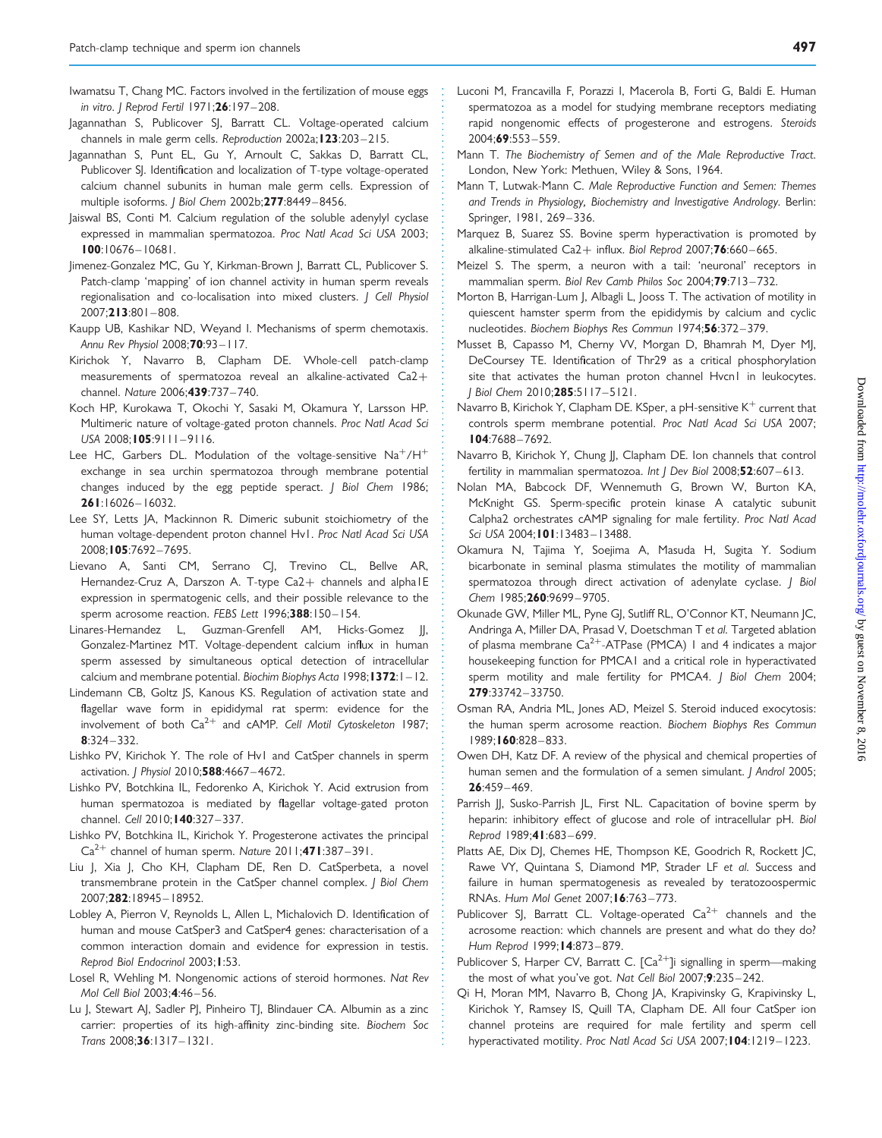- <span id="page-19-0"></span>Iwamatsu T, Chang MC. Factors involved in the fertilization of mouse eggs in vitro. | Reprod Fertil 1971;26:197-208.
- Jagannathan S, Publicover SJ, Barratt CL. Voltage-operated calcium channels in male germ cells. Reproduction 2002a; 123:203-215.
- Jagannathan S, Punt EL, Gu Y, Arnoult C, Sakkas D, Barratt CL, Publicover SJ. Identification and localization of T-type voltage-operated calcium channel subunits in human male germ cells. Expression of multiple isoforms. J Biol Chem 2002b;277:8449-8456.
- Jaiswal BS, Conti M. Calcium regulation of the soluble adenylyl cyclase expressed in mammalian spermatozoa. Proc Natl Acad Sci USA 2003; 100:10676– 10681.
- Jimenez-Gonzalez MC, Gu Y, Kirkman-Brown J, Barratt CL, Publicover S. Patch-clamp 'mapping' of ion channel activity in human sperm reveals regionalisation and co-localisation into mixed clusters. J Cell Physiol 2007;213:801 – 808.
- Kaupp UB, Kashikar ND, Weyand I. Mechanisms of sperm chemotaxis. Annu Rev Physiol 2008;70:93-117.
- Kirichok Y, Navarro B, Clapham DE. Whole-cell patch-clamp measurements of spermatozoa reveal an alkaline-activated Ca2+ channel. Nature 2006;439:737– 740.
- Koch HP, Kurokawa T, Okochi Y, Sasaki M, Okamura Y, Larsson HP. Multimeric nature of voltage-gated proton channels. Proc Natl Acad Sci USA 2008;105:9111-9116.
- Lee HC, Garbers DL. Modulation of the voltage-sensitive  $Na^+/H^+$ exchange in sea urchin spermatozoa through membrane potential changes induced by the egg peptide speract. J Biol Chem 1986; 261:16026– 16032.
- Lee SY, Letts JA, Mackinnon R. Dimeric subunit stoichiometry of the human voltage-dependent proton channel Hv1. Proc Natl Acad Sci USA 2008;105:7692 – 7695.
- Lievano A, Santi CM, Serrano CJ, Trevino CL, Bellve AR, Hernandez-Cruz A, Darszon A. T-type Ca2+ channels and alpha1E expression in spermatogenic cells, and their possible relevance to the sperm acrosome reaction. FEBS Lett 1996;388:150-154.
- Linares-Hernandez L, Guzman-Grenfell AM, Hicks-Gomez JJ, Gonzalez-Martinez MT. Voltage-dependent calcium influx in human sperm assessed by simultaneous optical detection of intracellular calcium and membrane potential. Biochim Biophys Acta 1998; 1372:1-12.
- Lindemann CB, Goltz JS, Kanous KS. Regulation of activation state and flagellar wave form in epididymal rat sperm: evidence for the involvement of both  $Ca^{2+}$  and cAMP. Cell Motil Cytoskeleton 1987; 8:324 – 332.
- Lishko PV, Kirichok Y. The role of Hv1 and CatSper channels in sperm activation. *| Physiol* 2010;588:4667-4672.
- Lishko PV, Botchkina IL, Fedorenko A, Kirichok Y. Acid extrusion from human spermatozoa is mediated by flagellar voltage-gated proton channel. Cell 2010;140:327 – 337.
- Lishko PV, Botchkina IL, Kirichok Y. Progesterone activates the principal  $Ca^{2+}$  channel of human sperm. Nature 2011;471:387-391.
- Liu J, Xia J, Cho KH, Clapham DE, Ren D. CatSperbeta, a novel transmembrane protein in the CatSper channel complex. J Biol Chem 2007;282:18945 – 18952.
- Lobley A, Pierron V, Reynolds L, Allen L, Michalovich D. Identification of human and mouse CatSper3 and CatSper4 genes: characterisation of a common interaction domain and evidence for expression in testis. Reprod Biol Endocrinol 2003;1:53.
- Losel R, Wehling M. Nongenomic actions of steroid hormones. Nat Rev Mol Cell Biol 2003;4:46 – 56.
- Lu J, Stewart AJ, Sadler PJ, Pinheiro TJ, Blindauer CA. Albumin as a zinc carrier: properties of its high-affinity zinc-binding site. Biochem Soc Trans 2008;36:1317-1321.
- Luconi M, Francavilla F, Porazzi I, Macerola B, Forti G, Baldi E. Human spermatozoa as a model for studying membrane receptors mediating rapid nongenomic effects of progesterone and estrogens. Steroids 2004;69:553 – 559.
- Mann T. The Biochemistry of Semen and of the Male Reproductive Tract. London, New York: Methuen, Wiley & Sons, 1964.
- Mann T, Lutwak-Mann C. Male Reproductive Function and Semen: Themes and Trends in Physiology, Biochemistry and Investigative Andrology. Berlin: Springer, 1981, 269-336.
- Marquez B, Suarez SS. Bovine sperm hyperactivation is promoted by alkaline-stimulated  $Ca2+$  influx. Biol Reprod  $2007;76:660-665$ .
- Meizel S. The sperm, a neuron with a tail: 'neuronal' receptors in mammalian sperm. Biol Rev Camb Philos Soc 2004;79:713-732.
- Morton B, Harrigan-Lum J, Albagli L, Jooss T. The activation of motility in quiescent hamster sperm from the epididymis by calcium and cyclic nucleotides. Biochem Biophys Res Commun 1974;56:372-379.
- Musset B, Capasso M, Cherny VV, Morgan D, Bhamrah M, Dyer MJ, DeCoursey TE. Identification of Thr29 as a critical phosphorylation site that activates the human proton channel Hvcn1 in leukocytes. J Biol Chem 2010;285:5117 – 5121.
- Navarro B, Kirichok Y, Clapham DE. KSper, a pH-sensitive  $K^+$  current that controls sperm membrane potential. Proc Natl Acad Sci USA 2007; 104:7688– 7692.
- Navarro B, Kirichok Y, Chung JJ, Clapham DE. Ion channels that control fertility in mammalian spermatozoa. Int J Dev Biol 2008;52:607-613.
- Nolan MA, Babcock DF, Wennemuth G, Brown W, Burton KA, McKnight GS. Sperm-specific protein kinase A catalytic subunit Calpha2 orchestrates cAMP signaling for male fertility. Proc Natl Acad Sci USA 2004;101:13483– 13488.
- Okamura N, Tajima Y, Soejima A, Masuda H, Sugita Y. Sodium bicarbonate in seminal plasma stimulates the motility of mammalian spermatozoa through direct activation of adenylate cyclase. J Biol Chem 1985;260:9699-9705.
- Okunade GW, Miller ML, Pyne GJ, Sutliff RL, O'Connor KT, Neumann JC, Andringa A, Miller DA, Prasad V, Doetschman T et al. Targeted ablation of plasma membrane  $Ca^{2+}$ -ATPase (PMCA) 1 and 4 indicates a major housekeeping function for PMCA1 and a critical role in hyperactivated sperm motility and male fertility for PMCA4. *| Biol Chem 2004*; 279:33742– 33750.
- Osman RA, Andria ML, Jones AD, Meizel S. Steroid induced exocytosis: the human sperm acrosome reaction. Biochem Biophys Res Commun 1989;160:828 – 833.
- Owen DH, Katz DF. A review of the physical and chemical properties of human semen and the formulation of a semen simulant. J Androl 2005; 26:459– 469.
- Parrish JJ, Susko-Parrish JL, First NL. Capacitation of bovine sperm by heparin: inhibitory effect of glucose and role of intracellular pH. Biol Reprod 1989;41:683– 699.
- Platts AE, Dix DJ, Chemes HE, Thompson KE, Goodrich R, Rockett JC, Rawe VY, Quintana S, Diamond MP, Strader LF et al. Success and failure in human spermatogenesis as revealed by teratozoospermic RNAs. Hum Mol Genet 2007;16:763 – 773.
- Publicover SJ, Barratt CL. Voltage-operated  $Ca^{2+}$  channels and the acrosome reaction: which channels are present and what do they do? Hum Reprod 1999; 14:873-879.
- Publicover S, Harper CV, Barratt C.  $[Ca^{2+}]$ i signalling in sperm—making the most of what you've got. Nat Cell Biol 2007;9:235– 242.
- Qi H, Moran MM, Navarro B, Chong JA, Krapivinsky G, Krapivinsky L, Kirichok Y, Ramsey IS, Quill TA, Clapham DE. All four CatSper ion channel proteins are required for male fertility and sperm cell hyperactivated motility. Proc Natl Acad Sci USA 2007;104:1219-1223.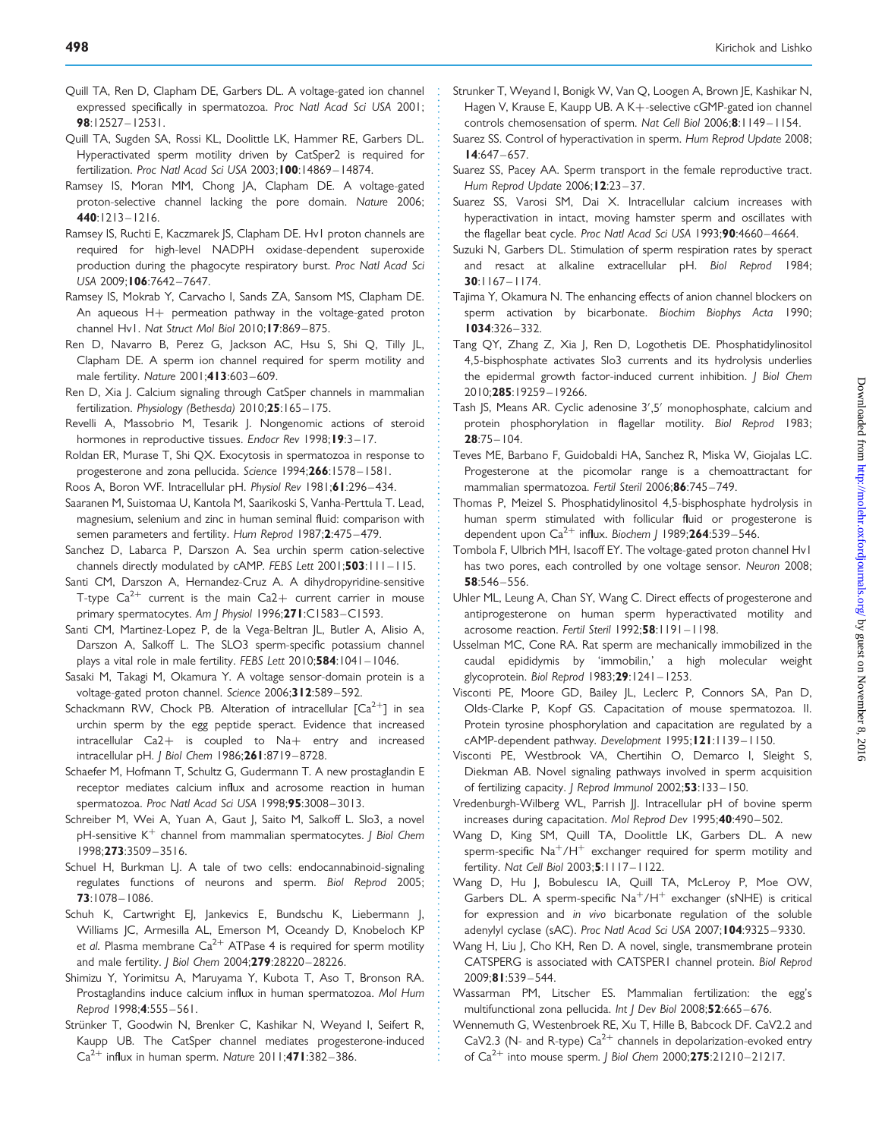- <span id="page-20-0"></span>Quill TA, Ren D, Clapham DE, Garbers DL. A voltage-gated ion channel expressed specifically in spermatozoa. Proc Natl Acad Sci USA 2001; 98:12527 – 12531.
- Quill TA, Sugden SA, Rossi KL, Doolittle LK, Hammer RE, Garbers DL. Hyperactivated sperm motility driven by CatSper2 is required for fertilization. Proc Natl Acad Sci USA 2003;100:14869-14874.
- Ramsey IS, Moran MM, Chong JA, Clapham DE. A voltage-gated proton-selective channel lacking the pore domain. Nature 2006; 440:1213– 1216.
- Ramsey IS, Ruchti E, Kaczmarek JS, Clapham DE. Hv1 proton channels are required for high-level NADPH oxidase-dependent superoxide production during the phagocyte respiratory burst. Proc Natl Acad Sci USA 2009:106:7642-7647.
- Ramsey IS, Mokrab Y, Carvacho I, Sands ZA, Sansom MS, Clapham DE. An aqueous H+ permeation pathway in the voltage-gated proton channel Hv1. Nat Struct Mol Biol 2010;17:869-875.
- Ren D, Navarro B, Perez G, Jackson AC, Hsu S, Shi Q, Tilly JL, Clapham DE. A sperm ion channel required for sperm motility and male fertility. Nature 2001;413:603-609.
- Ren D, Xia J. Calcium signaling through CatSper channels in mammalian fertilization. Physiology (Bethesda) 2010;25:165-175.
- Revelli A, Massobrio M, Tesarik J. Nongenomic actions of steroid hormones in reproductive tissues. Endocr Rev 1998; 19:3-17.
- Roldan ER, Murase T, Shi QX. Exocytosis in spermatozoa in response to progesterone and zona pellucida. Science 1994;266:1578-1581.
- Roos A, Boron WF. Intracellular pH. Physiol Rev 1981;61:296-434.
- Saaranen M, Suistomaa U, Kantola M, Saarikoski S, Vanha-Perttula T. Lead, magnesium, selenium and zinc in human seminal fluid: comparison with semen parameters and fertility. Hum Reprod 1987;2:475-479.
- Sanchez D, Labarca P, Darszon A. Sea urchin sperm cation-selective channels directly modulated by cAMP. FEBS Lett 2001;503:111-115.
- Santi CM, Darszon A, Hernandez-Cruz A. A dihydropyridine-sensitive T-type  $Ca^{2+}$  current is the main  $Ca^{2+}$  current carrier in mouse primary spermatocytes. Am | Physiol 1996;271:C1583-C1593.
- Santi CM, Martinez-Lopez P, de la Vega-Beltran JL, Butler A, Alisio A, Darszon A, Salkoff L. The SLO3 sperm-specific potassium channel plays a vital role in male fertility. FEBS Lett 2010;584:1041– 1046.
- Sasaki M, Takagi M, Okamura Y. A voltage sensor-domain protein is a voltage-gated proton channel. Science 2006;312:589-592.
- Schackmann RW, Chock PB. Alteration of intracellular  $[Ca^{2+}]$  in sea urchin sperm by the egg peptide speract. Evidence that increased intracellular Ca2+ is coupled to Na+ entry and increased intracellular pH. J Biol Chem 1986;261:8719 – 8728.
- Schaefer M, Hofmann T, Schultz G, Gudermann T. A new prostaglandin E receptor mediates calcium influx and acrosome reaction in human spermatozoa. Proc Natl Acad Sci USA 1998;95:3008-3013.
- Schreiber M, Wei A, Yuan A, Gaut J, Saito M, Salkoff L. Slo3, a novel  $p$ H-sensitive K<sup>+</sup> channel from mammalian spermatocytes. *J* Biol Chem 1998;273:3509 – 3516.
- Schuel H, Burkman LJ. A tale of two cells: endocannabinoid-signaling regulates functions of neurons and sperm. Biol Reprod 2005;  $73:1078 - 1086.$
- Schuh K, Cartwright EJ, Jankevics E, Bundschu K, Liebermann J, Williams JC, Armesilla AL, Emerson M, Oceandy D, Knobeloch KP et al. Plasma membrane  $Ca^{2+}$  ATPase 4 is required for sperm motility and male fertility. *J Biol Chem* 2004;279:28220-28226.
- Shimizu Y, Yorimitsu A, Maruyama Y, Kubota T, Aso T, Bronson RA. Prostaglandins induce calcium influx in human spermatozoa. Mol Hum Reprod 1998;4:555 – 561.
- Strünker T, Goodwin N, Brenker C, Kashikar N, Weyand I, Seifert R, Kaupp UB. The CatSper channel mediates progesterone-induced  $Ca^{2+}$  influx in human sperm. Nature 2011;471:382-386.
- Strunker T, Weyand I, Bonigk W, Van Q, Loogen A, Brown JE, Kashikar N, Hagen V, Krause E, Kaupp UB. A K+-selective cGMP-gated ion channel controls chemosensation of sperm. Nat Cell Biol 2006;8:1149-1154.
- Suarez SS. Control of hyperactivation in sperm. Hum Reprod Update 2008;  $14:647 - 657$ .
- Suarez SS, Pacey AA. Sperm transport in the female reproductive tract. Hum Reprod Update 2006: **12:**23-37.
- Suarez SS, Varosi SM, Dai X. Intracellular calcium increases with hyperactivation in intact, moving hamster sperm and oscillates with the flagellar beat cycle. Proc Natl Acad Sci USA 1993;90:4660-4664.
- Suzuki N, Garbers DL. Stimulation of sperm respiration rates by speract and resact at alkaline extracellular pH. Biol Reprod 1984;  $30:1167 - 1174.$
- Tajima Y, Okamura N. The enhancing effects of anion channel blockers on sperm activation by bicarbonate. Biochim Biophys Acta 1990; 1034:326– 332.
- Tang QY, Zhang Z, Xia J, Ren D, Logothetis DE. Phosphatidylinositol 4,5-bisphosphate activates Slo3 currents and its hydrolysis underlies the epidermal growth factor-induced current inhibition. J Biol Chem 2010;285:19259 – 19266.
- Tash JS, Means AR. Cyclic adenosine 3′ ,5′ monophosphate, calcium and protein phosphorylation in flagellar motility. Biol Reprod 1983;  $28:75 - 104.$
- Teves ME, Barbano F, Guidobaldi HA, Sanchez R, Miska W, Giojalas LC. Progesterone at the picomolar range is a chemoattractant for mammalian spermatozoa. Fertil Steril 2006;86:745 –749.
- Thomas P, Meizel S. Phosphatidylinositol 4,5-bisphosphate hydrolysis in human sperm stimulated with follicular fluid or progesterone is dependent upon  $Ca^{2+}$  influx. Biochem | 1989;264:539-546.
- Tombola F, Ulbrich MH, Isacoff EY. The voltage-gated proton channel Hv1 has two pores, each controlled by one voltage sensor. Neuron 2008; 58:546 – 556.
- Uhler ML, Leung A, Chan SY, Wang C. Direct effects of progesterone and antiprogesterone on human sperm hyperactivated motility and acrosome reaction. Fertil Steril 1992;58:1191-1198.
- Usselman MC, Cone RA. Rat sperm are mechanically immobilized in the caudal epididymis by 'immobilin,' a high molecular weight glycoprotein. Biol Reprod 1983;29:1241 – 1253.
- Visconti PE, Moore GD, Bailey JL, Leclerc P, Connors SA, Pan D, Olds-Clarke P, Kopf GS. Capacitation of mouse spermatozoa. II. Protein tyrosine phosphorylation and capacitation are regulated by a cAMP-dependent pathway. Development 1995;121:1139-1150.
- Visconti PE, Westbrook VA, Chertihin O, Demarco I, Sleight S, Diekman AB. Novel signaling pathways involved in sperm acquisition of fertilizing capacity. *| Reprod Immunol*  $2002; 53:133 - 150$ .
- Vredenburgh-Wilberg WL, Parrish JJ. Intracellular pH of bovine sperm increases during capacitation. Mol Reprod Dev 1995;40:490-502.
- Wang D, King SM, Quill TA, Doolittle LK, Garbers DL. A new sperm-specific  $Na^{+}/H^{+}$  exchanger required for sperm motility and fertility. Nat Cell Biol 2003;5:1117-1122.
- Wang D, Hu J, Bobulescu IA, Quill TA, McLeroy P, Moe OW, Garbers DL. A sperm-specific  $Na^+/H^+$  exchanger (sNHE) is critical for expression and in vivo bicarbonate regulation of the soluble adenylyl cyclase (sAC). Proc Natl Acad Sci USA 2007;104:9325-9330.
- Wang H, Liu J, Cho KH, Ren D. A novel, single, transmembrane protein CATSPERG is associated with CATSPER1 channel protein. Biol Reprod 2009;81:539 – 544.
- Wassarman PM, Litscher ES. Mammalian fertilization: the egg's multifunctional zona pellucida. Int J Dev Biol 2008;52:665-676.
- Wennemuth G, Westenbroek RE, Xu T, Hille B, Babcock DF. CaV2.2 and CaV2.3 (N- and R-type)  $Ca^{2+}$  channels in depolarization-evoked entry of  $Ca^{2+}$  into mouse sperm. *J Biol Chem* 2000;275:21210-21217.